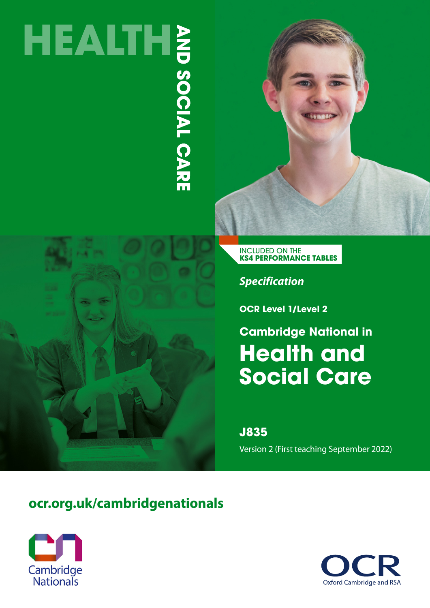# HEALTHE<br>
SOLD SOLD SOLD SOLD SPACE

INCLUDED ON THE **KS4 PERFORMANCE TABLES**

*Specification*

**OCR Level 1/Level 2**

**Health and Social Care Cambridge National in**

**J835**

Version 2 (First teaching September 2022)

# **[ocr.org.uk/cambridgenationals](http://ocr.org.uk/cambridgenationals)**



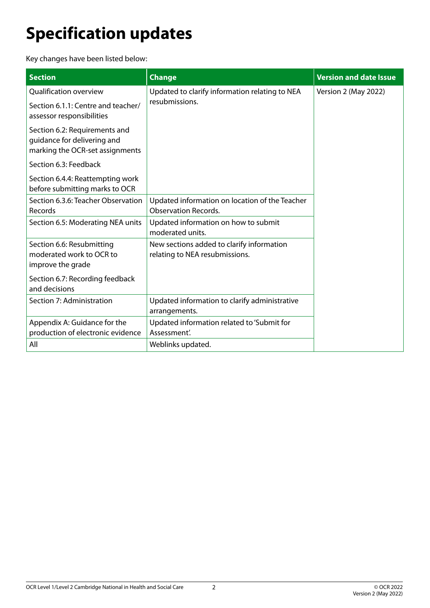# <span id="page-1-0"></span>**Specification updates**

Key changes have been listed below:

| <b>Section</b>                                                                                  | <b>Change</b>                                                                 | <b>Version and date Issue</b> |
|-------------------------------------------------------------------------------------------------|-------------------------------------------------------------------------------|-------------------------------|
| <b>Qualification overview</b>                                                                   | Updated to clarify information relating to NEA                                | Version 2 (May 2022)          |
| Section 6.1.1: Centre and teacher/<br>assessor responsibilities                                 | resubmissions.                                                                |                               |
| Section 6.2: Requirements and<br>guidance for delivering and<br>marking the OCR-set assignments |                                                                               |                               |
| Section 6.3: Feedback                                                                           |                                                                               |                               |
| Section 6.4.4: Reattempting work<br>before submitting marks to OCR                              |                                                                               |                               |
| Section 6.3.6: Teacher Observation<br>Records                                                   | Updated information on location of the Teacher<br><b>Observation Records.</b> |                               |
| Section 6.5: Moderating NEA units                                                               | Updated information on how to submit<br>moderated units.                      |                               |
| Section 6.6: Resubmitting<br>moderated work to OCR to<br>improve the grade                      | New sections added to clarify information<br>relating to NEA resubmissions.   |                               |
| Section 6.7: Recording feedback<br>and decisions                                                |                                                                               |                               |
| Section 7: Administration                                                                       | Updated information to clarify administrative<br>arrangements.                |                               |
| Appendix A: Guidance for the<br>production of electronic evidence                               | Updated information related to 'Submit for<br>Assessment'.                    |                               |
| All                                                                                             | Weblinks updated.                                                             |                               |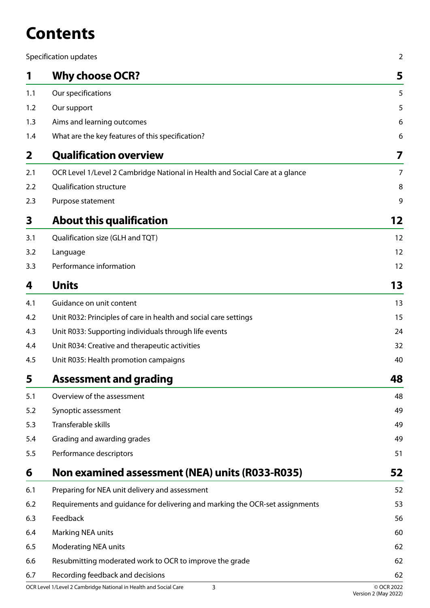# **Contents**

|              | Specification updates                                                        | $\overline{2}$ |
|--------------|------------------------------------------------------------------------------|----------------|
| 1            | <b>Why choose OCR?</b>                                                       | 5              |
| 1.1          | Our specifications                                                           | 5              |
| 1.2          | Our support                                                                  | 5              |
| 1.3          | Aims and learning outcomes                                                   | 6              |
| 1.4          | What are the key features of this specification?                             | 6              |
| $\mathbf{2}$ | <b>Qualification overview</b>                                                | 7              |
| 2.1          | OCR Level 1/Level 2 Cambridge National in Health and Social Care at a glance | $\overline{7}$ |
| 2.2          | <b>Qualification structure</b>                                               | 8              |
| 2.3          | Purpose statement                                                            | 9              |
| 3            | <b>About this qualification</b>                                              | 12             |
| 3.1          | Qualification size (GLH and TQT)                                             | 12             |
| 3.2          | Language                                                                     | 12             |
| 3.3          | Performance information                                                      | 12             |
| 4            | <b>Units</b>                                                                 | 13             |
| 4.1          | Guidance on unit content                                                     | 13             |
| 4.2          | Unit R032: Principles of care in health and social care settings             | 15             |
| 4.3          | Unit R033: Supporting individuals through life events                        | 24             |
| 4.4          | Unit R034: Creative and therapeutic activities                               | 32             |
| 4.5          | Unit R035: Health promotion campaigns                                        | 40             |
| 5            | <b>Assessment and grading</b>                                                | 48             |
| 5.1          | Overview of the assessment                                                   | 48             |
| 5.2          | Synoptic assessment                                                          | 49             |
| 5.3          | Transferable skills                                                          | 49             |
| 5.4          | Grading and awarding grades                                                  | 49             |
| 5.5          | Performance descriptors                                                      | 51             |
| 6            | Non examined assessment (NEA) units (R033-R035)                              | 52             |
| 6.1          | Preparing for NEA unit delivery and assessment                               | 52             |
| 6.2          | Requirements and guidance for delivering and marking the OCR-set assignments | 53             |
| 6.3          | Feedback                                                                     | 56             |
| 6.4          | Marking NEA units                                                            | 60             |
| 6.5          | <b>Moderating NEA units</b>                                                  | 62             |
| 6.6          | Resubmitting moderated work to OCR to improve the grade                      | 62             |
| 6.7          | Recording feedback and decisions                                             | 62             |
|              | OCR Level 1/Level 2 Cambridge National in Health and Social Care<br>3        | © OCR 2022     |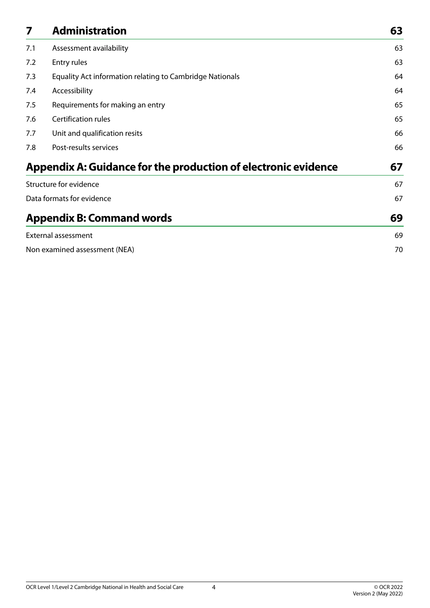| 7   | <b>Administration</b>                                          | 63 |
|-----|----------------------------------------------------------------|----|
| 7.1 | Assessment availability                                        | 63 |
| 7.2 | Entry rules                                                    | 63 |
| 7.3 | Equality Act information relating to Cambridge Nationals       | 64 |
| 7.4 | Accessibility                                                  | 64 |
| 7.5 | Requirements for making an entry                               | 65 |
| 7.6 | Certification rules                                            | 65 |
| 7.7 | Unit and qualification resits                                  | 66 |
| 7.8 | Post-results services                                          | 66 |
|     | Appendix A: Guidance for the production of electronic evidence | 67 |
|     | Structure for evidence                                         | 67 |
|     | Data formats for evidence                                      | 67 |
|     | <b>Appendix B: Command words</b>                               | 69 |
|     | <b>External assessment</b>                                     | 69 |
|     | Non examined assessment (NEA)                                  | 70 |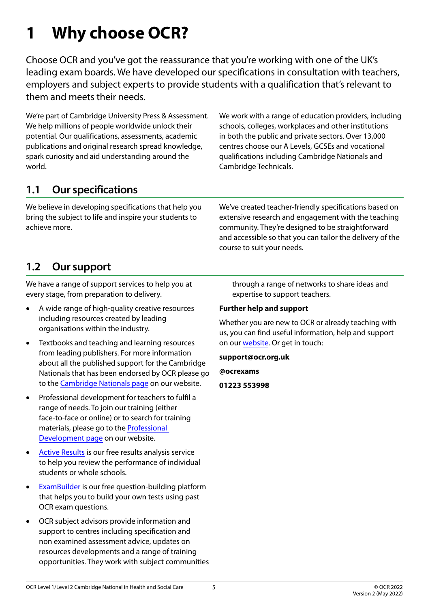# <span id="page-4-0"></span>**1 Why choose OCR?**

Choose OCR and you've got the reassurance that you're working with one of the UK's leading exam boards. We have developed our specifications in consultation with teachers, employers and subject experts to provide students with a qualification that's relevant to them and meets their needs.

We're part of Cambridge University Press & Assessment. We help millions of people worldwide unlock their potential. Our qualifications, assessments, academic publications and original research spread knowledge, spark curiosity and aid understanding around the world.

We work with a range of education providers, including schools, colleges, workplaces and other institutions in both the public and private sectors. Over 13,000 centres choose our A Levels, GCSEs and vocational qualifications including Cambridge Nationals and Cambridge Technicals.

# **1.1 Our specifications**

We believe in developing specifications that help you bring the subject to life and inspire your students to achieve more.

We've created teacher-friendly specifications based on extensive research and engagement with the teaching community. They're designed to be straightforward and accessible so that you can tailor the delivery of the course to suit your needs.

# **1.2 Our support**

We have a range of support services to help you at every stage, from preparation to delivery.

- A wide range of high-quality creative resources including resources created by leading organisations within the industry.
- • Textbooks and teaching and learning resources from leading publishers. For more information about all the published support for the Cambridge Nationals that has been endorsed by OCR please go to the [Cambridge Nationals page](https://www.ocr.org.uk/qualifications/cambridge-nationals/) on our website.
- • Professional development for teachers to fulfil a range of needs. To join our training (either face-to-face or online) or to search for training materials, please go to the [Professional](https://www.ocr.org.uk/qualifications/professional-development/)  [Development page](https://www.ocr.org.uk/qualifications/professional-development/) on our website.
- [Active Results](https://www.ocr.org.uk/administration/support-and-tools/active-results/) is our free results analysis service to help you review the performance of individual students or whole schools.
- • [ExamBuilder](https://www.ocr.org.uk/qualifications/past-paper-finder/exambuilder/) is our free question-building platform that helps you to build your own tests using past OCR exam questions.
- OCR subject advisors provide information and support to centres including specification and non examined assessment advice, updates on resources developments and a range of training opportunities. They work with subject communities

through a range of networks to share ideas and expertise to support teachers.

#### **Further help and support**

Whether you are new to OCR or already teaching with us, you can find useful information, help and support on our [website.](https://www.ocr.org.uk/) Or get in touch:

**support@ocr.org.uk**

**@ocrexams**

**01223 553998**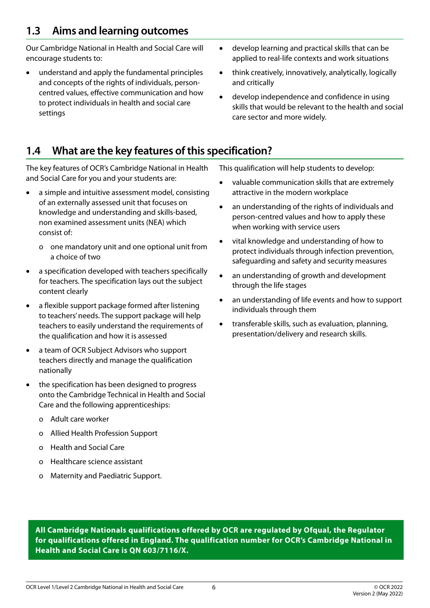# <span id="page-5-0"></span>**1.3 Aims and learning outcomes**

Our Cambridge National in Health and Social Care will encourage students to:

- understand and apply the fundamental principles and concepts of the rights of individuals, personcentred values, effective communication and how to protect individuals in health and social care settings
- • develop learning and practical skills that can be applied to real-life contexts and work situations
- think creatively, innovatively, analytically, logically and critically
- develop independence and confidence in using skills that would be relevant to the health and social care sector and more widely.

# **1.4 What are the key features of this specification?**

The key features of OCR's Cambridge National in Health and Social Care for you and your students are:

- a simple and intuitive assessment model, consisting of an externally assessed unit that focuses on knowledge and understanding and skills-based, non examined assessment units (NEA) which consist of:
	- o one mandatory unit and one optional unit from a choice of two
- a specification developed with teachers specifically for teachers. The specification lays out the subject content clearly
- a flexible support package formed after listening to teachers' needs. The support package will help teachers to easily understand the requirements of the qualification and how it is assessed
- a team of OCR Subject Advisors who support teachers directly and manage the qualification nationally
- the specification has been designed to progress onto the Cambridge Technical in Health and Social Care and the following apprenticeships:
	- o Adult care worker
	- o Allied Health Profession Support
	- o Health and Social Care
	- o Healthcare science assistant
	- o Maternity and Paediatric Support.

This qualification will help students to develop:

- • valuable communication skills that are extremely attractive in the modern workplace
- an understanding of the rights of individuals and person-centred values and how to apply these when working with service users
- vital knowledge and understanding of how to protect individuals through infection prevention, safeguarding and safety and security measures
- an understanding of growth and development through the life stages
- an understanding of life events and how to support individuals through them
- transferable skills, such as evaluation, planning, presentation/delivery and research skills.

**All Cambridge Nationals qualifications offered by OCR are regulated by Ofqual, the Regulator for qualifications offered in England. The qualification number for OCR's Cambridge National in Health and Social Care is QN 603/7116/X.**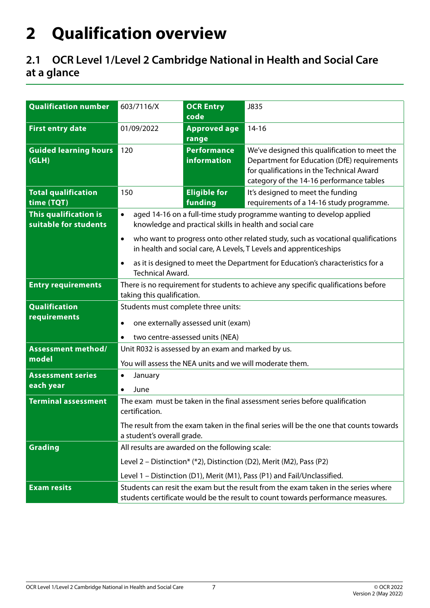# <span id="page-6-0"></span>**2 Qualification overview**

# **2.1 OCR Level 1/Level 2 Cambridge National in Health and Social Care at a glance**

| <b>Qualification number</b>                    | 603/7116/X                                                                                                                                                            | <b>OCR Entry</b><br>code          | J835                                                                                                                                                                                  |
|------------------------------------------------|-----------------------------------------------------------------------------------------------------------------------------------------------------------------------|-----------------------------------|---------------------------------------------------------------------------------------------------------------------------------------------------------------------------------------|
| <b>First entry date</b>                        | 01/09/2022                                                                                                                                                            | <b>Approved age</b><br>range      | $14-16$                                                                                                                                                                               |
| <b>Guided learning hours</b><br>(GLH)          | 120                                                                                                                                                                   | <b>Performance</b><br>information | We've designed this qualification to meet the<br>Department for Education (DfE) requirements<br>for qualifications in the Technical Award<br>category of the 14-16 performance tables |
| <b>Total qualification</b><br>time (TQT)       | 150                                                                                                                                                                   | <b>Eligible for</b><br>funding    | It's designed to meet the funding<br>requirements of a 14-16 study programme.                                                                                                         |
| This qualification is<br>suitable for students | $\bullet$                                                                                                                                                             |                                   | aged 14-16 on a full-time study programme wanting to develop applied<br>knowledge and practical skills in health and social care                                                      |
|                                                | $\bullet$                                                                                                                                                             |                                   | who want to progress onto other related study, such as vocational qualifications<br>in health and social care, A Levels, T Levels and apprenticeships                                 |
|                                                | $\bullet$<br><b>Technical Award.</b>                                                                                                                                  |                                   | as it is designed to meet the Department for Education's characteristics for a                                                                                                        |
| <b>Entry requirements</b>                      | There is no requirement for students to achieve any specific qualifications before<br>taking this qualification.                                                      |                                   |                                                                                                                                                                                       |
| <b>Qualification</b><br>requirements           | Students must complete three units:<br>one externally assessed unit (exam)<br>٠<br>two centre-assessed units (NEA)<br>$\bullet$                                       |                                   |                                                                                                                                                                                       |
| <b>Assessment method/</b>                      | Unit R032 is assessed by an exam and marked by us.                                                                                                                    |                                   |                                                                                                                                                                                       |
| model                                          | You will assess the NEA units and we will moderate them.                                                                                                              |                                   |                                                                                                                                                                                       |
| <b>Assessment series</b>                       | January<br>٠                                                                                                                                                          |                                   |                                                                                                                                                                                       |
| each year                                      | June<br>$\bullet$                                                                                                                                                     |                                   |                                                                                                                                                                                       |
| <b>Terminal assessment</b>                     | The exam must be taken in the final assessment series before qualification<br>certification.                                                                          |                                   |                                                                                                                                                                                       |
|                                                | The result from the exam taken in the final series will be the one that counts towards<br>a student's overall grade.                                                  |                                   |                                                                                                                                                                                       |
| <b>Grading</b>                                 | All results are awarded on the following scale:                                                                                                                       |                                   |                                                                                                                                                                                       |
|                                                |                                                                                                                                                                       |                                   | Level 2 – Distinction* (*2), Distinction (D2), Merit (M2), Pass (P2)                                                                                                                  |
|                                                |                                                                                                                                                                       |                                   | Level 1 - Distinction (D1), Merit (M1), Pass (P1) and Fail/Unclassified.                                                                                                              |
| <b>Exam resits</b>                             | Students can resit the exam but the result from the exam taken in the series where<br>students certificate would be the result to count towards performance measures. |                                   |                                                                                                                                                                                       |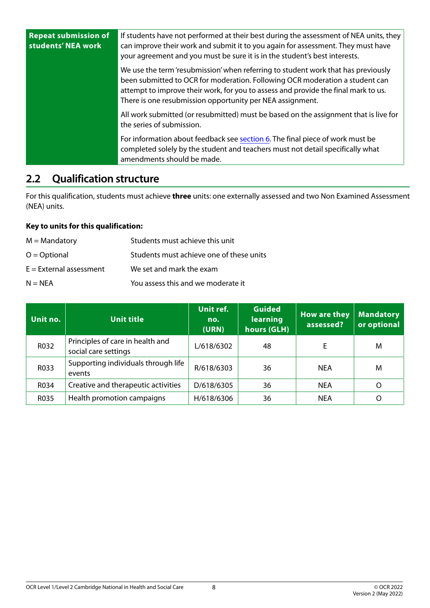<span id="page-7-0"></span>

| <b>Repeat submission of</b><br>students' NEA work | If students have not performed at their best during the assessment of NEA units, they<br>can improve their work and submit it to you again for assessment. They must have<br>your agreement and you must be sure it is in the student's best interests.                                                              |
|---------------------------------------------------|----------------------------------------------------------------------------------------------------------------------------------------------------------------------------------------------------------------------------------------------------------------------------------------------------------------------|
|                                                   | We use the term 'resubmission' when referring to student work that has previously<br>been submitted to OCR for moderation. Following OCR moderation a student can<br>attempt to improve their work, for you to assess and provide the final mark to us.<br>There is one resubmission opportunity per NEA assignment. |
|                                                   | All work submitted (or resubmitted) must be based on the assignment that is live for<br>the series of submission.                                                                                                                                                                                                    |
|                                                   | For information about feedback see section 6. The final piece of work must be<br>completed solely by the student and teachers must not detail specifically what<br>amendments should be made.                                                                                                                        |

## **2.2 Qualification structure**

For this qualification, students must achieve **three** units: one externally assessed and two Non Examined Assessment (NEA) units.

#### **Key to units for this qualification:**

| $M =$ Mandatory           | Students must achieve this unit          |
|---------------------------|------------------------------------------|
| $O = Optional$            | Students must achieve one of these units |
| $E =$ External assessment | We set and mark the exam                 |
| $N = NEA$                 | You assess this and we moderate it       |

| Unit no. | <b>Unit title</b>                                        | Unit ref.<br>no.<br>(URN) | <b>Guided</b><br>learning<br>hours (GLH) | <b>How are they</b><br>assessed? | <b>Mandatory</b><br>or optional |
|----------|----------------------------------------------------------|---------------------------|------------------------------------------|----------------------------------|---------------------------------|
| R032     | Principles of care in health and<br>social care settings | L/618/6302                | 48                                       |                                  | M                               |
| R033     | Supporting individuals through life<br>events            | R/618/6303                | 36                                       | <b>NEA</b>                       | M                               |
| R034     | Creative and therapeutic activities                      | D/618/6305                | 36                                       | <b>NEA</b>                       | O                               |
| R035     | Health promotion campaigns                               | H/618/6306                | 36                                       | <b>NEA</b>                       | O                               |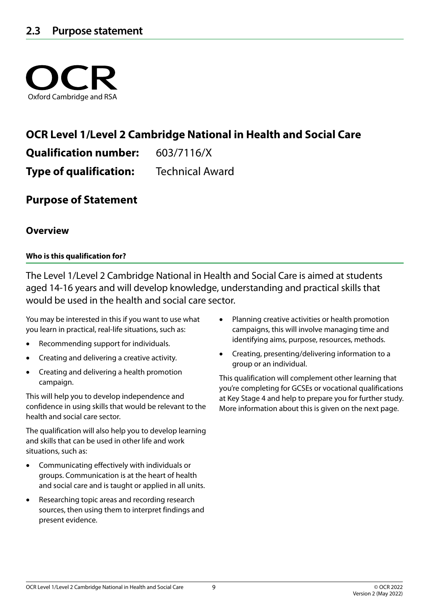<span id="page-8-0"></span>

# **OCR Level 1/Level 2 Cambridge National in Health and Social Care**

**Qualification number:** 603/7116/X

**Type of qualification:** Technical Award

**Purpose of Statement**

#### **Overview**

#### **Who is this qualification for?**

The Level 1/Level 2 Cambridge National in Health and Social Care is aimed at students aged 14-16 years and will develop knowledge, understanding and practical skills that would be used in the health and social care sector.

You may be interested in this if you want to use what you learn in practical, real-life situations, such as:

- Recommending support for individuals.
- Creating and delivering a creative activity.
- • Creating and delivering a health promotion campaign.

This will help you to develop independence and confidence in using skills that would be relevant to the health and social care sector.

The qualification will also help you to develop learning and skills that can be used in other life and work situations, such as:

- • Communicating effectively with individuals or groups. Communication is at the heart of health and social care and is taught or applied in all units.
- Researching topic areas and recording research sources, then using them to interpret findings and present evidence.
- Planning creative activities or health promotion campaigns, this will involve managing time and identifying aims, purpose, resources, methods.
- Creating, presenting/delivering information to a group or an individual.

This qualification will complement other learning that you're completing for GCSEs or vocational qualifications at Key Stage 4 and help to prepare you for further study. More information about this is given on the next page.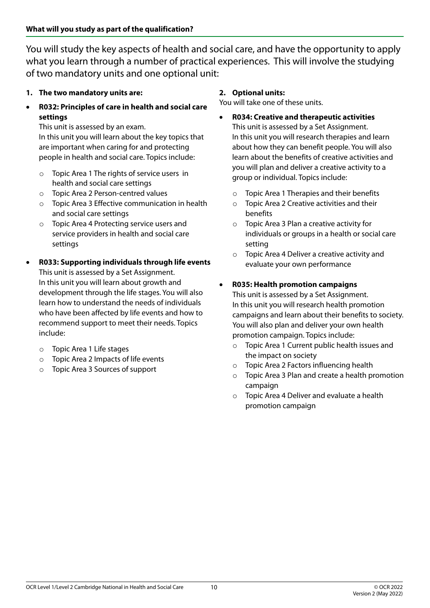You will study the key aspects of health and social care, and have the opportunity to apply what you learn through a number of practical experiences. This will involve the studying of two mandatory units and one optional unit:

- **1. The two mandatory units are:**
- • **R032: Principles of care in health and social care settings**

This unit is assessed by an exam.

In this unit you will learn about the key topics that are important when caring for and protecting people in health and social care. Topics include:

- o Topic Area 1 The rights of service users in health and social care settings
- o Topic Area 2 Person-centred values
- o Topic Area 3 Effective communication in health and social care settings
- o Topic Area 4 Protecting service users and service providers in health and social care settings
- **R033: Supporting individuals through life events** This unit is assessed by a Set Assignment. In this unit you will learn about growth and development through the life stages. You will also learn how to understand the needs of individuals who have been affected by life events and how to recommend support to meet their needs. Topics include:
	- o Topic Area 1 Life stages
	- o Topic Area 2 Impacts of life events
	- o Topic Area 3 Sources of support

#### **2. Optional units:**

You will take one of these units.

- • **R034: Creative and therapeutic activities**  This unit is assessed by a Set Assignment. In this unit you will research therapies and learn about how they can benefit people. You will also learn about the benefits of creative activities and you will plan and deliver a creative activity to a group or individual. Topics include:
	- o Topic Area 1 Therapies and their benefits
	- o Topic Area 2 Creative activities and their benefits
	- o Topic Area 3 Plan a creative activity for individuals or groups in a health or social care setting
	- o Topic Area 4 Deliver a creative activity and evaluate your own performance

#### **R035: Health promotion campaigns**

This unit is assessed by a Set Assignment. In this unit you will research health promotion campaigns and learn about their benefits to society. You will also plan and deliver your own health promotion campaign. Topics include:

- o Topic Area 1 Current public health issues and the impact on society
- o Topic Area 2 Factors influencing health
- o Topic Area 3 Plan and create a health promotion campaign
- o Topic Area 4 Deliver and evaluate a health promotion campaign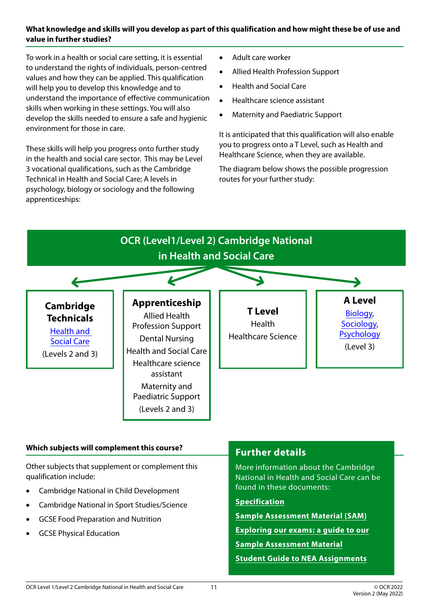#### **What knowledge and skills will you develop as part of this qualification and how might these be of use and value in further studies?**

To work in a health or social care setting, it is essential to understand the rights of individuals, person-centred values and how they can be applied. This qualification will help you to develop this knowledge and to understand the importance of effective communication skills when working in these settings. You will also develop the skills needed to ensure a safe and hygienic environment for those in care.

These skills will help you progress onto further study in the health and social care sector. This may be Level 3 vocational qualifications, such as the Cambridge Technical in Health and Social Care; A levels in psychology, biology or sociology and the following apprenticeships:

- • Adult care worker
- • Allied Health Profession Support
- • Health and Social Care
- • Healthcare science assistant
- **Maternity and Paediatric Support**

It is anticipated that this qualification will also enable you to progress onto a T Level, such as Health and Healthcare Science, when they are available.

The diagram below shows the possible progression routes for your further study:



- • Cambridge National in Child Development
- Cambridge National in Sport Studies/Science
- **GCSE Food Preparation and Nutrition**
- **GCSE Physical Education**

#### OCR Level 1/Level 2 Cambridge National in Health and Social Care

**[Specification](https://www.ocr.org.uk/Images/610950-specification-cambridge-nationals-health-and-social-care-j835.pdf)**

**[Sample Assessment Material \(SAM\)](https://www.ocr.org.uk/Images/610830-principles-of-care-in-health-and-social-care-settings.pdf) [Exploring our exams: a guide to our](https://www.ocr.org.uk/Images/616911-exploring-our-exams-a-guide-to-our-sample-assessment-material.pdf)**

**[Student Guide to NEA Assignments](https://www.ocr.org.uk/Images/620512-student-guide-to-nea-assignments.pdf)**

**[Sample Assessment Material](https://www.ocr.org.uk/Images/616911-exploring-our-exams-a-guide-to-our-sample-assessment-material.pdf)**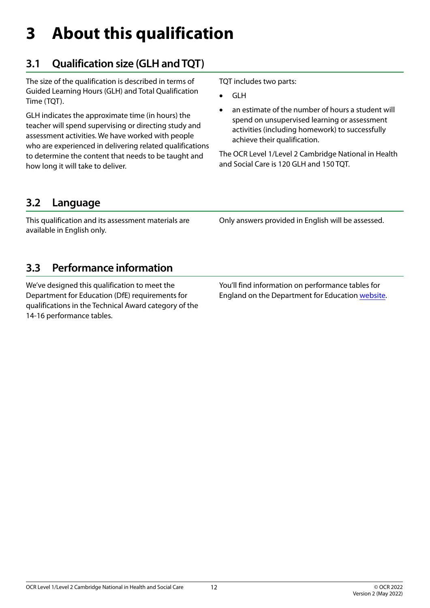# <span id="page-11-0"></span>**3 About this qualification**

# **3.1 Qualification size (GLH and TQT)**

The size of the qualification is described in terms of Guided Learning Hours (GLH) and Total Qualification Time (TQT).

GLH indicates the approximate time (in hours) the teacher will spend supervising or directing study and assessment activities. We have worked with people who are experienced in delivering related qualifications to determine the content that needs to be taught and how long it will take to deliver.

TQT includes two parts:

- **GLH**
- an estimate of the number of hours a student will spend on unsupervised learning or assessment activities (including homework) to successfully achieve their qualification.

The OCR Level 1/Level 2 Cambridge National in Health and Social Care is 120 GLH and 150 TQT.

# **3.2 Language**

This qualification and its assessment materials are available in English only.

Only answers provided in English will be assessed.

# **3.3 Performance information**

We've designed this qualification to meet the Department for Education (DfE) requirements for qualifications in the Technical Award category of the 14-16 performance tables.

You'll find information on performance tables for England on the Department for Education [website.](https://www.gov.uk/government/organisations/department-for-education)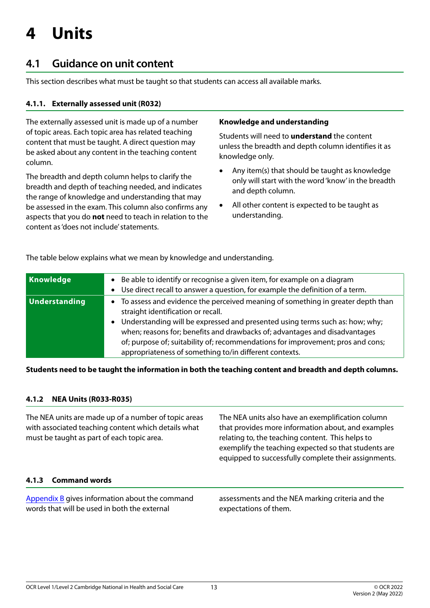# <span id="page-12-0"></span>**4 Units**

# **4.1 Guidance on unit content**

This section describes what must be taught so that students can access all available marks.

#### **4.1.1. Externally assessed unit (R032)**

The externally assessed unit is made up of a number of topic areas. Each topic area has related teaching content that must be taught. A direct question may be asked about any content in the teaching content column.

The breadth and depth column helps to clarify the breadth and depth of teaching needed, and indicates the range of knowledge and understanding that may be assessed in the exam. This column also confirms any aspects that you do **not** need to teach in relation to the content as 'does not include' statements.

#### **Knowledge and understanding**

Students will need to **understand** the content unless the breadth and depth column identifies it as knowledge only.

- Any item(s) that should be taught as knowledge only will start with the word 'know' in the breadth and depth column.
- All other content is expected to be taught as understanding.

The table below explains what we mean by knowledge and understanding.

| Knowledge            | Be able to identify or recognise a given item, for example on a diagram<br>Use direct recall to answer a question, for example the definition of a term.<br>$\bullet$                                                                                                                                                                                                                                                                         |
|----------------------|-----------------------------------------------------------------------------------------------------------------------------------------------------------------------------------------------------------------------------------------------------------------------------------------------------------------------------------------------------------------------------------------------------------------------------------------------|
| <b>Understanding</b> | To assess and evidence the perceived meaning of something in greater depth than<br>$\bullet$<br>straight identification or recall.<br>Understanding will be expressed and presented using terms such as: how; why;<br>when; reasons for; benefits and drawbacks of; advantages and disadvantages<br>of; purpose of; suitability of; recommendations for improvement; pros and cons;<br>appropriateness of something to/in different contexts. |

#### **Students need to be taught the information in both the teaching content and breadth and depth columns.**

#### **4.1.2 NEA Units (R033-R035)**

The NEA units are made up of a number of topic areas with associated teaching content which details what must be taught as part of each topic area. The NEA units also have an exemplification column that provides more information about, and examples relating to, the teaching content. This helps to exemplify the teaching expected so that students are equipped to successfully complete their assignments.

#### **4.1.3 Command words**

[Appendix B](#page-68-1) gives information about the command words that will be used in both the external

assessments and the NEA marking criteria and the expectations of them.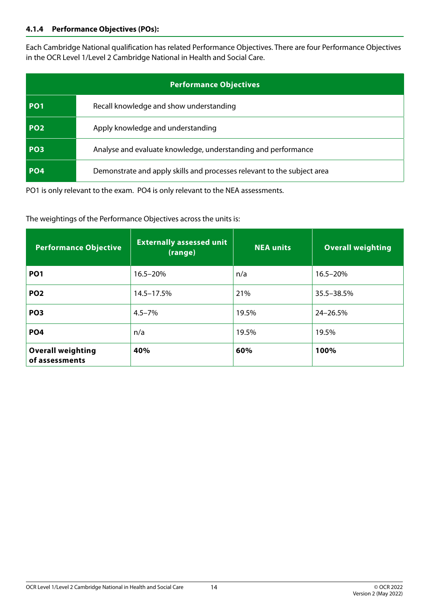#### **4.1.4 Performance Objectives (POs):**

Each Cambridge National qualification has related Performance Objectives. There are four Performance Objectives in the OCR Level 1/Level 2 Cambridge National in Health and Social Care.

|                 | <b>Performance Objectives</b>                                           |
|-----------------|-------------------------------------------------------------------------|
| PO <sub>1</sub> | Recall knowledge and show understanding                                 |
| <b>PO2</b>      | Apply knowledge and understanding                                       |
| PO <sub>3</sub> | Analyse and evaluate knowledge, understanding and performance           |
| <b>PO4</b>      | Demonstrate and apply skills and processes relevant to the subject area |

PO1 is only relevant to the exam. PO4 is only relevant to the NEA assessments.

The weightings of the Performance Objectives across the units is:

| <b>Performance Objective</b>               | <b>Externally assessed unit</b><br>(range) | <b>NEA units</b> | <b>Overall weighting</b> |
|--------------------------------------------|--------------------------------------------|------------------|--------------------------|
| PO <sub>1</sub>                            | 16.5-20%                                   | n/a              | 16.5-20%                 |
| PO <sub>2</sub>                            | 14.5-17.5%                                 | 21%              | 35.5–38.5%               |
| PO <sub>3</sub>                            | $4.5 - 7%$                                 | 19.5%            | 24-26.5%                 |
| PO <sub>4</sub>                            | n/a                                        | 19.5%            | 19.5%                    |
| <b>Overall weighting</b><br>of assessments | 40%                                        | 60%              | 100%                     |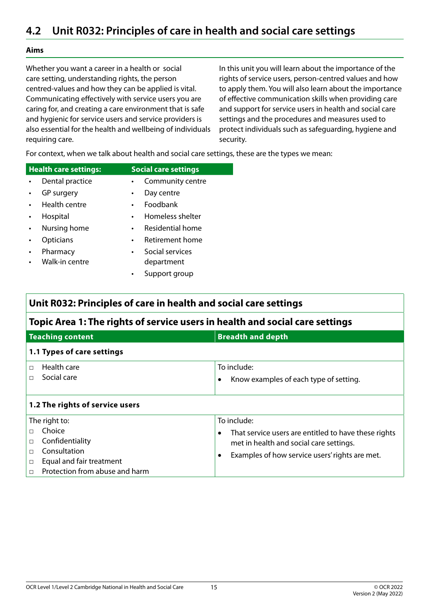#### <span id="page-14-0"></span>**Aims**

Whether you want a career in a health or social care setting, understanding rights, the person centred-values and how they can be applied is vital. Communicating effectively with service users you are caring for, and creating a care environment that is safe and hygienic for service users and service providers is also essential for the health and wellbeing of individuals requiring care.

In this unit you will learn about the importance of the rights of service users, person-centred values and how to apply them. You will also learn about the importance of effective communication skills when providing care and support for service users in health and social care settings and the procedures and measures used to protect individuals such as safeguarding, hygiene and security.

For context, when we talk about health and social care settings, these are the types we mean:

| <b>Health care settings:</b> | <b>Social care settings</b>     |
|------------------------------|---------------------------------|
| Dental practice<br>$\bullet$ | Community centre<br>$\bullet$ . |
| GP surgery<br>$\bullet$ .    | Day centre<br>$\bullet$         |
| Health centre<br>$\bullet$   | Foodbank<br>$\bullet$           |
| Hospital                     | Homeless shelter<br>$\bullet$   |
| Nursing home                 | Residential home<br>$\bullet$   |
|                              |                                 |

- Opticians Retirement home
- 
- **Pharmacy** Walk-in centre
- Social services department
- Support group

#### **Unit R032: Principles of care in health and social care settings**

#### **Topic Area 1: The rights of service users in health and social care settings**

| <b>Teaching content</b>                                                                                                                      | <b>Breadth and depth</b>                                                                                                                                                                   |
|----------------------------------------------------------------------------------------------------------------------------------------------|--------------------------------------------------------------------------------------------------------------------------------------------------------------------------------------------|
| 1.1 Types of care settings                                                                                                                   |                                                                                                                                                                                            |
| Health care<br>П<br>Social care<br>П                                                                                                         | To include:<br>Know examples of each type of setting.                                                                                                                                      |
| 1.2 The rights of service users                                                                                                              |                                                                                                                                                                                            |
| The right to:<br>Choice<br>Confidentiality<br>□<br>Consultation<br>Equal and fair treatment<br>$\Box$<br>Protection from abuse and harm<br>П | To include:<br>That service users are entitled to have these rights<br>$\bullet$<br>met in health and social care settings.<br>Examples of how service users' rights are met.<br>$\bullet$ |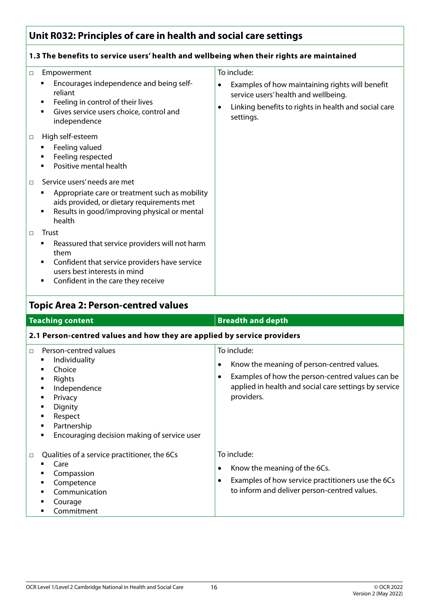#### **1.3 The benefits to service users' health and wellbeing when their rights are maintained**

| $\Box$ | Empowerment<br>Encourages independence and being self-<br>reliant<br>Feeling in control of their lives<br>Gives service users choice, control and<br>independence                      | To include:<br>Examples of how maintaining rights will benefit<br>٠<br>service users' health and wellbeing.<br>Linking benefits to rights in health and social care<br>٠<br>settings. |
|--------|----------------------------------------------------------------------------------------------------------------------------------------------------------------------------------------|---------------------------------------------------------------------------------------------------------------------------------------------------------------------------------------|
| $\Box$ | High self-esteem<br>Feeling valued<br>Feeling respected<br>Positive mental health                                                                                                      |                                                                                                                                                                                       |
| $\Box$ | Service users' needs are met<br>Appropriate care or treatment such as mobility<br>aids provided, or dietary requirements met<br>Results in good/improving physical or mental<br>health |                                                                                                                                                                                       |
| $\Box$ | Trust<br>Reassured that service providers will not harm<br>them<br>Confident that service providers have service<br>users best interests in mind<br>Confident in the care they receive |                                                                                                                                                                                       |

### **Topic Area 2: Person-centred values**

| <b>Teaching content</b>                                                                                                                                                                                                          | <b>Breadth and depth</b>                                                                                                                                                                               |  |
|----------------------------------------------------------------------------------------------------------------------------------------------------------------------------------------------------------------------------------|--------------------------------------------------------------------------------------------------------------------------------------------------------------------------------------------------------|--|
| 2.1 Person-centred values and how they are applied by service providers                                                                                                                                                          |                                                                                                                                                                                                        |  |
| Person-centred values<br>$\Box$<br>Individuality<br>٠<br>Choice<br>٠<br>Rights<br>٠<br>Independence<br>٠<br>Privacy<br>٠<br>Dignity<br>٠<br>Respect<br>٠<br>Partnership<br>٠<br>Encouraging decision making of service user<br>٠ | To include:<br>Know the meaning of person-centred values.<br>٠<br>Examples of how the person-centred values can be<br>$\bullet$<br>applied in health and social care settings by service<br>providers. |  |
| Qualities of a service practitioner, the 6Cs<br>$\Box$<br>Care<br>Compassion<br>Competence<br>٠<br>Communication<br>Courage<br>Commitment                                                                                        | To include:<br>Know the meaning of the 6Cs.<br>٠<br>Examples of how service practitioners use the 6Cs<br>$\bullet$<br>to inform and deliver person-centred values.                                     |  |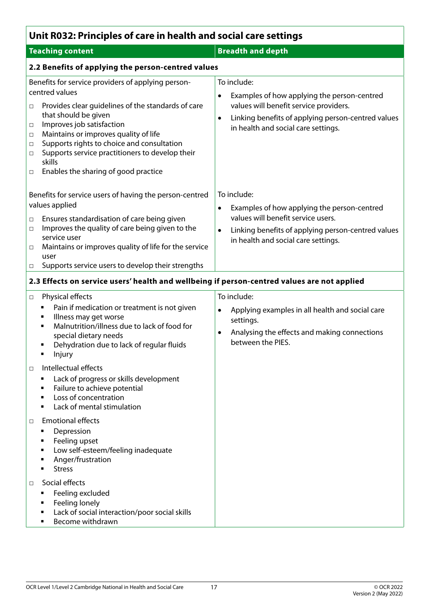| Unit R032: Principles of care in health and social care settings                                                                                                                                                                                                                                                                                                                                                                               |                                                                                                                                                                                                                         |  |  |
|------------------------------------------------------------------------------------------------------------------------------------------------------------------------------------------------------------------------------------------------------------------------------------------------------------------------------------------------------------------------------------------------------------------------------------------------|-------------------------------------------------------------------------------------------------------------------------------------------------------------------------------------------------------------------------|--|--|
| <b>Teaching content</b>                                                                                                                                                                                                                                                                                                                                                                                                                        | <b>Breadth and depth</b>                                                                                                                                                                                                |  |  |
| 2.2 Benefits of applying the person-centred values                                                                                                                                                                                                                                                                                                                                                                                             |                                                                                                                                                                                                                         |  |  |
| Benefits for service providers of applying person-<br>centred values<br>Provides clear guidelines of the standards of care<br>$\Box$<br>that should be given<br>Improves job satisfaction<br>$\Box$<br>Maintains or improves quality of life<br>$\Box$<br>Supports rights to choice and consultation<br>$\Box$<br>Supports service practitioners to develop their<br>$\Box$<br>skills<br>Enables the sharing of good practice<br>$\Box$        | To include:<br>Examples of how applying the person-centred<br>values will benefit service providers.<br>Linking benefits of applying person-centred values<br>$\bullet$<br>in health and social care settings.          |  |  |
| Benefits for service users of having the person-centred<br>values applied<br>Ensures standardisation of care being given<br>$\Box$<br>Improves the quality of care being given to the<br>$\Box$<br>service user<br>Maintains or improves quality of life for the service<br>$\Box$<br>user<br>Supports service users to develop their strengths<br>$\Box$                                                                                      | To include:<br>Examples of how applying the person-centred<br>$\bullet$<br>values will benefit service users.<br>Linking benefits of applying person-centred values<br>$\bullet$<br>in health and social care settings. |  |  |
| 2.3 Effects on service users' health and wellbeing if person-centred values are not applied                                                                                                                                                                                                                                                                                                                                                    |                                                                                                                                                                                                                         |  |  |
| Physical effects<br>$\Box$<br>Pain if medication or treatment is not given<br>٠<br>Illness may get worse<br>٠<br>Malnutrition/illness due to lack of food for<br>٠<br>special dietary needs<br>Dehydration due to lack of regular fluids<br>٠<br>Injury<br>٠<br>Intellectual effects<br>$\Box$<br>Lack of progress or skills development<br>٠<br>Failure to achieve potential<br>Loss of concentration<br>٠<br>Lack of mental stimulation<br>٠ | To include:<br>Applying examples in all health and social care<br>$\bullet$<br>settings.<br>Analysing the effects and making connections<br>$\bullet$<br>between the PIES.                                              |  |  |
| <b>Emotional effects</b><br>$\Box$<br>Depression<br>п<br>Feeling upset<br>Low self-esteem/feeling inadequate<br>п<br>Anger/frustration<br><b>Stress</b>                                                                                                                                                                                                                                                                                        |                                                                                                                                                                                                                         |  |  |
| Social effects<br>$\Box$<br>Feeling excluded<br>Feeling lonely<br>٠<br>Lack of social interaction/poor social skills<br>٠<br>Become withdrawn<br>٠                                                                                                                                                                                                                                                                                             |                                                                                                                                                                                                                         |  |  |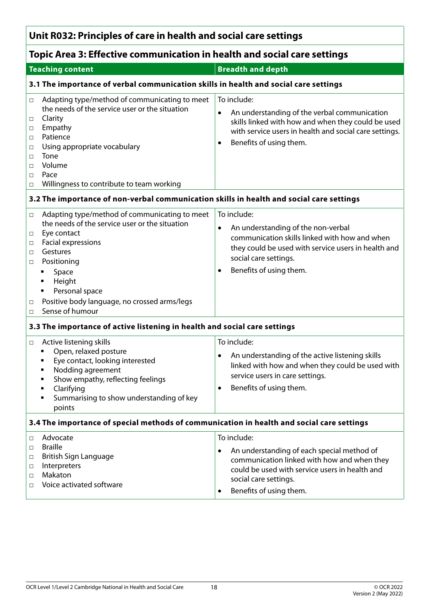# **Topic Area 3: Effective communication in health and social care settings**

| <b>Teaching content</b>                                                                                                                                                                                                                                                                                                                                      | <b>Breadth and depth</b>                                                                                                                                                                                                         |  |  |  |
|--------------------------------------------------------------------------------------------------------------------------------------------------------------------------------------------------------------------------------------------------------------------------------------------------------------------------------------------------------------|----------------------------------------------------------------------------------------------------------------------------------------------------------------------------------------------------------------------------------|--|--|--|
|                                                                                                                                                                                                                                                                                                                                                              | 3.1 The importance of verbal communication skills in health and social care settings                                                                                                                                             |  |  |  |
| Adapting type/method of communicating to meet<br>$\Box$<br>the needs of the service user or the situation<br>Clarity<br>$\Box$<br>Empathy<br>$\Box$<br>Patience<br>$\Box$<br>Using appropriate vocabulary<br>$\Box$<br>Tone<br>$\Box$<br>Volume<br>$\Box$<br>Pace<br>□<br>Willingness to contribute to team working<br>$\Box$                                | To include:<br>An understanding of the verbal communication<br>$\bullet$<br>skills linked with how and when they could be used<br>with service users in health and social care settings.<br>Benefits of using them.<br>$\bullet$ |  |  |  |
| 3.2 The importance of non-verbal communication skills in health and social care settings                                                                                                                                                                                                                                                                     |                                                                                                                                                                                                                                  |  |  |  |
| Adapting type/method of communicating to meet<br>$\Box$<br>the needs of the service user or the situation<br>Eye contact<br>$\Box$<br>Facial expressions<br>$\Box$<br>Gestures<br>$\Box$<br>Positioning<br>$\Box$<br>Space<br>٠<br>Height<br>٠<br>Personal space<br>٠<br>Positive body language, no crossed arms/legs<br>$\Box$<br>Sense of humour<br>$\Box$ | To include:<br>An understanding of the non-verbal<br>$\bullet$<br>communication skills linked with how and when<br>they could be used with service users in health and<br>social care settings.<br>Benefits of using them.<br>٠  |  |  |  |
| 3.3 The importance of active listening in health and social care settings                                                                                                                                                                                                                                                                                    |                                                                                                                                                                                                                                  |  |  |  |
| Active listening skills<br>$\Box$<br>Open, relaxed posture<br>٠<br>Eye contact, looking interested<br>Nodding agreement<br>Show empathy, reflecting feelings<br>Clarifying<br>٠<br>Summarising to show understanding of key<br>٠<br>points                                                                                                                   | To include:<br>An understanding of the active listening skills<br>$\bullet$<br>linked with how and when they could be used with<br>service users in care settings.<br>Benefits of using them.<br>$\bullet$                       |  |  |  |
| 3.4 The importance of special methods of communication in health and social care settings                                                                                                                                                                                                                                                                    |                                                                                                                                                                                                                                  |  |  |  |
| Advocate<br>$\Box$<br><b>Braille</b><br>$\Box$<br>British Sign Language<br>□<br>Interpreters<br>□<br>Makaton<br>$\Box$<br>Voice activated software<br>$\Box$                                                                                                                                                                                                 | To include:<br>An understanding of each special method of<br>$\bullet$<br>communication linked with how and when they<br>could be used with service users in health and<br>social care settings.<br>Benefits of using them.<br>٠ |  |  |  |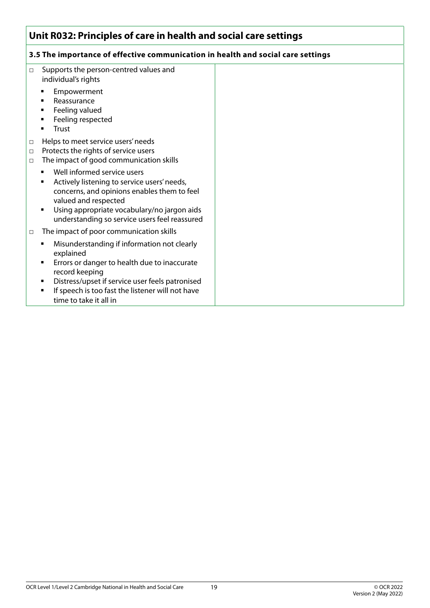#### **3.5 The importance of effective communication in health and social care settings**

| $\Box$                     | Supports the person-centred values and<br>individual's rights                                                                                                                                                                                     |  |
|----------------------------|---------------------------------------------------------------------------------------------------------------------------------------------------------------------------------------------------------------------------------------------------|--|
|                            | Empowerment<br>Reassurance<br>Feeling valued<br>٠<br>Feeling respected<br>Trust                                                                                                                                                                   |  |
| $\Box$<br>$\Box$<br>$\Box$ | Helps to meet service users' needs<br>Protects the rights of service users<br>The impact of good communication skills                                                                                                                             |  |
|                            | Well informed service users<br>Actively listening to service users' needs,<br>concerns, and opinions enables them to feel<br>valued and respected<br>Using appropriate vocabulary/no jargon aids<br>understanding so service users feel reassured |  |
| $\Box$                     | The impact of poor communication skills                                                                                                                                                                                                           |  |
|                            | Misunderstanding if information not clearly<br>explained<br>Errors or danger to health due to inaccurate<br>record keeping<br>Distress/upset if service user feels patronised<br>٠<br>If speech is too fast the listener will not have            |  |
|                            | time to take it all in                                                                                                                                                                                                                            |  |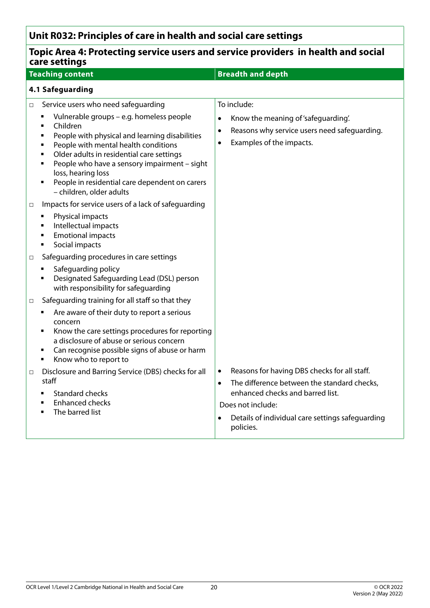| Topic Area 4: Protecting service users and service providers in health and social<br>care settings                                                                                                                                                                                                                                                                                                                             |                                                                                                                                                                                                                                                      |  |
|--------------------------------------------------------------------------------------------------------------------------------------------------------------------------------------------------------------------------------------------------------------------------------------------------------------------------------------------------------------------------------------------------------------------------------|------------------------------------------------------------------------------------------------------------------------------------------------------------------------------------------------------------------------------------------------------|--|
| <b>Teaching content</b>                                                                                                                                                                                                                                                                                                                                                                                                        | <b>Breadth and depth</b>                                                                                                                                                                                                                             |  |
| 4.1 Safeguarding                                                                                                                                                                                                                                                                                                                                                                                                               |                                                                                                                                                                                                                                                      |  |
| Service users who need safeguarding<br>$\Box$<br>Vulnerable groups - e.g. homeless people<br>Children<br>٠<br>People with physical and learning disabilities<br>٠<br>People with mental health conditions<br>٠<br>Older adults in residential care settings<br>٠<br>People who have a sensory impairment - sight<br>٠<br>loss, hearing loss<br>People in residential care dependent on carers<br>٠<br>- children, older adults | To include:<br>Know the meaning of 'safeguarding'.<br>$\bullet$<br>Reasons why service users need safeguarding.<br>$\bullet$<br>Examples of the impacts.<br>$\bullet$                                                                                |  |
| Impacts for service users of a lack of safeguarding<br>□<br>Physical impacts<br>Intellectual impacts<br><b>Emotional impacts</b><br>٠<br>Social impacts<br>٠                                                                                                                                                                                                                                                                   |                                                                                                                                                                                                                                                      |  |
| Safeguarding procedures in care settings<br>□<br>Safeguarding policy<br>Designated Safeguarding Lead (DSL) person<br>with responsibility for safeguarding                                                                                                                                                                                                                                                                      |                                                                                                                                                                                                                                                      |  |
| Safeguarding training for all staff so that they<br>□<br>Are aware of their duty to report a serious<br>٠<br>concern<br>Know the care settings procedures for reporting<br>a disclosure of abuse or serious concern<br>Can recognise possible signs of abuse or harm<br>Know who to report to<br>٠                                                                                                                             |                                                                                                                                                                                                                                                      |  |
| Disclosure and Barring Service (DBS) checks for all<br>□<br>staff<br><b>Standard checks</b><br><b>Enhanced checks</b><br>The barred list<br>■                                                                                                                                                                                                                                                                                  | Reasons for having DBS checks for all staff.<br>$\bullet$<br>The difference between the standard checks,<br>$\bullet$<br>enhanced checks and barred list.<br>Does not include:<br>Details of individual care settings safeguarding<br>٠<br>policies. |  |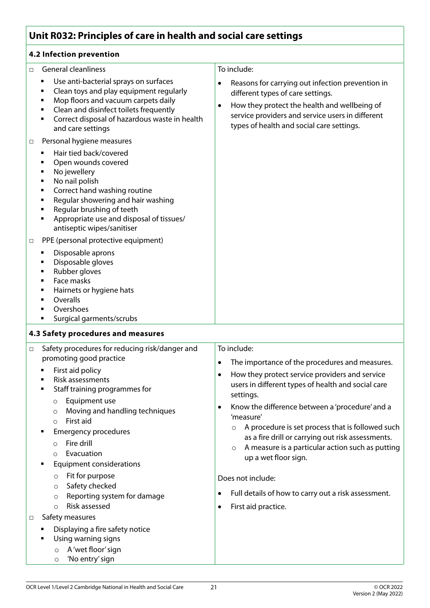#### **4.2 Infection prevention**

| <b>General cleanliness</b><br>$\Box$                                                                                                                                                                                                                                                       | To include:                                                                                                                                                                                                                                                                                                                                                                                                            |
|--------------------------------------------------------------------------------------------------------------------------------------------------------------------------------------------------------------------------------------------------------------------------------------------|------------------------------------------------------------------------------------------------------------------------------------------------------------------------------------------------------------------------------------------------------------------------------------------------------------------------------------------------------------------------------------------------------------------------|
| Use anti-bacterial sprays on surfaces<br>٠<br>Clean toys and play equipment regularly<br>٠<br>Mop floors and vacuum carpets daily<br>٠<br>Clean and disinfect toilets frequently<br>٠<br>Correct disposal of hazardous waste in health<br>٠<br>and care settings                           | Reasons for carrying out infection prevention in<br>$\bullet$<br>different types of care settings.<br>How they protect the health and wellbeing of<br>$\bullet$<br>service providers and service users in different<br>types of health and social care settings.                                                                                                                                                       |
| Personal hygiene measures<br>$\Box$                                                                                                                                                                                                                                                        |                                                                                                                                                                                                                                                                                                                                                                                                                        |
| Hair tied back/covered<br>٠<br>Open wounds covered<br>No jewellery<br>٠<br>No nail polish<br>٠<br>Correct hand washing routine<br>٠<br>Regular showering and hair washing<br>٠<br>Regular brushing of teeth<br>Appropriate use and disposal of tissues/<br>٠<br>antiseptic wipes/sanitiser |                                                                                                                                                                                                                                                                                                                                                                                                                        |
| PPE (personal protective equipment)<br>$\Box$                                                                                                                                                                                                                                              |                                                                                                                                                                                                                                                                                                                                                                                                                        |
| Disposable aprons<br>Disposable gloves<br>Rubber gloves<br>٠<br>Face masks<br>٠<br>Hairnets or hygiene hats<br>٠<br>Overalls<br>٠<br>Overshoes<br>Surgical garments/scrubs<br>٠                                                                                                            |                                                                                                                                                                                                                                                                                                                                                                                                                        |
| 4.3 Safety procedures and measures                                                                                                                                                                                                                                                         |                                                                                                                                                                                                                                                                                                                                                                                                                        |
| Safety procedures for reducing risk/danger and<br>$\Box$                                                                                                                                                                                                                                   | To include:                                                                                                                                                                                                                                                                                                                                                                                                            |
| promoting good practice                                                                                                                                                                                                                                                                    | The importance of the procedures and measures.<br>$\bullet$                                                                                                                                                                                                                                                                                                                                                            |
| First aid policy<br>Risk assessments<br>Staff training programmes for<br>٠<br>Equipment use<br>$\circ$<br>Moving and handling techniques<br>$\circ$<br>First aid<br>$\circ$<br><b>Emergency procedures</b><br>Fire drill<br>$\Omega$<br>Evacuation<br>$\circ$                              | How they protect service providers and service<br>$\bullet$<br>users in different types of health and social care<br>settings.<br>Know the difference between a 'procedure' and a<br>$\bullet$<br>'measure'<br>A procedure is set process that is followed such<br>$\circ$<br>as a fire drill or carrying out risk assessments.<br>A measure is a particular action such as putting<br>$\circ$<br>up a wet floor sign. |
| <b>Equipment considerations</b>                                                                                                                                                                                                                                                            |                                                                                                                                                                                                                                                                                                                                                                                                                        |
| Fit for purpose<br>$\circ$<br>Safety checked<br>$\circ$                                                                                                                                                                                                                                    | Does not include:<br>Full details of how to carry out a risk assessment.<br>$\bullet$                                                                                                                                                                                                                                                                                                                                  |
| Reporting system for damage<br>$\circ$<br>Risk assessed<br>$\Omega$                                                                                                                                                                                                                        | First aid practice.<br>$\bullet$                                                                                                                                                                                                                                                                                                                                                                                       |
| Safety measures<br>$\Box$                                                                                                                                                                                                                                                                  |                                                                                                                                                                                                                                                                                                                                                                                                                        |
| Displaying a fire safety notice<br>Using warning signs<br>A 'wet floor' sign<br>$\circ$<br>'No entry' sign<br>$\circ$                                                                                                                                                                      |                                                                                                                                                                                                                                                                                                                                                                                                                        |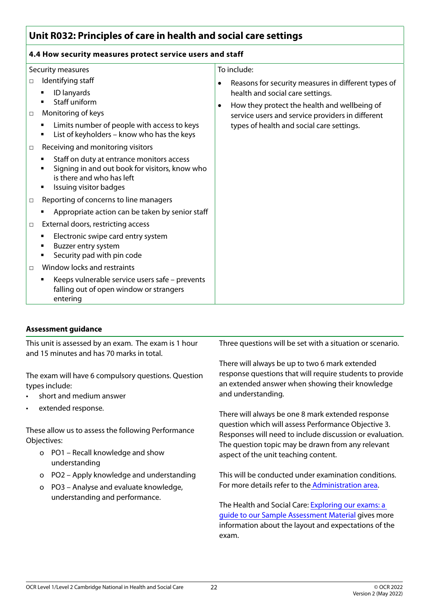#### **4.4 How security measures protect service users and staff**

|                  | Security measures                                                                                                                                                                       | To include:                                                                                                                                                                                                                                                |
|------------------|-----------------------------------------------------------------------------------------------------------------------------------------------------------------------------------------|------------------------------------------------------------------------------------------------------------------------------------------------------------------------------------------------------------------------------------------------------------|
| $\Box$<br>$\Box$ | Identifying staff<br>ID lanyards<br>Staff uniform<br>Monitoring of keys<br>Limits number of people with access to keys<br>List of keyholders - know who has the keys                    | Reasons for security measures in different types of<br>٠<br>health and social care settings.<br>How they protect the health and wellbeing of<br>$\bullet$<br>service users and service providers in different<br>types of health and social care settings. |
| $\Box$           | Receiving and monitoring visitors<br>Staff on duty at entrance monitors access<br>Signing in and out book for visitors, know who<br>is there and who has left<br>Issuing visitor badges |                                                                                                                                                                                                                                                            |
| $\Box$           | Reporting of concerns to line managers<br>Appropriate action can be taken by senior staff                                                                                               |                                                                                                                                                                                                                                                            |
| $\Box$           | External doors, restricting access                                                                                                                                                      |                                                                                                                                                                                                                                                            |
|                  | Electronic swipe card entry system<br>Buzzer entry system<br>Security pad with pin code                                                                                                 |                                                                                                                                                                                                                                                            |
| $\Box$           | Window locks and restraints                                                                                                                                                             |                                                                                                                                                                                                                                                            |
|                  | Keeps vulnerable service users safe - prevents<br>٠<br>falling out of open window or strangers<br>entering                                                                              |                                                                                                                                                                                                                                                            |

#### **Assessment guidance**

| This unit is assessed by an exam. The exam is 1 hour<br>and 15 minutes and has 70 marks in total.                       | Three questions will be set with a situation or scenario.                                                                                                                                                                                                         |
|-------------------------------------------------------------------------------------------------------------------------|-------------------------------------------------------------------------------------------------------------------------------------------------------------------------------------------------------------------------------------------------------------------|
| The exam will have 6 compulsory questions. Question<br>types include:<br>short and medium answer<br>$\bullet$           | There will always be up to two 6 mark extended<br>response questions that will require students to provide<br>an extended answer when showing their knowledge<br>and understanding.                                                                               |
| extended response.<br>$\bullet$                                                                                         | There will always be one 8 mark extended response<br>question which will assess Performance Objective 3.<br>Responses will need to include discussion or evaluation.<br>The question topic may be drawn from any relevant<br>aspect of the unit teaching content. |
| These allow us to assess the following Performance<br>Objectives:<br>o PO1 – Recall knowledge and show<br>understanding |                                                                                                                                                                                                                                                                   |
| PO2 - Apply knowledge and understanding<br>$\circ$<br>PO3 - Analyse and evaluate knowledge,<br>$\mathsf{o}$             | This will be conducted under examination conditions.<br>For more details refer to the Administration area.                                                                                                                                                        |
| understanding and performance.                                                                                          | The Health and Social Care: Exploring our exams: a<br>guide to our Sample Assessment Material gives more<br>information about the layout and expectations of the<br>exam.                                                                                         |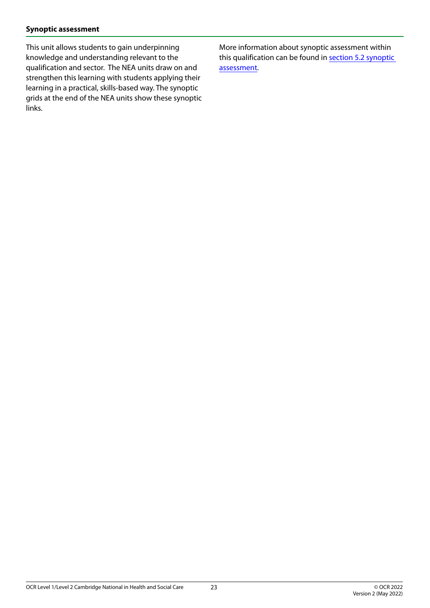#### **Synoptic assessment**

This unit allows students to gain underpinning knowledge and understanding relevant to the qualification and sector. The NEA units draw on and strengthen this learning with students applying their learning in a practical, skills-based way. The synoptic grids at the end of the NEA units show these synoptic links.

More information about synoptic assessment within this qualification can be found in [section 5.2 synoptic](#page-48-1)  [assessment](#page-48-1).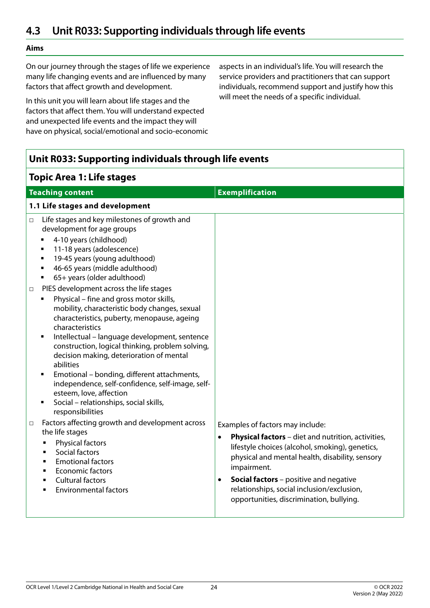# <span id="page-23-0"></span>**4.3 Unit R033: Supporting individuals through life events**

#### **Aims**

On our journey through the stages of life we experience many life changing events and are influenced by many factors that affect growth and development.

In this unit you will learn about life stages and the factors that affect them. You will understand expected and unexpected life events and the impact they will have on physical, social/emotional and socio-economic aspects in an individual's life. You will research the service providers and practitioners that can support individuals, recommend support and justify how this will meet the needs of a specific individual.

| Unit R033: Supporting individuals through life events                                                                                                                                                                                                                                                                                                                                                                                                                                                                                                                               |                                                                                                                                                                                                                                                                                                                                                                                 |  |
|-------------------------------------------------------------------------------------------------------------------------------------------------------------------------------------------------------------------------------------------------------------------------------------------------------------------------------------------------------------------------------------------------------------------------------------------------------------------------------------------------------------------------------------------------------------------------------------|---------------------------------------------------------------------------------------------------------------------------------------------------------------------------------------------------------------------------------------------------------------------------------------------------------------------------------------------------------------------------------|--|
| <b>Topic Area 1: Life stages</b>                                                                                                                                                                                                                                                                                                                                                                                                                                                                                                                                                    |                                                                                                                                                                                                                                                                                                                                                                                 |  |
| <b>Teaching content</b>                                                                                                                                                                                                                                                                                                                                                                                                                                                                                                                                                             | <b>Exemplification</b>                                                                                                                                                                                                                                                                                                                                                          |  |
| 1.1 Life stages and development                                                                                                                                                                                                                                                                                                                                                                                                                                                                                                                                                     |                                                                                                                                                                                                                                                                                                                                                                                 |  |
| Life stages and key milestones of growth and<br>$\Box$<br>development for age groups<br>4-10 years (childhood)<br>$\blacksquare$<br>11-18 years (adolescence)<br>$\blacksquare$<br>19-45 years (young adulthood)<br>$\blacksquare$<br>46-65 years (middle adulthood)<br>٠<br>65+ years (older adulthood)<br>٠                                                                                                                                                                                                                                                                       |                                                                                                                                                                                                                                                                                                                                                                                 |  |
| PIES development across the life stages<br>$\Box$<br>Physical – fine and gross motor skills,<br>mobility, characteristic body changes, sexual<br>characteristics, puberty, menopause, ageing<br>characteristics<br>Intellectual - language development, sentence<br>٠<br>construction, logical thinking, problem solving,<br>decision making, deterioration of mental<br>abilities<br>Emotional - bonding, different attachments,<br>٠<br>independence, self-confidence, self-image, self-<br>esteem, love, affection<br>Social - relationships, social skills,<br>responsibilities |                                                                                                                                                                                                                                                                                                                                                                                 |  |
| Factors affecting growth and development across<br>$\Box$<br>the life stages<br>Physical factors<br>п<br>Social factors<br>$\blacksquare$<br><b>Emotional factors</b><br>п<br><b>Economic factors</b><br>п<br><b>Cultural factors</b><br>п<br><b>Environmental factors</b><br>п                                                                                                                                                                                                                                                                                                     | Examples of factors may include:<br><b>Physical factors</b> - diet and nutrition, activities,<br>$\bullet$<br>lifestyle choices (alcohol, smoking), genetics,<br>physical and mental health, disability, sensory<br>impairment.<br><b>Social factors</b> - positive and negative<br>٠<br>relationships, social inclusion/exclusion,<br>opportunities, discrimination, bullying. |  |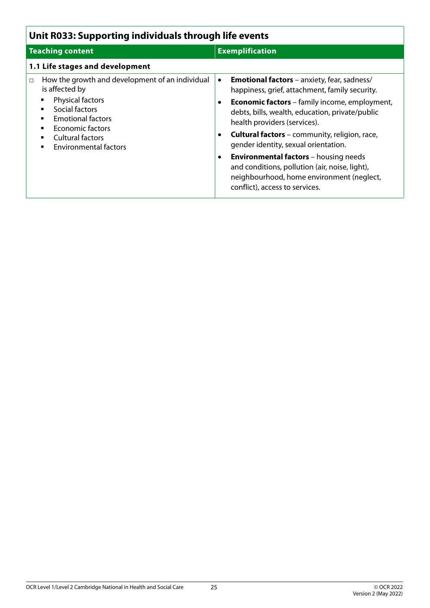| Unit R033: Supporting individuals through life events                                                                                                                                                                               |                                                                                                                                                                                                                                                                                                                                                                                                                                                                                                                                                                         |  |
|-------------------------------------------------------------------------------------------------------------------------------------------------------------------------------------------------------------------------------------|-------------------------------------------------------------------------------------------------------------------------------------------------------------------------------------------------------------------------------------------------------------------------------------------------------------------------------------------------------------------------------------------------------------------------------------------------------------------------------------------------------------------------------------------------------------------------|--|
| <b>Teaching content</b>                                                                                                                                                                                                             | <b>Exemplification</b>                                                                                                                                                                                                                                                                                                                                                                                                                                                                                                                                                  |  |
| 1.1 Life stages and development                                                                                                                                                                                                     |                                                                                                                                                                                                                                                                                                                                                                                                                                                                                                                                                                         |  |
| How the growth and development of an individual<br>$\Box$<br>is affected by<br>Physical factors<br>Social factors<br><b>Emotional factors</b><br><b>Economic factors</b><br><b>Cultural factors</b><br><b>Environmental factors</b> | <b>Emotional factors</b> - anxiety, fear, sadness/<br>$\bullet$<br>happiness, grief, attachment, family security.<br><b>Economic factors</b> – family income, employment,<br>debts, bills, wealth, education, private/public<br>health providers (services).<br><b>Cultural factors</b> – community, religion, race,<br>$\bullet$<br>gender identity, sexual orientation.<br><b>Environmental factors</b> - housing needs<br>$\bullet$<br>and conditions, pollution (air, noise, light),<br>neighbourhood, home environment (neglect,<br>conflict), access to services. |  |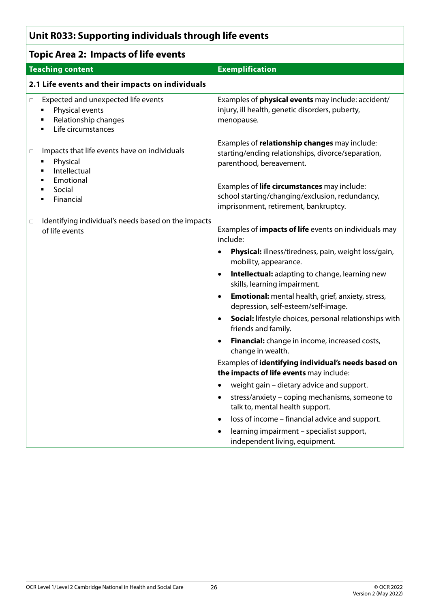# **Unit R033: Supporting individuals through life events**

| <b>Topic Area 2: Impacts of life events</b>                                                                              |                                                                                                                                         |
|--------------------------------------------------------------------------------------------------------------------------|-----------------------------------------------------------------------------------------------------------------------------------------|
| <b>Teaching content</b>                                                                                                  | <b>Exemplification</b>                                                                                                                  |
| 2.1 Life events and their impacts on individuals                                                                         |                                                                                                                                         |
| Expected and unexpected life events<br>□<br>Physical events<br>٠<br>Relationship changes<br>٠<br>Life circumstances<br>٠ | Examples of <b>physical events</b> may include: accident/<br>injury, ill health, genetic disorders, puberty,<br>menopause.              |
| Impacts that life events have on individuals<br>□<br>Physical<br>٠<br>Intellectual<br>٠<br>Emotional<br>٠                | Examples of relationship changes may include:<br>starting/ending relationships, divorce/separation,<br>parenthood, bereavement.         |
| Social<br>٠<br>Financial<br>٠                                                                                            | Examples of life circumstances may include:<br>school starting/changing/exclusion, redundancy,<br>imprisonment, retirement, bankruptcy. |
| Identifying individual's needs based on the impacts<br>□<br>of life events                                               | Examples of <i>impacts of life</i> events on individuals may<br>include:                                                                |
|                                                                                                                          | Physical: illness/tiredness, pain, weight loss/gain,<br>$\bullet$<br>mobility, appearance.                                              |
|                                                                                                                          | Intellectual: adapting to change, learning new<br>$\bullet$<br>skills, learning impairment.                                             |
|                                                                                                                          | <b>Emotional:</b> mental health, grief, anxiety, stress,<br>$\bullet$<br>depression, self-esteem/self-image.                            |
|                                                                                                                          | <b>Social:</b> lifestyle choices, personal relationships with<br>$\bullet$<br>friends and family.                                       |
|                                                                                                                          | Financial: change in income, increased costs,<br>$\bullet$<br>change in wealth.                                                         |
|                                                                                                                          | Examples of identifying individual's needs based on<br>the impacts of life events may include:                                          |
|                                                                                                                          | weight gain - dietary advice and support.<br>$\bullet$                                                                                  |
|                                                                                                                          | stress/anxiety - coping mechanisms, someone to<br>$\bullet$<br>talk to, mental health support.                                          |
|                                                                                                                          | loss of income - financial advice and support.<br>$\bullet$                                                                             |
|                                                                                                                          | learning impairment - specialist support,<br>$\bullet$<br>independent living, equipment.                                                |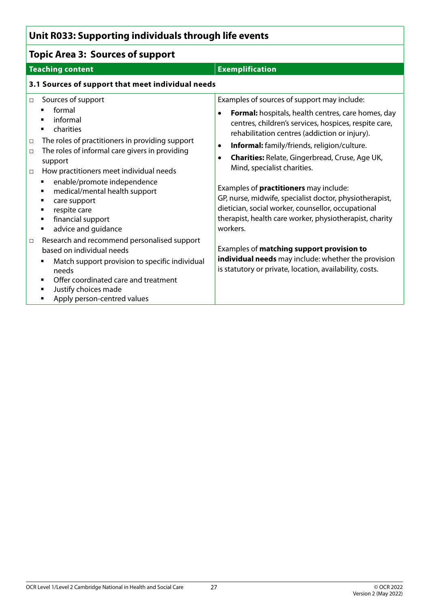# **Unit R033: Supporting individuals through life events**

| <b>Topic Area 3: Sources of support</b>                                                                                                                                                                                                                                                                                                                                                                                                                                                                                                                                                                                                                                                           |                                                                                                                                                                                                                                                                                                                                                                                                                                                                                                                                                                                                                                                                                                                                                                                    |  |
|---------------------------------------------------------------------------------------------------------------------------------------------------------------------------------------------------------------------------------------------------------------------------------------------------------------------------------------------------------------------------------------------------------------------------------------------------------------------------------------------------------------------------------------------------------------------------------------------------------------------------------------------------------------------------------------------------|------------------------------------------------------------------------------------------------------------------------------------------------------------------------------------------------------------------------------------------------------------------------------------------------------------------------------------------------------------------------------------------------------------------------------------------------------------------------------------------------------------------------------------------------------------------------------------------------------------------------------------------------------------------------------------------------------------------------------------------------------------------------------------|--|
| <b>Teaching content</b>                                                                                                                                                                                                                                                                                                                                                                                                                                                                                                                                                                                                                                                                           | <b>Exemplification</b>                                                                                                                                                                                                                                                                                                                                                                                                                                                                                                                                                                                                                                                                                                                                                             |  |
| 3.1 Sources of support that meet individual needs                                                                                                                                                                                                                                                                                                                                                                                                                                                                                                                                                                                                                                                 |                                                                                                                                                                                                                                                                                                                                                                                                                                                                                                                                                                                                                                                                                                                                                                                    |  |
| Sources of support<br>$\Box$<br>formal<br>informal<br>charities<br>٠<br>The roles of practitioners in providing support<br>$\Box$<br>The roles of informal care givers in providing<br>$\Box$<br>support<br>How practitioners meet individual needs<br>$\Box$<br>enable/promote independence<br>٠<br>medical/mental health support<br>٠<br>care support<br>٠<br>respite care<br>٠<br>financial support<br>٠<br>advice and guidance<br>٠<br>Research and recommend personalised support<br>$\Box$<br>based on individual needs<br>Match support provision to specific individual<br>٠<br>needs<br>Offer coordinated care and treatment<br>Justify choices made<br>٠<br>Apply person-centred values | Examples of sources of support may include:<br>Formal: hospitals, health centres, care homes, day<br>$\bullet$<br>centres, children's services, hospices, respite care,<br>rehabilitation centres (addiction or injury).<br>Informal: family/friends, religion/culture.<br>$\bullet$<br><b>Charities: Relate, Gingerbread, Cruse, Age UK,</b><br>٠<br>Mind, specialist charities.<br>Examples of practitioners may include:<br>GP, nurse, midwife, specialist doctor, physiotherapist,<br>dietician, social worker, counsellor, occupational<br>therapist, health care worker, physiotherapist, charity<br>workers.<br>Examples of matching support provision to<br>individual needs may include: whether the provision<br>is statutory or private, location, availability, costs. |  |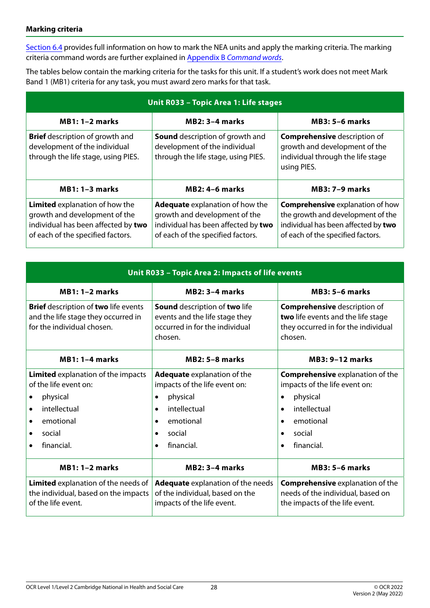#### **Marking criteria**

[Section 6.4](#page-59-1) provides full information on how to mark the NEA units and apply the marking criteria. The marking criteria command words are further explained in Appendix B *[Command words](#page-68-1)*.

The tables below contain the marking criteria for the tasks for this unit. If a student's work does not meet Mark Band 1 (MB1) criteria for any task, you must award zero marks for that task.

| Unit R033 - Topic Area 1: Life stages                                                                                                              |                                                                                                                                                     |                                                                                                                                                          |  |
|----------------------------------------------------------------------------------------------------------------------------------------------------|-----------------------------------------------------------------------------------------------------------------------------------------------------|----------------------------------------------------------------------------------------------------------------------------------------------------------|--|
| $MB1: 1-2 marks$                                                                                                                                   | $MB2: 3-4$ marks                                                                                                                                    | <b>MB3: 5-6 marks</b>                                                                                                                                    |  |
| <b>Brief</b> description of growth and<br>development of the individual<br>through the life stage, using PIES.                                     | <b>Sound</b> description of growth and<br>development of the individual<br>through the life stage, using PIES.                                      | <b>Comprehensive description of</b><br>growth and development of the<br>individual through the life stage<br>using PIES.                                 |  |
| $MB1: 1-3 marks$                                                                                                                                   | <b>MB2: 4-6 marks</b>                                                                                                                               | <b>MB3: 7-9 marks</b>                                                                                                                                    |  |
| <b>Limited</b> explanation of how the<br>growth and development of the<br>individual has been affected by two<br>of each of the specified factors. | <b>Adequate</b> explanation of how the<br>growth and development of the<br>individual has been affected by two<br>of each of the specified factors. | <b>Comprehensive explanation of how</b><br>the growth and development of the<br>individual has been affected by two<br>of each of the specified factors. |  |

| Unit R033 - Topic Area 2: Impacts of life events                                                                                                                                                                                        |                                                                                                                                                                                                |                                                                                                                                                                     |  |
|-----------------------------------------------------------------------------------------------------------------------------------------------------------------------------------------------------------------------------------------|------------------------------------------------------------------------------------------------------------------------------------------------------------------------------------------------|---------------------------------------------------------------------------------------------------------------------------------------------------------------------|--|
| <b>MB1: 1-2 marks</b>                                                                                                                                                                                                                   | $MB2: 3-4$ marks                                                                                                                                                                               | <b>MB3: 5-6 marks</b>                                                                                                                                               |  |
| <b>Brief</b> description of two life events<br><b>Sound</b> description of two life<br>and the life stage they occurred in<br>events and the life stage they<br>for the individual chosen.<br>occurred in for the individual<br>chosen. |                                                                                                                                                                                                | <b>Comprehensive description of</b><br>two life events and the life stage<br>they occurred in for the individual<br>chosen.                                         |  |
| $MB1: 1-4 marks$                                                                                                                                                                                                                        | <b>MB2: 5-8 marks</b>                                                                                                                                                                          | <b>MB3: 9-12 marks</b>                                                                                                                                              |  |
| <b>Limited</b> explanation of the impacts<br>of the life event on:<br>physical<br>intellectual<br>$\bullet$<br>emotional<br>$\bullet$<br>social<br>financial.                                                                           | Adequate explanation of the<br>impacts of the life event on:<br>physical<br>$\bullet$<br>intellectual<br>$\bullet$<br>emotional<br>$\bullet$<br>social<br>$\bullet$<br>financial.<br>$\bullet$ | <b>Comprehensive explanation of the</b><br>impacts of the life event on:<br>physical<br>$\bullet$<br>intellectual<br>emotional<br>social<br>financial.<br>$\bullet$ |  |
| $MB1: 1-2 marks$                                                                                                                                                                                                                        | $MB2: 3-4 marks$                                                                                                                                                                               | <b>MB3: 5-6 marks</b>                                                                                                                                               |  |
| Limited explanation of the needs of<br>the individual, based on the impacts<br>of the life event.                                                                                                                                       | <b>Adequate</b> explanation of the needs<br>of the individual, based on the<br>impacts of the life event.                                                                                      | <b>Comprehensive explanation of the</b><br>needs of the individual, based on<br>the impacts of the life event.                                                      |  |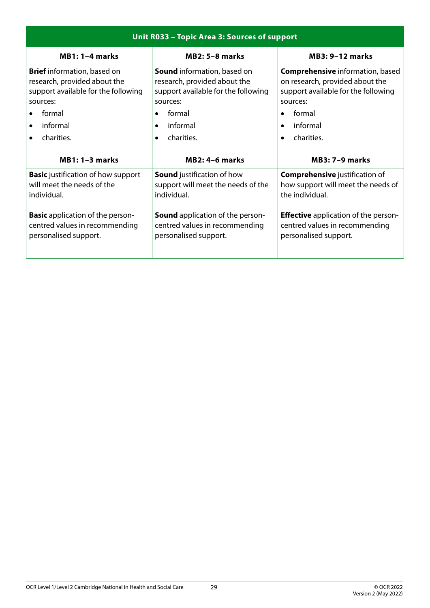| Unit R033 - Topic Area 3: Sources of support |                                         |                                             |  |
|----------------------------------------------|-----------------------------------------|---------------------------------------------|--|
| $MB1:1-4 marks$                              | $MB2: 5-8 marks$                        | <b>MB3: 9-12 marks</b>                      |  |
| <b>Brief</b> information, based on           | <b>Sound</b> information, based on      | <b>Comprehensive</b> information, based     |  |
| research, provided about the                 | research, provided about the            | on research, provided about the             |  |
| support available for the following          | support available for the following     | support available for the following         |  |
| sources:                                     | sources:                                | sources:                                    |  |
| formal                                       | formal                                  | formal                                      |  |
| informal                                     | informal                                | informal                                    |  |
| $\bullet$                                    | $\bullet$                               | $\bullet$                                   |  |
| charities.                                   | charities.                              | charities.                                  |  |
| $\bullet$                                    | $\bullet$                               | $\bullet$                                   |  |
| $MB1: 1-3 marks$                             | <b>MB2: 4-6 marks</b>                   | <b>MB3: 7-9 marks</b>                       |  |
| <b>Basic</b> justification of how support    | <b>Sound</b> justification of how       | <b>Comprehensive</b> justification of       |  |
| will meet the needs of the                   | support will meet the needs of the      | how support will meet the needs of          |  |
| individual.                                  | individual.                             | the individual.                             |  |
| <b>Basic</b> application of the person-      | <b>Sound</b> application of the person- | <b>Effective</b> application of the person- |  |
| centred values in recommending               | centred values in recommending          | centred values in recommending              |  |
| personalised support.                        | personalised support.                   | personalised support.                       |  |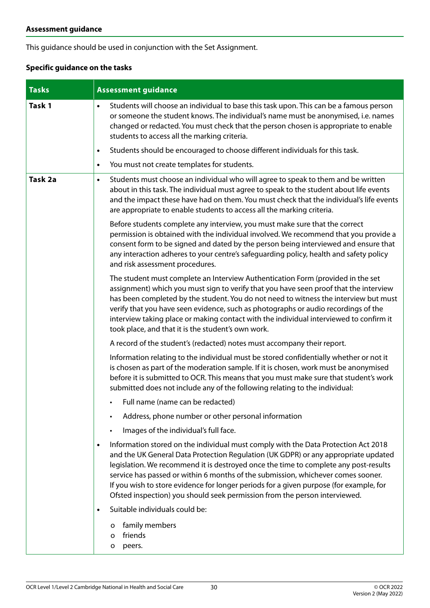This guidance should be used in conjunction with the Set Assignment.

#### **Specific guidance on the tasks**

| <b>Tasks</b> | <b>Assessment guidance</b>                                                                                                                                                                                                                                                                                                                                                                                                                                                                                                                |  |
|--------------|-------------------------------------------------------------------------------------------------------------------------------------------------------------------------------------------------------------------------------------------------------------------------------------------------------------------------------------------------------------------------------------------------------------------------------------------------------------------------------------------------------------------------------------------|--|
| Task 1       | Students will choose an individual to base this task upon. This can be a famous person<br>$\bullet$<br>or someone the student knows. The individual's name must be anonymised, i.e. names<br>changed or redacted. You must check that the person chosen is appropriate to enable<br>students to access all the marking criteria.                                                                                                                                                                                                          |  |
|              | Students should be encouraged to choose different individuals for this task.<br>$\bullet$                                                                                                                                                                                                                                                                                                                                                                                                                                                 |  |
|              | You must not create templates for students.<br>$\bullet$                                                                                                                                                                                                                                                                                                                                                                                                                                                                                  |  |
| Task 2a      | Students must choose an individual who will agree to speak to them and be written<br>٠<br>about in this task. The individual must agree to speak to the student about life events<br>and the impact these have had on them. You must check that the individual's life events<br>are appropriate to enable students to access all the marking criteria.                                                                                                                                                                                    |  |
|              | Before students complete any interview, you must make sure that the correct<br>permission is obtained with the individual involved. We recommend that you provide a<br>consent form to be signed and dated by the person being interviewed and ensure that<br>any interaction adheres to your centre's safeguarding policy, health and safety policy<br>and risk assessment procedures.                                                                                                                                                   |  |
|              | The student must complete an Interview Authentication Form (provided in the set<br>assignment) which you must sign to verify that you have seen proof that the interview<br>has been completed by the student. You do not need to witness the interview but must<br>verify that you have seen evidence, such as photographs or audio recordings of the<br>interview taking place or making contact with the individual interviewed to confirm it<br>took place, and that it is the student's own work.                                    |  |
|              | A record of the student's (redacted) notes must accompany their report.                                                                                                                                                                                                                                                                                                                                                                                                                                                                   |  |
|              | Information relating to the individual must be stored confidentially whether or not it<br>is chosen as part of the moderation sample. If it is chosen, work must be anonymised<br>before it is submitted to OCR. This means that you must make sure that student's work<br>submitted does not include any of the following relating to the individual:                                                                                                                                                                                    |  |
|              | Full name (name can be redacted)                                                                                                                                                                                                                                                                                                                                                                                                                                                                                                          |  |
|              | Address, phone number or other personal information                                                                                                                                                                                                                                                                                                                                                                                                                                                                                       |  |
|              | Images of the individual's full face.                                                                                                                                                                                                                                                                                                                                                                                                                                                                                                     |  |
|              | Information stored on the individual must comply with the Data Protection Act 2018<br>$\bullet$<br>and the UK General Data Protection Regulation (UK GDPR) or any appropriate updated<br>legislation. We recommend it is destroyed once the time to complete any post-results<br>service has passed or within 6 months of the submission, whichever comes sooner.<br>If you wish to store evidence for longer periods for a given purpose (for example, for<br>Ofsted inspection) you should seek permission from the person interviewed. |  |
|              | Suitable individuals could be:<br>$\bullet$                                                                                                                                                                                                                                                                                                                                                                                                                                                                                               |  |
|              | family members<br>o<br>friends<br>o<br>peers.<br>o                                                                                                                                                                                                                                                                                                                                                                                                                                                                                        |  |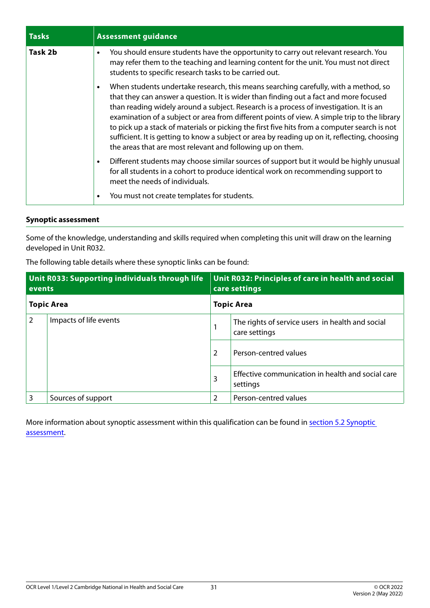| <b>Tasks</b> | <b>Assessment guidance</b>                                                                                                                                                                                                                                                                                                                                                                                                                                                                                                                                                                                                                         |
|--------------|----------------------------------------------------------------------------------------------------------------------------------------------------------------------------------------------------------------------------------------------------------------------------------------------------------------------------------------------------------------------------------------------------------------------------------------------------------------------------------------------------------------------------------------------------------------------------------------------------------------------------------------------------|
| Task 2b      | You should ensure students have the opportunity to carry out relevant research. You<br>$\bullet$<br>may refer them to the teaching and learning content for the unit. You must not direct<br>students to specific research tasks to be carried out.                                                                                                                                                                                                                                                                                                                                                                                                |
|              | When students undertake research, this means searching carefully, with a method, so<br>$\bullet$<br>that they can answer a question. It is wider than finding out a fact and more focused<br>than reading widely around a subject. Research is a process of investigation. It is an<br>examination of a subject or area from different points of view. A simple trip to the library<br>to pick up a stack of materials or picking the first five hits from a computer search is not<br>sufficient. It is getting to know a subject or area by reading up on it, reflecting, choosing<br>the areas that are most relevant and following up on them. |
|              | Different students may choose similar sources of support but it would be highly unusual<br>$\bullet$<br>for all students in a cohort to produce identical work on recommending support to<br>meet the needs of individuals.                                                                                                                                                                                                                                                                                                                                                                                                                        |
|              | You must not create templates for students.<br>٠                                                                                                                                                                                                                                                                                                                                                                                                                                                                                                                                                                                                   |

#### **Synoptic assessment**

Some of the knowledge, understanding and skills required when completing this unit will draw on the learning developed in Unit R032.

| Unit R033: Supporting individuals through life<br>events |                        |                   | Unit R032: Principles of care in health and social<br>care settings |
|----------------------------------------------------------|------------------------|-------------------|---------------------------------------------------------------------|
| <b>Topic Area</b>                                        |                        | <b>Topic Area</b> |                                                                     |
| $\overline{2}$                                           | Impacts of life events |                   | The rights of service users in health and social<br>care settings   |
|                                                          |                        | $\overline{2}$    | Person-centred values                                               |
|                                                          |                        | 3                 | Effective communication in health and social care<br>settings       |
| 3                                                        | Sources of support     | 2                 | Person-centred values                                               |

The following table details where these synoptic links can be found:

More information about synoptic assessment within this qualification can be found in [section 5.2 Synoptic](#page-48-1)  [assessment.](#page-48-1)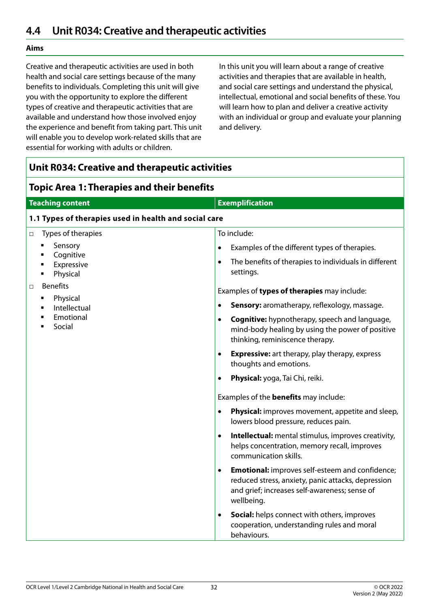#### <span id="page-31-0"></span>**Aims**

Creative and therapeutic activities are used in both health and social care settings because of the many benefits to individuals. Completing this unit will give you with the opportunity to explore the different types of creative and therapeutic activities that are available and understand how those involved enjoy the experience and benefit from taking part. This unit will enable you to develop work-related skills that are essential for working with adults or children.

In this unit you will learn about a range of creative activities and therapies that are available in health, and social care settings and understand the physical, intellectual, emotional and social benefits of these. You will learn how to plan and deliver a creative activity with an individual or group and evaluate your planning and delivery.

| <b>Unit R034: Creative and therapeutic activities</b>                                                                                                          |                                                                                                                                                                                                                                                                                                                                                                                                                                                                                                                                                                                                                                                                                                                                                                                                                                                                                                                                                                                                                                                                                                                                                                                                                |  |
|----------------------------------------------------------------------------------------------------------------------------------------------------------------|----------------------------------------------------------------------------------------------------------------------------------------------------------------------------------------------------------------------------------------------------------------------------------------------------------------------------------------------------------------------------------------------------------------------------------------------------------------------------------------------------------------------------------------------------------------------------------------------------------------------------------------------------------------------------------------------------------------------------------------------------------------------------------------------------------------------------------------------------------------------------------------------------------------------------------------------------------------------------------------------------------------------------------------------------------------------------------------------------------------------------------------------------------------------------------------------------------------|--|
| <b>Topic Area 1: Therapies and their benefits</b>                                                                                                              |                                                                                                                                                                                                                                                                                                                                                                                                                                                                                                                                                                                                                                                                                                                                                                                                                                                                                                                                                                                                                                                                                                                                                                                                                |  |
| <b>Teaching content</b><br><b>Exemplification</b>                                                                                                              |                                                                                                                                                                                                                                                                                                                                                                                                                                                                                                                                                                                                                                                                                                                                                                                                                                                                                                                                                                                                                                                                                                                                                                                                                |  |
| 1.1 Types of therapies used in health and social care                                                                                                          |                                                                                                                                                                                                                                                                                                                                                                                                                                                                                                                                                                                                                                                                                                                                                                                                                                                                                                                                                                                                                                                                                                                                                                                                                |  |
| Types of therapies<br>□<br>Sensory<br>٠<br>Cognitive<br>Expressive<br>Physical<br><b>Benefits</b><br>□<br>Physical<br>٠<br>Intellectual<br>Emotional<br>Social | To include:<br>Examples of the different types of therapies.<br>٠<br>The benefits of therapies to individuals in different<br>$\bullet$<br>settings.<br>Examples of types of therapies may include:<br>Sensory: aromatherapy, reflexology, massage.<br>$\bullet$<br><b>Cognitive:</b> hypnotherapy, speech and language,<br>$\bullet$<br>mind-body healing by using the power of positive<br>thinking, reminiscence therapy.<br><b>Expressive:</b> art therapy, play therapy, express<br>$\bullet$<br>thoughts and emotions.<br>Physical: yoga, Tai Chi, reiki.<br>$\bullet$<br>Examples of the <b>benefits</b> may include:<br><b>Physical:</b> improves movement, appetite and sleep,<br>$\bullet$<br>lowers blood pressure, reduces pain.<br>Intellectual: mental stimulus, improves creativity,<br>$\bullet$<br>helps concentration, memory recall, improves<br>communication skills.<br><b>Emotional:</b> improves self-esteem and confidence;<br>$\bullet$<br>reduced stress, anxiety, panic attacks, depression<br>and grief; increases self-awareness; sense of<br>wellbeing.<br>Social: helps connect with others, improves<br>$\bullet$<br>cooperation, understanding rules and moral<br>behaviours. |  |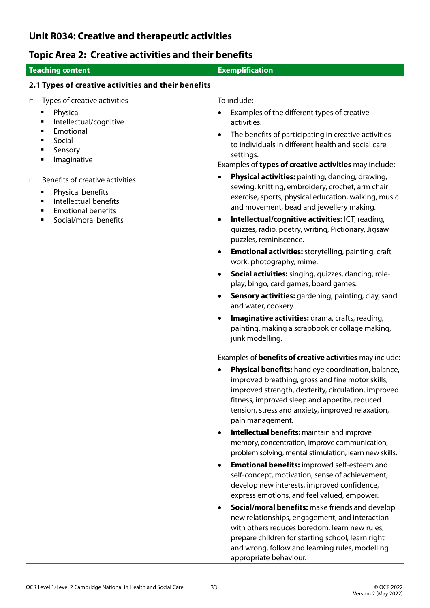# **Unit R034: Creative and therapeutic activities**

# **Topic Area 2: Creative activities and their benefits**

| <b>Teaching content</b>                                                                                                        | <b>Exemplification</b>                                                                                                                                                                                                                                                                               |
|--------------------------------------------------------------------------------------------------------------------------------|------------------------------------------------------------------------------------------------------------------------------------------------------------------------------------------------------------------------------------------------------------------------------------------------------|
| 2.1 Types of creative activities and their benefits                                                                            |                                                                                                                                                                                                                                                                                                      |
| Types of creative activities<br>$\Box$                                                                                         | To include:                                                                                                                                                                                                                                                                                          |
| Physical<br>٠<br>Intellectual/cognitive<br>٠<br>Emotional<br>٠                                                                 | Examples of the different types of creative<br>activities.                                                                                                                                                                                                                                           |
| Social<br>٠<br>Sensory<br>٠                                                                                                    | The benefits of participating in creative activities<br>$\bullet$<br>to individuals in different health and social care                                                                                                                                                                              |
| Imaginative<br>٠                                                                                                               | settings.<br>Examples of types of creative activities may include:                                                                                                                                                                                                                                   |
| Benefits of creative activities<br>□<br>Physical benefits<br>٠<br>Intellectual benefits<br>٠<br><b>Emotional benefits</b><br>٠ | Physical activities: painting, dancing, drawing,<br>$\bullet$<br>sewing, knitting, embroidery, crochet, arm chair<br>exercise, sports, physical education, walking, music<br>and movement, bead and jewellery making.                                                                                |
| Social/moral benefits                                                                                                          | Intellectual/cognitive activities: ICT, reading,<br>$\bullet$<br>quizzes, radio, poetry, writing, Pictionary, Jigsaw<br>puzzles, reminiscence.                                                                                                                                                       |
|                                                                                                                                | <b>Emotional activities:</b> storytelling, painting, craft<br>$\bullet$<br>work, photography, mime.                                                                                                                                                                                                  |
|                                                                                                                                | Social activities: singing, quizzes, dancing, role-<br>$\bullet$<br>play, bingo, card games, board games.                                                                                                                                                                                            |
|                                                                                                                                | Sensory activities: gardening, painting, clay, sand<br>$\bullet$<br>and water, cookery.                                                                                                                                                                                                              |
|                                                                                                                                | Imaginative activities: drama, crafts, reading,<br>$\bullet$<br>painting, making a scrapbook or collage making,<br>junk modelling.                                                                                                                                                                   |
|                                                                                                                                | Examples of <b>benefits of creative activities</b> may include:                                                                                                                                                                                                                                      |
|                                                                                                                                | Physical benefits: hand eye coordination, balance,<br>$\bullet$<br>improved breathing, gross and fine motor skills,<br>improved strength, dexterity, circulation, improved<br>fitness, improved sleep and appetite, reduced<br>tension, stress and anxiety, improved relaxation,<br>pain management. |
|                                                                                                                                | Intellectual benefits: maintain and improve<br>٠<br>memory, concentration, improve communication,<br>problem solving, mental stimulation, learn new skills.                                                                                                                                          |
|                                                                                                                                | <b>Emotional benefits:</b> improved self-esteem and<br>$\bullet$<br>self-concept, motivation, sense of achievement,<br>develop new interests, improved confidence,<br>express emotions, and feel valued, empower.                                                                                    |
|                                                                                                                                | Social/moral benefits: make friends and develop<br>$\bullet$<br>new relationships, engagement, and interaction<br>with others reduces boredom, learn new rules,<br>prepare children for starting school, learn right<br>and wrong, follow and learning rules, modelling<br>appropriate behaviour.    |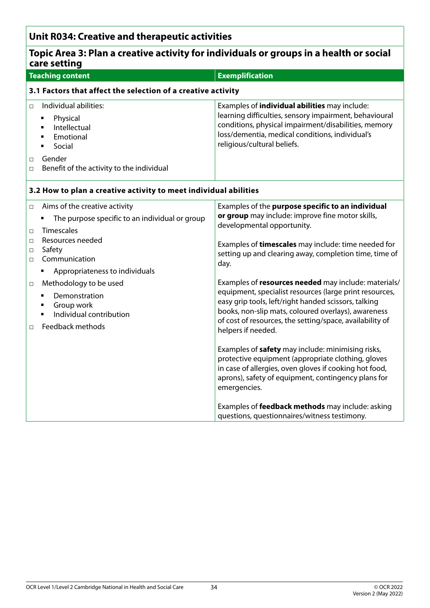# **Unit R034: Creative and therapeutic activities**

| Topic Area 3: Plan a creative activity for individuals or groups in a health or social<br>care setting                                                                                                                                                                                                                                                                      |                                                                                                                                                                                                                                                                                                                                                                                                                                                                                                                                                                                                                                                                                                                                                                                                                              |  |
|-----------------------------------------------------------------------------------------------------------------------------------------------------------------------------------------------------------------------------------------------------------------------------------------------------------------------------------------------------------------------------|------------------------------------------------------------------------------------------------------------------------------------------------------------------------------------------------------------------------------------------------------------------------------------------------------------------------------------------------------------------------------------------------------------------------------------------------------------------------------------------------------------------------------------------------------------------------------------------------------------------------------------------------------------------------------------------------------------------------------------------------------------------------------------------------------------------------------|--|
| <b>Teaching content</b>                                                                                                                                                                                                                                                                                                                                                     | <b>Exemplification</b>                                                                                                                                                                                                                                                                                                                                                                                                                                                                                                                                                                                                                                                                                                                                                                                                       |  |
| 3.1 Factors that affect the selection of a creative activity                                                                                                                                                                                                                                                                                                                |                                                                                                                                                                                                                                                                                                                                                                                                                                                                                                                                                                                                                                                                                                                                                                                                                              |  |
| Individual abilities:<br>$\Box$<br>Physical<br>٠<br>Intellectual<br>$\blacksquare$<br>Emotional<br>$\blacksquare$<br>Social<br>$\blacksquare$<br>Gender<br>$\Box$<br>Benefit of the activity to the individual<br>$\Box$                                                                                                                                                    | Examples of <i>individual abilities</i> may include:<br>learning difficulties, sensory impairment, behavioural<br>conditions, physical impairment/disabilities, memory<br>loss/dementia, medical conditions, individual's<br>religious/cultural beliefs.                                                                                                                                                                                                                                                                                                                                                                                                                                                                                                                                                                     |  |
| 3.2 How to plan a creative activity to meet individual abilities                                                                                                                                                                                                                                                                                                            |                                                                                                                                                                                                                                                                                                                                                                                                                                                                                                                                                                                                                                                                                                                                                                                                                              |  |
| Aims of the creative activity<br>$\Box$<br>The purpose specific to an individual or group<br>Timescales<br>$\Box$<br>Resources needed<br>$\Box$<br>Safety<br>$\Box$<br>Communication<br>$\Box$<br>Appropriateness to individuals<br>Methodology to be used<br>$\Box$<br>Demonstration<br>٠<br>Group work<br>٠<br>Individual contribution<br>٠<br>Feedback methods<br>$\Box$ | Examples of the purpose specific to an individual<br>or group may include: improve fine motor skills,<br>developmental opportunity.<br>Examples of timescales may include: time needed for<br>setting up and clearing away, completion time, time of<br>day.<br>Examples of resources needed may include: materials/<br>equipment, specialist resources (large print resources,<br>easy grip tools, left/right handed scissors, talking<br>books, non-slip mats, coloured overlays), awareness<br>of cost of resources, the setting/space, availability of<br>helpers if needed.<br>Examples of safety may include: minimising risks,<br>protective equipment (appropriate clothing, gloves<br>in case of allergies, oven gloves if cooking hot food,<br>aprons), safety of equipment, contingency plans for<br>emergencies. |  |
|                                                                                                                                                                                                                                                                                                                                                                             | Examples of <b>feedback methods</b> may include: asking<br>questions, questionnaires/witness testimony.                                                                                                                                                                                                                                                                                                                                                                                                                                                                                                                                                                                                                                                                                                                      |  |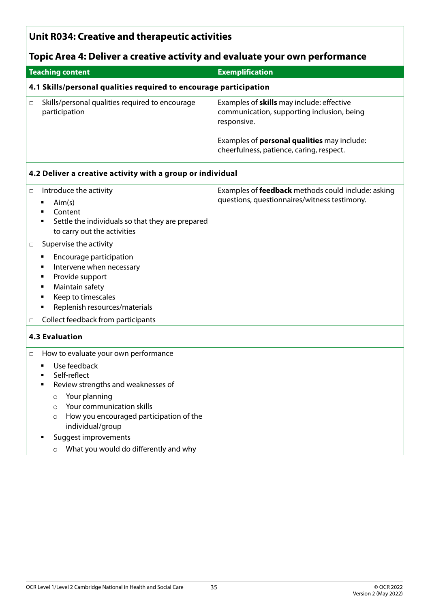## **Unit R034: Creative and therapeutic activities**

# **Topic Area 4: Deliver a creative activity and evaluate your own performance**

| <b>Teaching content</b>                                           | <b>Exemplification</b>                                                                                 |
|-------------------------------------------------------------------|--------------------------------------------------------------------------------------------------------|
| 4.1 Skills/personal qualities required to encourage participation |                                                                                                        |
| Skills/personal qualities required to encourage<br>participation  | Examples of skills may include: effective<br>communication, supporting inclusion, being<br>responsive. |
|                                                                   | Examples of <b>personal qualities</b> may include:<br>cheerfulness, patience, caring, respect.         |

#### **4.2 Deliver a creative activity with a group or individual**

| $\Box$ | Introduce the activity<br>Aim(s)<br>٠<br>Content<br>Settle the individuals so that they are prepared<br>to carry out the activities                                                                                                                        | Examples of <b>feedback</b> methods could include: asking<br>questions, questionnaires/witness testimony. |
|--------|------------------------------------------------------------------------------------------------------------------------------------------------------------------------------------------------------------------------------------------------------------|-----------------------------------------------------------------------------------------------------------|
| $\Box$ | Supervise the activity                                                                                                                                                                                                                                     |                                                                                                           |
| $\Box$ | Encourage participation<br>Intervene when necessary<br>Provide support<br>٠<br>Maintain safety<br>п<br>Keep to timescales<br>Replenish resources/materials<br>٠<br>Collect feedback from participants                                                      |                                                                                                           |
|        | <b>4.3 Evaluation</b>                                                                                                                                                                                                                                      |                                                                                                           |
| $\Box$ | How to evaluate your own performance                                                                                                                                                                                                                       |                                                                                                           |
|        | Use feedback<br>$\blacksquare$<br>Self-reflect<br>Review strengths and weaknesses of<br>Your planning<br>$\circ$<br>Your communication skills<br>$\circ$<br>How you encouraged participation of the<br>$\circ$<br>individual/group<br>Suggest improvements |                                                                                                           |
|        | What you would do differently and why<br>$\circ$                                                                                                                                                                                                           |                                                                                                           |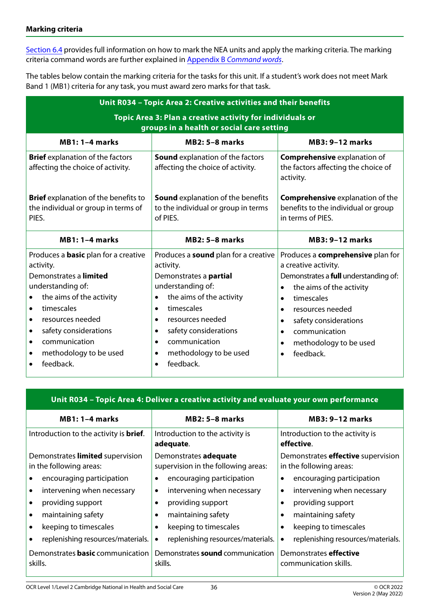[Section 6.4](#page-59-1) provides full information on how to mark the NEA units and apply the marking criteria. The marking criteria command words are further explained in Appendix B *[Command words](#page-68-1)*.

The tables below contain the marking criteria for the tasks for this unit. If a student's work does not meet Mark Band 1 (MB1) criteria for any task, you must award zero marks for that task.

| Unit R034 - Topic Area 2: Creative activities and their benefits                                       |                                                                                             |                                                                                                     |  |
|--------------------------------------------------------------------------------------------------------|---------------------------------------------------------------------------------------------|-----------------------------------------------------------------------------------------------------|--|
| Topic Area 3: Plan a creative activity for individuals or<br>groups in a health or social care setting |                                                                                             |                                                                                                     |  |
| $MB1:1-4 marks$                                                                                        | <b>MB2: 5-8 marks</b>                                                                       | <b>MB3: 9-12 marks</b>                                                                              |  |
| <b>Brief</b> explanation of the factors<br>affecting the choice of activity.                           | <b>Sound</b> explanation of the factors<br>affecting the choice of activity.                | <b>Comprehensive explanation of</b><br>the factors affecting the choice of<br>activity.             |  |
| <b>Brief</b> explanation of the benefits to<br>the individual or group in terms of<br>PIES.            | <b>Sound</b> explanation of the benefits<br>to the individual or group in terms<br>of PIES. | <b>Comprehensive explanation of the</b><br>benefits to the individual or group<br>in terms of PIES. |  |
|                                                                                                        |                                                                                             | <b>MB3: 9-12 marks</b>                                                                              |  |
| $MB1:1-4 marks$                                                                                        | <b>MB2: 5-8 marks</b>                                                                       |                                                                                                     |  |
| Produces a <b>basic</b> plan for a creative                                                            | Produces a <b>sound</b> plan for a creative                                                 | Produces a <b>comprehensive</b> plan for                                                            |  |
| activity.<br>Demonstrates a limited                                                                    | activity.<br>Demonstrates a partial                                                         | a creative activity.                                                                                |  |
| understanding of:                                                                                      | understanding of:                                                                           | Demonstrates a full understanding of:<br>the aims of the activity<br>$\bullet$                      |  |
| the aims of the activity<br>$\bullet$                                                                  | the aims of the activity<br>$\bullet$                                                       | timescales<br>$\bullet$                                                                             |  |
| timescales<br>$\bullet$                                                                                | timescales<br>$\bullet$                                                                     | resources needed<br>$\bullet$                                                                       |  |
| resources needed<br>$\bullet$                                                                          | resources needed<br>$\bullet$                                                               | safety considerations                                                                               |  |
| safety considerations<br>$\bullet$                                                                     | safety considerations<br>$\bullet$                                                          | communication<br>$\bullet$                                                                          |  |
| communication<br>$\bullet$                                                                             | communication<br>$\bullet$                                                                  | methodology to be used                                                                              |  |
| methodology to be used<br>$\bullet$                                                                    | methodology to be used<br>$\bullet$                                                         | feedback.<br>$\bullet$                                                                              |  |

#### **Unit R034 – Topic Area 4: Deliver a creative activity and evaluate your own performance**

| $MB1:1-4 marks$                                             | $MB2: 5-8$ marks                                             | <b>MB3: 9-12 marks</b>                                               |
|-------------------------------------------------------------|--------------------------------------------------------------|----------------------------------------------------------------------|
| Introduction to the activity is <b>brief</b> .              | Introduction to the activity is<br>adequate.                 | Introduction to the activity is<br>effective.                        |
| Demonstrates limited supervision<br>in the following areas: | Demonstrates adequate<br>supervision in the following areas: | Demonstrates <b>effective</b> supervision<br>in the following areas: |
| encouraging participation                                   | encouraging participation                                    | encouraging participation                                            |
| intervening when necessary                                  | intervening when necessary<br>$\bullet$                      | intervening when necessary                                           |
| providing support                                           | providing support                                            | providing support                                                    |
| maintaining safety                                          | maintaining safety<br>$\bullet$                              | maintaining safety                                                   |
| keeping to timescales                                       | keeping to timescales<br>$\bullet$                           | keeping to timescales                                                |
| replenishing resources/materials.                           | replenishing resources/materials.<br>$\bullet$               | replenishing resources/materials.                                    |
| Demonstrates <b>basic</b> communication<br>skills.          | Demonstrates sound communication<br>skills.                  | Demonstrates <b>effective</b><br>communication skills.               |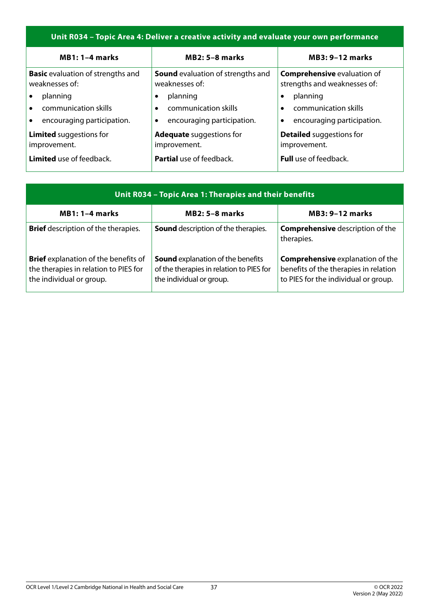### **Unit R034 – Topic Area 4: Deliver a creative activity and evaluate your own performance**

| $MB1:1-4 marks$                                            | $MB2: 5-8$ marks                                           | <b>MB3: 9-12 marks</b>                                             |
|------------------------------------------------------------|------------------------------------------------------------|--------------------------------------------------------------------|
| <b>Basic</b> evaluation of strengths and<br>weaknesses of: | <b>Sound</b> evaluation of strengths and<br>weaknesses of: | <b>Comprehensive evaluation of</b><br>strengths and weaknesses of: |
| planning                                                   | planning                                                   | planning                                                           |
| communication skills<br>$\bullet$                          | communication skills<br>$\bullet$                          | communication skills                                               |
| encouraging participation.                                 | encouraging participation.<br>$\bullet$                    | encouraging participation.                                         |
| <b>Limited</b> suggestions for<br>improvement.             | <b>Adequate</b> suggestions for<br>improvement.            | <b>Detailed</b> suggestions for<br>improvement.                    |
| Limited use of feedback.                                   | <b>Partial</b> use of feedback.                            | <b>Full</b> use of feedback.                                       |

| Unit R034 - Topic Area 1: Therapies and their benefits                                                           |                                                                                                                  |                                                                                                                          |
|------------------------------------------------------------------------------------------------------------------|------------------------------------------------------------------------------------------------------------------|--------------------------------------------------------------------------------------------------------------------------|
| $MB1:1-4 marks$                                                                                                  | $MB2: 5-8$ marks                                                                                                 | <b>MB3: 9-12 marks</b>                                                                                                   |
| <b>Brief</b> description of the therapies.                                                                       | Sound description of the therapies.                                                                              | <b>Comprehensive</b> description of the<br>therapies.                                                                    |
| <b>Brief</b> explanation of the benefits of<br>the therapies in relation to PIES for<br>the individual or group. | <b>Sound</b> explanation of the benefits<br>of the therapies in relation to PIES for<br>the individual or group. | <b>Comprehensive explanation of the</b><br>benefits of the therapies in relation<br>to PIES for the individual or group. |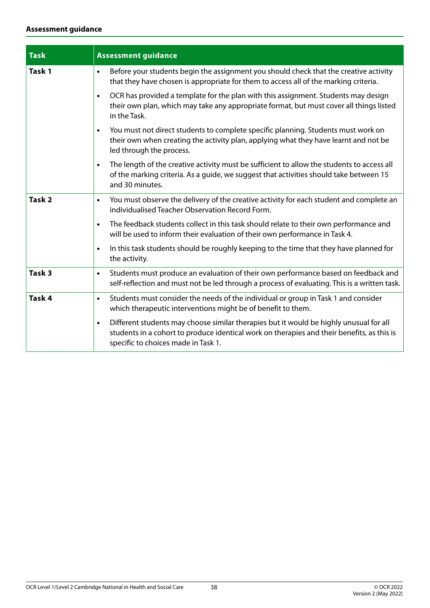#### **Assessment guidance**

| <b>Task</b>       | <b>Assessment guidance</b>                                                                                                                                                                                                               |  |
|-------------------|------------------------------------------------------------------------------------------------------------------------------------------------------------------------------------------------------------------------------------------|--|
| Task 1            | Before your students begin the assignment you should check that the creative activity<br>$\bullet$<br>that they have chosen is appropriate for them to access all of the marking criteria.                                               |  |
|                   | OCR has provided a template for the plan with this assignment. Students may design<br>$\bullet$<br>their own plan, which may take any appropriate format, but must cover all things listed<br>in the Task.                               |  |
|                   | You must not direct students to complete specific planning. Students must work on<br>$\bullet$<br>their own when creating the activity plan, applying what they have learnt and not be<br>led through the process.                       |  |
|                   | The length of the creative activity must be sufficient to allow the students to access all<br>$\bullet$<br>of the marking criteria. As a guide, we suggest that activities should take between 15<br>and 30 minutes.                     |  |
| Task <sub>2</sub> | You must observe the delivery of the creative activity for each student and complete an<br>$\bullet$<br>individualised Teacher Observation Record Form.                                                                                  |  |
|                   | The feedback students collect in this task should relate to their own performance and<br>$\bullet$<br>will be used to inform their evaluation of their own performance in Task 4.                                                        |  |
|                   | In this task students should be roughly keeping to the time that they have planned for<br>$\bullet$<br>the activity.                                                                                                                     |  |
| Task <sub>3</sub> | Students must produce an evaluation of their own performance based on feedback and<br>$\bullet$<br>self-reflection and must not be led through a process of evaluating. This is a written task.                                          |  |
| Task 4            | Students must consider the needs of the individual or group in Task 1 and consider<br>$\bullet$<br>which therapeutic interventions might be of benefit to them.                                                                          |  |
|                   | Different students may choose similar therapies but it would be highly unusual for all<br>$\bullet$<br>students in a cohort to produce identical work on therapies and their benefits, as this is<br>specific to choices made in Task 1. |  |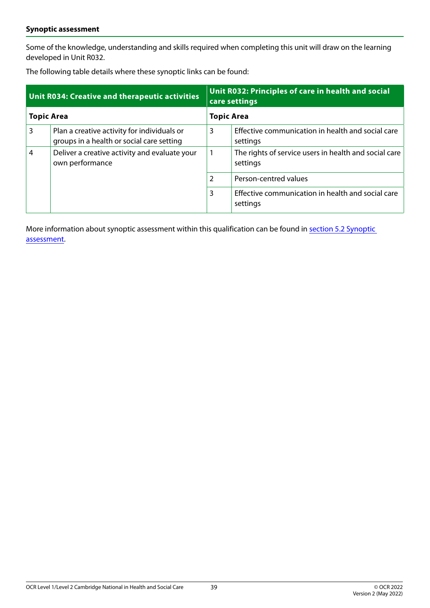#### **Synoptic assessment**

Some of the knowledge, understanding and skills required when completing this unit will draw on the learning developed in Unit R032.

The following table details where these synoptic links can be found:

| <b>Unit R034: Creative and therapeutic activities</b> |                                                                                          | Unit R032: Principles of care in health and social<br>care settings |                                                                   |
|-------------------------------------------------------|------------------------------------------------------------------------------------------|---------------------------------------------------------------------|-------------------------------------------------------------------|
| <b>Topic Area</b>                                     |                                                                                          | <b>Topic Area</b>                                                   |                                                                   |
| 3                                                     | Plan a creative activity for individuals or<br>groups in a health or social care setting | 3                                                                   | Effective communication in health and social care<br>settings     |
| 4                                                     | Deliver a creative activity and evaluate your<br>own performance                         |                                                                     | The rights of service users in health and social care<br>settings |
|                                                       |                                                                                          | $\overline{2}$                                                      | Person-centred values                                             |
|                                                       |                                                                                          | 3                                                                   | Effective communication in health and social care<br>settings     |

More information about synoptic assessment within this qualification can be found in [section 5.2 Synoptic](#page-48-0)  [assessment.](#page-48-0)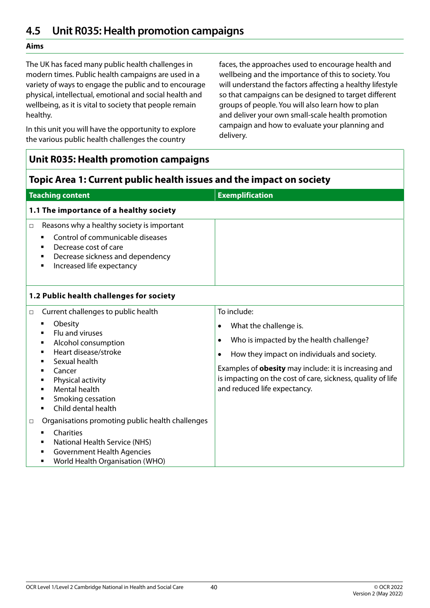# **4.5 Unit R035: Health promotion campaigns**

### **Aims**

The UK has faced many public health challenges in modern times. Public health campaigns are used in a variety of ways to engage the public and to encourage physical, intellectual, emotional and social health and wellbeing, as it is vital to society that people remain healthy.

In this unit you will have the opportunity to explore the various public health challenges the country

faces, the approaches used to encourage health and wellbeing and the importance of this to society. You will understand the factors affecting a healthy lifestyle so that campaigns can be designed to target different groups of people. You will also learn how to plan and deliver your own small-scale health promotion campaign and how to evaluate your planning and delivery.

| <b>Unit R035: Health promotion campaigns</b>                                                                                                                                                                                                                                                                               |                                                                                                                                                                                                                                                                                                                                |  |
|----------------------------------------------------------------------------------------------------------------------------------------------------------------------------------------------------------------------------------------------------------------------------------------------------------------------------|--------------------------------------------------------------------------------------------------------------------------------------------------------------------------------------------------------------------------------------------------------------------------------------------------------------------------------|--|
| Topic Area 1: Current public health issues and the impact on society                                                                                                                                                                                                                                                       |                                                                                                                                                                                                                                                                                                                                |  |
| <b>Teaching content</b>                                                                                                                                                                                                                                                                                                    | <b>Exemplification</b>                                                                                                                                                                                                                                                                                                         |  |
| 1.1 The importance of a healthy society                                                                                                                                                                                                                                                                                    |                                                                                                                                                                                                                                                                                                                                |  |
| Reasons why a healthy society is important<br>$\Box$<br>Control of communicable diseases<br>Decrease cost of care<br>$\blacksquare$<br>Decrease sickness and dependency<br>٠<br>Increased life expectancy<br>٠                                                                                                             |                                                                                                                                                                                                                                                                                                                                |  |
| 1.2 Public health challenges for society                                                                                                                                                                                                                                                                                   |                                                                                                                                                                                                                                                                                                                                |  |
| Current challenges to public health<br>$\Box$<br>Obesity<br>٠<br>Flu and viruses<br>$\blacksquare$<br>Alcohol consumption<br>٠<br>Heart disease/stroke<br>٠<br>Sexual health<br>$\blacksquare$<br>Cancer<br>٠<br>Physical activity<br>٠<br><b>Mental health</b><br>٠<br>Smoking cessation<br>٠<br>Child dental health<br>٠ | To include:<br>What the challenge is.<br>٠<br>Who is impacted by the health challenge?<br>$\bullet$<br>How they impact on individuals and society.<br>$\bullet$<br>Examples of <b>obesity</b> may include: it is increasing and<br>is impacting on the cost of care, sickness, quality of life<br>and reduced life expectancy. |  |
| Organisations promoting public health challenges<br>□<br>Charities<br>National Health Service (NHS)<br><b>Government Health Agencies</b><br>World Health Organisation (WHO)<br>٠                                                                                                                                           |                                                                                                                                                                                                                                                                                                                                |  |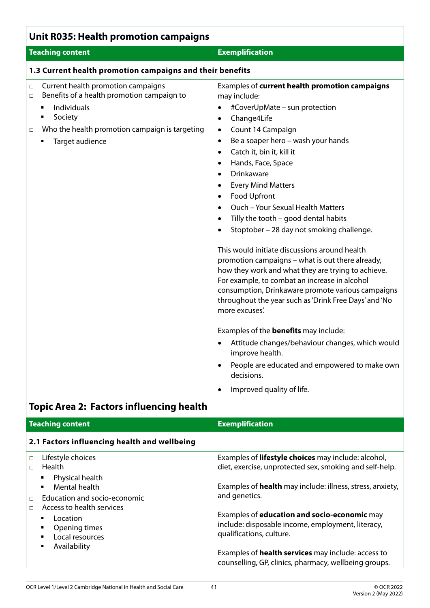| <b>Unit R035: Health promotion campaigns</b>                                                                                                                                                                                    |                                                                                                                                                                                                                                                                                                                                                                                                                                                                                                                                                                                                                                                                                                                                                                                                                                                                                                                                                                                                                                                                                                                                                                            |  |
|---------------------------------------------------------------------------------------------------------------------------------------------------------------------------------------------------------------------------------|----------------------------------------------------------------------------------------------------------------------------------------------------------------------------------------------------------------------------------------------------------------------------------------------------------------------------------------------------------------------------------------------------------------------------------------------------------------------------------------------------------------------------------------------------------------------------------------------------------------------------------------------------------------------------------------------------------------------------------------------------------------------------------------------------------------------------------------------------------------------------------------------------------------------------------------------------------------------------------------------------------------------------------------------------------------------------------------------------------------------------------------------------------------------------|--|
| <b>Teaching content</b>                                                                                                                                                                                                         | <b>Exemplification</b>                                                                                                                                                                                                                                                                                                                                                                                                                                                                                                                                                                                                                                                                                                                                                                                                                                                                                                                                                                                                                                                                                                                                                     |  |
| 1.3 Current health promotion campaigns and their benefits                                                                                                                                                                       |                                                                                                                                                                                                                                                                                                                                                                                                                                                                                                                                                                                                                                                                                                                                                                                                                                                                                                                                                                                                                                                                                                                                                                            |  |
| Current health promotion campaigns<br>$\Box$<br>Benefits of a health promotion campaign to<br>$\Box$<br>Individuals<br>$\blacksquare$<br>Society<br>Who the health promotion campaign is targeting<br>$\Box$<br>Target audience | Examples of current health promotion campaigns<br>may include:<br>#CoverUpMate - sun protection<br>$\bullet$<br>Change4Life<br>$\bullet$<br>Count 14 Campaign<br>$\bullet$<br>Be a soaper hero - wash your hands<br>$\bullet$<br>Catch it, bin it, kill it<br>$\bullet$<br>Hands, Face, Space<br>$\bullet$<br>Drinkaware<br>$\bullet$<br><b>Every Mind Matters</b><br>٠<br>Food Upfront<br>$\bullet$<br>Ouch - Your Sexual Health Matters<br>$\bullet$<br>Tilly the tooth - good dental habits<br>$\bullet$<br>Stoptober - 28 day not smoking challenge.<br>$\bullet$<br>This would initiate discussions around health<br>promotion campaigns - what is out there already,<br>how they work and what they are trying to achieve.<br>For example, to combat an increase in alcohol<br>consumption, Drinkaware promote various campaigns<br>throughout the year such as 'Drink Free Days' and 'No<br>more excuses'.<br>Examples of the <b>benefits</b> may include:<br>Attitude changes/behaviour changes, which would<br>$\bullet$<br>improve health.<br>People are educated and empowered to make own<br>$\bullet$<br>decisions.<br>Improved quality of life.<br>$\bullet$ |  |

# **Topic Area 2: Factors influencing health**

| <b>Teaching content</b>                                                                                                                                                                                                                                                                              | <b>Exemplification</b>                                                                                                                                                                                                                                                                                                                                                                                   |  |
|------------------------------------------------------------------------------------------------------------------------------------------------------------------------------------------------------------------------------------------------------------------------------------------------------|----------------------------------------------------------------------------------------------------------------------------------------------------------------------------------------------------------------------------------------------------------------------------------------------------------------------------------------------------------------------------------------------------------|--|
| 2.1 Factors influencing health and wellbeing                                                                                                                                                                                                                                                         |                                                                                                                                                                                                                                                                                                                                                                                                          |  |
| Lifestyle choices<br>$\Box$<br>Health<br>П<br>Physical health<br>٠<br>Mental health<br>$\blacksquare$<br>Education and socio-economic<br>$\Box$<br>Access to health services<br>$\Box$<br>Location<br>$\blacksquare$<br>Opening times<br>٠<br>Local resources<br>$\blacksquare$<br>Availability<br>٠ | Examples of lifestyle choices may include: alcohol,<br>diet, exercise, unprotected sex, smoking and self-help.<br>Examples of <b>health</b> may include: illness, stress, anxiety,<br>and genetics.<br>Examples of <b>education and socio-economic</b> may<br>include: disposable income, employment, literacy,<br>qualifications, culture.<br>Examples of <b>health services</b> may include: access to |  |
|                                                                                                                                                                                                                                                                                                      | counselling, GP, clinics, pharmacy, wellbeing groups.                                                                                                                                                                                                                                                                                                                                                    |  |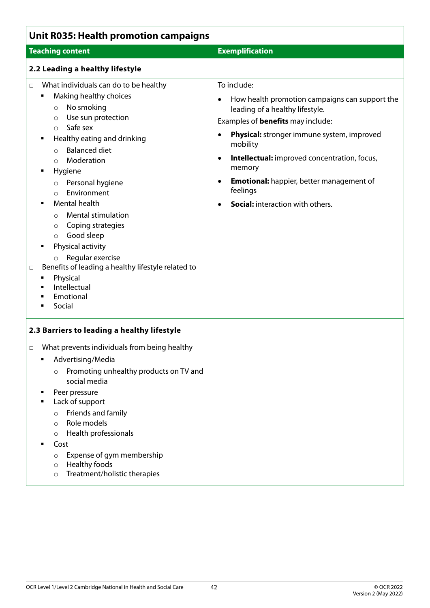| <b>Unit R035: Health promotion campaigns</b>                                                                                                                                                                                                                                                                                                                                                                                                                                                                                                                                                                                                |                                                                                                                                                                                                                                                                                                                                                                                                                                             |  |
|---------------------------------------------------------------------------------------------------------------------------------------------------------------------------------------------------------------------------------------------------------------------------------------------------------------------------------------------------------------------------------------------------------------------------------------------------------------------------------------------------------------------------------------------------------------------------------------------------------------------------------------------|---------------------------------------------------------------------------------------------------------------------------------------------------------------------------------------------------------------------------------------------------------------------------------------------------------------------------------------------------------------------------------------------------------------------------------------------|--|
| <b>Teaching content</b>                                                                                                                                                                                                                                                                                                                                                                                                                                                                                                                                                                                                                     | <b>Exemplification</b>                                                                                                                                                                                                                                                                                                                                                                                                                      |  |
| 2.2 Leading a healthy lifestyle                                                                                                                                                                                                                                                                                                                                                                                                                                                                                                                                                                                                             |                                                                                                                                                                                                                                                                                                                                                                                                                                             |  |
| What individuals can do to be healthy<br>$\Box$<br>Making healthy choices<br>٠<br>No smoking<br>$\circ$<br>Use sun protection<br>$\circ$<br>Safe sex<br>$\circ$<br>Healthy eating and drinking<br>п<br><b>Balanced diet</b><br>$\circ$<br>Moderation<br>$\circ$<br>Hygiene<br>٠<br>Personal hygiene<br>$\circ$<br>Environment<br>$\circ$<br>Mental health<br><b>Mental stimulation</b><br>$\circ$<br>Coping strategies<br>$\circ$<br>Good sleep<br>$\circ$<br>Physical activity<br>Regular exercise<br>$\circ$<br>Benefits of leading a healthy lifestyle related to<br>□<br>Physical<br>п<br>Intellectual<br>٠<br>Emotional<br>٠<br>Social | To include:<br>How health promotion campaigns can support the<br>$\bullet$<br>leading of a healthy lifestyle.<br>Examples of <b>benefits</b> may include:<br>Physical: stronger immune system, improved<br>$\bullet$<br>mobility<br>Intellectual: improved concentration, focus,<br>$\bullet$<br>memory<br><b>Emotional:</b> happier, better management of<br>$\bullet$<br>feelings<br><b>Social:</b> interaction with others.<br>$\bullet$ |  |
| 2.3 Barriers to leading a healthy lifestyle                                                                                                                                                                                                                                                                                                                                                                                                                                                                                                                                                                                                 |                                                                                                                                                                                                                                                                                                                                                                                                                                             |  |
| What prevents individuals from being healthy<br>$\Box$<br>Advertising/Media<br>٠<br>Promoting unhealthy products on TV and<br>$\circ$<br>social media<br>Peer pressure<br>٠<br>Lack of support<br>п<br>Friends and family<br>$\circ$<br>Role models<br>$\circ$<br>Health professionals<br>$\circ$<br>Cost<br>٠<br>Expense of gym membership<br>$\circ$<br>Healthy foods<br>$\circ$<br>Treatment/holistic therapies<br>$\circ$                                                                                                                                                                                                               |                                                                                                                                                                                                                                                                                                                                                                                                                                             |  |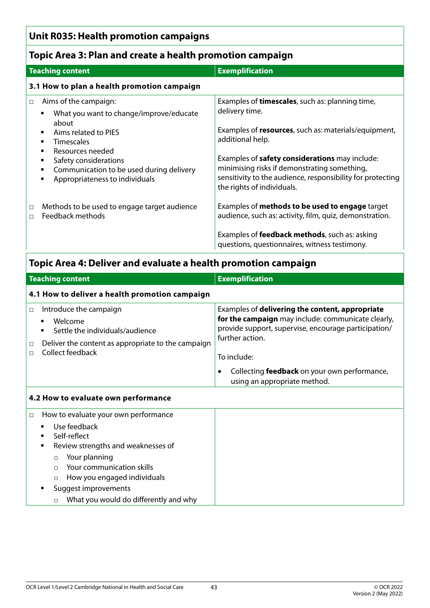### **Unit R035: Health promotion campaigns**

### **Topic Area 3: Plan and create a health promotion campaign**

| <b>Teaching content</b><br><b>Exemplification</b><br>3.1 How to plan a health promotion campaign<br>Aims of the campaign:<br>Examples of <b>timescales</b> , such as: planning time,<br>$\Box$<br>delivery time.<br>What you want to change/improve/educate<br>about<br>Aims related to PIES<br>additional help.<br><b>Timescales</b><br>٠<br>Resources needed<br>٠<br>Examples of safety considerations may include:<br>Safety considerations<br>٠<br>minimising risks if demonstrating something,<br>Communication to be used during delivery<br>٠<br>Appropriateness to individuals<br>٠<br>the rights of individuals.<br>Examples of methods to be used to engage target<br>Methods to be used to engage target audience<br>$\Box$<br>Feedback methods<br>$\Box$<br>Examples of <b>feedback methods</b> , such as: asking<br>questions, questionnaires, witness testimony.<br>Topic Area 4: Deliver and evaluate a health promotion campaign<br><b>Exemplification</b><br><b>Teaching content</b> |  |                                                                                                                    |  |
|-------------------------------------------------------------------------------------------------------------------------------------------------------------------------------------------------------------------------------------------------------------------------------------------------------------------------------------------------------------------------------------------------------------------------------------------------------------------------------------------------------------------------------------------------------------------------------------------------------------------------------------------------------------------------------------------------------------------------------------------------------------------------------------------------------------------------------------------------------------------------------------------------------------------------------------------------------------------------------------------------------|--|--------------------------------------------------------------------------------------------------------------------|--|
|                                                                                                                                                                                                                                                                                                                                                                                                                                                                                                                                                                                                                                                                                                                                                                                                                                                                                                                                                                                                       |  |                                                                                                                    |  |
|                                                                                                                                                                                                                                                                                                                                                                                                                                                                                                                                                                                                                                                                                                                                                                                                                                                                                                                                                                                                       |  |                                                                                                                    |  |
|                                                                                                                                                                                                                                                                                                                                                                                                                                                                                                                                                                                                                                                                                                                                                                                                                                                                                                                                                                                                       |  | Examples of resources, such as: materials/equipment,<br>sensitivity to the audience, responsibility for protecting |  |
|                                                                                                                                                                                                                                                                                                                                                                                                                                                                                                                                                                                                                                                                                                                                                                                                                                                                                                                                                                                                       |  | audience, such as: activity, film, quiz, demonstration.                                                            |  |
|                                                                                                                                                                                                                                                                                                                                                                                                                                                                                                                                                                                                                                                                                                                                                                                                                                                                                                                                                                                                       |  |                                                                                                                    |  |
|                                                                                                                                                                                                                                                                                                                                                                                                                                                                                                                                                                                                                                                                                                                                                                                                                                                                                                                                                                                                       |  |                                                                                                                    |  |

| 4.1 How to deliver a health promotion campaign                                                                                                 |                                                                                                                                                                                                                                                                                 |  |
|------------------------------------------------------------------------------------------------------------------------------------------------|---------------------------------------------------------------------------------------------------------------------------------------------------------------------------------------------------------------------------------------------------------------------------------|--|
| Introduce the campaign<br>Welcome<br>Settle the individuals/audience<br>Deliver the content as appropriate to the campaign<br>Collect feedback | Examples of delivering the content, appropriate<br>for the campaign may include: communicate clearly,<br>provide support, supervise, encourage participation/<br>further action.<br>To include:<br>Collecting feedback on your own performance,<br>using an appropriate method. |  |

### **4.2 How to evaluate own performance**

| $\Box$ | How to evaluate your own performance |                                                                                                               |  |
|--------|--------------------------------------|---------------------------------------------------------------------------------------------------------------|--|
|        |                                      | Use feedback<br>Self-reflect<br>Review strengths and weaknesses of                                            |  |
|        |                                      | Your planning<br>$\circ$<br>Your communication skills<br>$\bigcirc$<br>How you engaged individuals<br>$\circ$ |  |
|        |                                      | Suggest improvements                                                                                          |  |
|        |                                      | What you would do differently and why<br>$\circ$                                                              |  |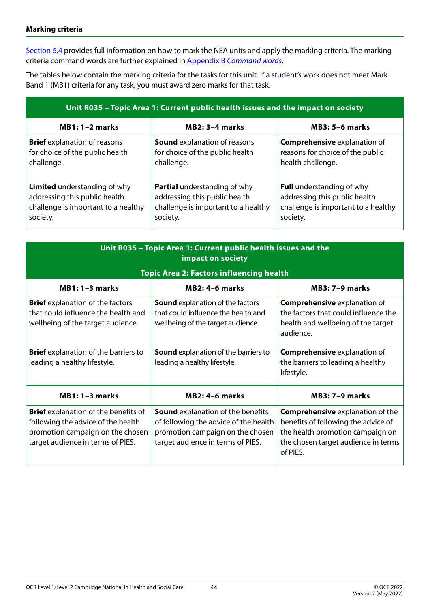#### **Marking criteria**

[Section 6.4](#page-59-0) provides full information on how to mark the NEA units and apply the marking criteria. The marking criteria command words are further explained in Appendix B *[Command words](#page-68-0)*.

The tables below contain the marking criteria for the tasks for this unit. If a student's work does not meet Mark Band 1 (MB1) criteria for any task, you must award zero marks for that task.

| Unit R035 - Topic Area 1: Current public health issues and the impact on society |                                     |                                     |  |
|----------------------------------------------------------------------------------|-------------------------------------|-------------------------------------|--|
| $MB1:1-2 marks$                                                                  | $MB2: 3-4$ marks                    | $MB3: 5-6$ marks                    |  |
| <b>Brief</b> explanation of reasons                                              | <b>Sound</b> explanation of reasons | <b>Comprehensive explanation of</b> |  |
| for choice of the public health                                                  | for choice of the public health     | reasons for choice of the public    |  |
| challenge.                                                                       | challenge.                          | health challenge.                   |  |
| <b>Limited</b> understanding of why                                              | <b>Partial</b> understanding of why | <b>Full</b> understanding of why    |  |
| addressing this public health                                                    | addressing this public health       | addressing this public health       |  |
| challenge is important to a healthy                                              | challenge is important to a healthy | challenge is important to a healthy |  |
| society.                                                                         | society.                            | society.                            |  |

| Unit R035 - Topic Area 1: Current public health issues and the<br>impact on society                                                                        |                                                                                                                                                            |                                                                                                                                                                       |  |  |  |
|------------------------------------------------------------------------------------------------------------------------------------------------------------|------------------------------------------------------------------------------------------------------------------------------------------------------------|-----------------------------------------------------------------------------------------------------------------------------------------------------------------------|--|--|--|
|                                                                                                                                                            | <b>Topic Area 2: Factors influencing health</b>                                                                                                            |                                                                                                                                                                       |  |  |  |
| $MB1:1-3 marks$                                                                                                                                            | <b>MB3: 7-9 marks</b>                                                                                                                                      |                                                                                                                                                                       |  |  |  |
| <b>Brief</b> explanation of the factors<br>that could influence the health and<br>wellbeing of the target audience.                                        | <b>Sound</b> explanation of the factors<br>that could influence the health and<br>wellbeing of the target audience.                                        | <b>Comprehensive explanation of</b><br>the factors that could influence the<br>health and wellbeing of the target<br>audience.                                        |  |  |  |
| <b>Brief</b> explanation of the barriers to<br>leading a healthy lifestyle.                                                                                | <b>Sound</b> explanation of the barriers to<br>leading a healthy lifestyle.                                                                                | <b>Comprehensive explanation of</b><br>the barriers to leading a healthy<br>lifestyle.                                                                                |  |  |  |
| $MB1:1-3 marks$                                                                                                                                            | <b>MB2: 4-6 marks</b>                                                                                                                                      | $MB3:7-9 marks$                                                                                                                                                       |  |  |  |
| <b>Brief</b> explanation of the benefits of<br>following the advice of the health<br>promotion campaign on the chosen<br>target audience in terms of PIES. | <b>Sound</b> explanation of the benefits<br>of following the advice of the health<br>promotion campaign on the chosen<br>target audience in terms of PIES. | <b>Comprehensive explanation of the</b><br>benefits of following the advice of<br>the health promotion campaign on<br>the chosen target audience in terms<br>of PIES. |  |  |  |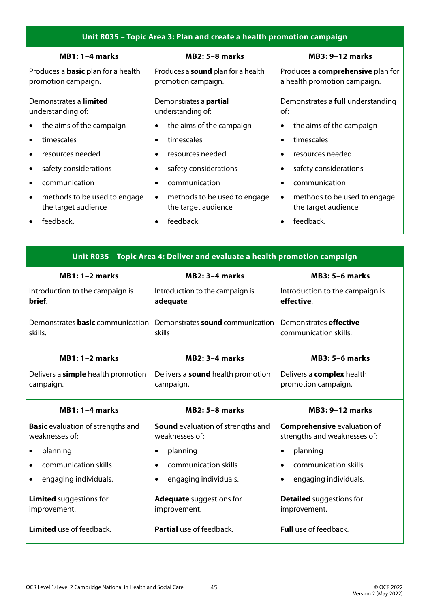| Unit R035 - Topic Area 3: Plan and create a health promotion campaign |                                           |                                          |  |  |  |  |
|-----------------------------------------------------------------------|-------------------------------------------|------------------------------------------|--|--|--|--|
| $MB1:1-4 marks$                                                       | <b>MB2: 5-8 marks</b>                     | <b>MB3: 9-12 marks</b>                   |  |  |  |  |
| Produces a <b>basic</b> plan for a health                             | Produces a <b>sound</b> plan for a health | Produces a <b>comprehensive</b> plan for |  |  |  |  |
| promotion campaign.                                                   | promotion campaign.                       | a health promotion campaign.             |  |  |  |  |
| Demonstrates a limited                                                | Demonstrates a <b>partial</b>             | Demonstrates a <b>full</b> understanding |  |  |  |  |
| understanding of:                                                     | understanding of:                         | of:                                      |  |  |  |  |
| the aims of the campaign                                              | the aims of the campaign                  | the aims of the campaign                 |  |  |  |  |
| $\bullet$                                                             | $\bullet$                                 | $\bullet$                                |  |  |  |  |
| timescales<br>٠                                                       | timescales<br>$\bullet$                   | timescales                               |  |  |  |  |
| resources needed                                                      | resources needed                          | resources needed                         |  |  |  |  |
| $\bullet$                                                             | $\bullet$                                 | $\bullet$                                |  |  |  |  |
| safety considerations<br>٠                                            | safety considerations<br>٠                | safety considerations                    |  |  |  |  |
| communication                                                         | communication                             | communication                            |  |  |  |  |
| ٠                                                                     | $\bullet$                                 | $\bullet$                                |  |  |  |  |
| methods to be used to engage                                          | methods to be used to engage              | methods to be used to engage             |  |  |  |  |
| $\bullet$                                                             | $\bullet$                                 | $\bullet$                                |  |  |  |  |
| the target audience                                                   | the target audience                       | the target audience                      |  |  |  |  |
| feedback.                                                             | feedback.                                 | feedback.                                |  |  |  |  |

| Unit R035 - Topic Area 4: Deliver and evaluate a health promotion campaign |                                          |                                    |  |  |  |
|----------------------------------------------------------------------------|------------------------------------------|------------------------------------|--|--|--|
| $MB1:1-2 marks$                                                            | $MB2: 3-4$ marks                         | $MB3: 5-6$ marks                   |  |  |  |
| Introduction to the campaign is                                            | Introduction to the campaign is          | Introduction to the campaign is    |  |  |  |
| brief.                                                                     | adequate.                                | effective.                         |  |  |  |
| Demonstrates <b>basic</b> communication                                    | Demonstrates sound communication         | Demonstrates <b>effective</b>      |  |  |  |
| skills.                                                                    | skills                                   | communication skills.              |  |  |  |
| $MB1:1-2 marks$                                                            | <b>MB2: 3-4 marks</b>                    | <b>MB3: 5-6 marks</b>              |  |  |  |
| Delivers a <b>simple</b> health promotion                                  | Delivers a <b>sound</b> health promotion | Delivers a <b>complex</b> health   |  |  |  |
| campaign.                                                                  | campaign.                                | promotion campaign.                |  |  |  |
| $MB1:1-4 marks$                                                            | <b>MB2: 5-8 marks</b>                    | <b>MB3: 9-12 marks</b>             |  |  |  |
| <b>Basic</b> evaluation of strengths and                                   | <b>Sound</b> evaluation of strengths and | <b>Comprehensive evaluation of</b> |  |  |  |
| weaknesses of:                                                             | weaknesses of:                           | strengths and weaknesses of:       |  |  |  |
| planning                                                                   | planning                                 | planning                           |  |  |  |
| $\bullet$                                                                  | $\bullet$                                | $\bullet$                          |  |  |  |
| communication skills                                                       | communication skills                     | communication skills               |  |  |  |
| $\bullet$                                                                  | $\bullet$                                | $\bullet$                          |  |  |  |
| engaging individuals.                                                      | engaging individuals.<br>$\bullet$       | engaging individuals.<br>$\bullet$ |  |  |  |
| <b>Limited</b> suggestions for                                             | <b>Adequate</b> suggestions for          | <b>Detailed</b> suggestions for    |  |  |  |
| improvement.                                                               | improvement.                             | improvement.                       |  |  |  |
| <b>Limited</b> use of feedback.                                            | <b>Partial</b> use of feedback.          | <b>Full</b> use of feedback.       |  |  |  |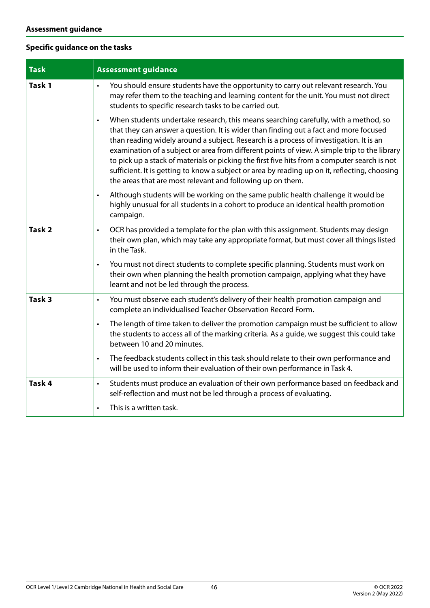### **Specific guidance on the tasks**

| <b>Task</b>       | <b>Assessment guidance</b>                                                                                                                                                                                                                                                                                                                                                                                                                                                                                                                                                                                                                         |
|-------------------|----------------------------------------------------------------------------------------------------------------------------------------------------------------------------------------------------------------------------------------------------------------------------------------------------------------------------------------------------------------------------------------------------------------------------------------------------------------------------------------------------------------------------------------------------------------------------------------------------------------------------------------------------|
| Task 1            | You should ensure students have the opportunity to carry out relevant research. You<br>$\bullet$<br>may refer them to the teaching and learning content for the unit. You must not direct<br>students to specific research tasks to be carried out.                                                                                                                                                                                                                                                                                                                                                                                                |
|                   | When students undertake research, this means searching carefully, with a method, so<br>$\bullet$<br>that they can answer a question. It is wider than finding out a fact and more focused<br>than reading widely around a subject. Research is a process of investigation. It is an<br>examination of a subject or area from different points of view. A simple trip to the library<br>to pick up a stack of materials or picking the first five hits from a computer search is not<br>sufficient. It is getting to know a subject or area by reading up on it, reflecting, choosing<br>the areas that are most relevant and following up on them. |
|                   | Although students will be working on the same public health challenge it would be<br>$\bullet$<br>highly unusual for all students in a cohort to produce an identical health promotion<br>campaign.                                                                                                                                                                                                                                                                                                                                                                                                                                                |
| Task <sub>2</sub> | OCR has provided a template for the plan with this assignment. Students may design<br>$\bullet$<br>their own plan, which may take any appropriate format, but must cover all things listed<br>in the Task.                                                                                                                                                                                                                                                                                                                                                                                                                                         |
|                   | You must not direct students to complete specific planning. Students must work on<br>$\bullet$<br>their own when planning the health promotion campaign, applying what they have<br>learnt and not be led through the process.                                                                                                                                                                                                                                                                                                                                                                                                                     |
| Task <sub>3</sub> | You must observe each student's delivery of their health promotion campaign and<br>$\bullet$<br>complete an individualised Teacher Observation Record Form.                                                                                                                                                                                                                                                                                                                                                                                                                                                                                        |
|                   | The length of time taken to deliver the promotion campaign must be sufficient to allow<br>$\bullet$<br>the students to access all of the marking criteria. As a guide, we suggest this could take<br>between 10 and 20 minutes.                                                                                                                                                                                                                                                                                                                                                                                                                    |
|                   | The feedback students collect in this task should relate to their own performance and<br>$\bullet$<br>will be used to inform their evaluation of their own performance in Task 4.                                                                                                                                                                                                                                                                                                                                                                                                                                                                  |
| Task 4            | Students must produce an evaluation of their own performance based on feedback and<br>$\bullet$<br>self-reflection and must not be led through a process of evaluating.<br>This is a written task.                                                                                                                                                                                                                                                                                                                                                                                                                                                 |
|                   | $\bullet$                                                                                                                                                                                                                                                                                                                                                                                                                                                                                                                                                                                                                                          |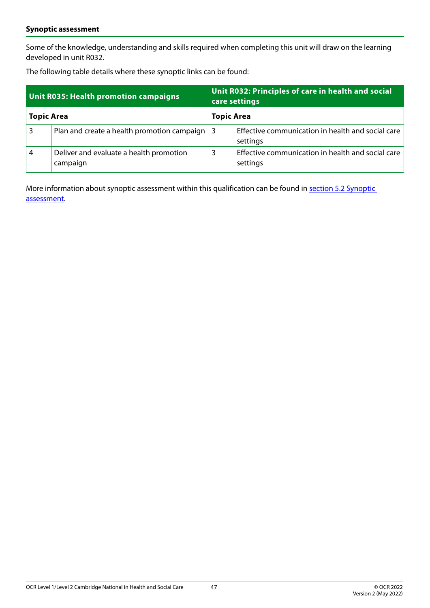#### **Synoptic assessment**

Some of the knowledge, understanding and skills required when completing this unit will draw on the learning developed in unit R032.

The following table details where these synoptic links can be found:

| Unit R035: Health promotion campaigns |                                                     | Unit R032: Principles of care in health and social<br>care settings |                                                               |  |
|---------------------------------------|-----------------------------------------------------|---------------------------------------------------------------------|---------------------------------------------------------------|--|
| <b>Topic Area</b>                     |                                                     | <b>Topic Area</b>                                                   |                                                               |  |
|                                       | Plan and create a health promotion campaign         | 3                                                                   | Effective communication in health and social care<br>settings |  |
| 4                                     | Deliver and evaluate a health promotion<br>campaign | 3                                                                   | Effective communication in health and social care<br>settings |  |

More information about synoptic assessment within this qualification can be found in [section 5.2 Synoptic](#page-48-0)  [assessment.](#page-48-0)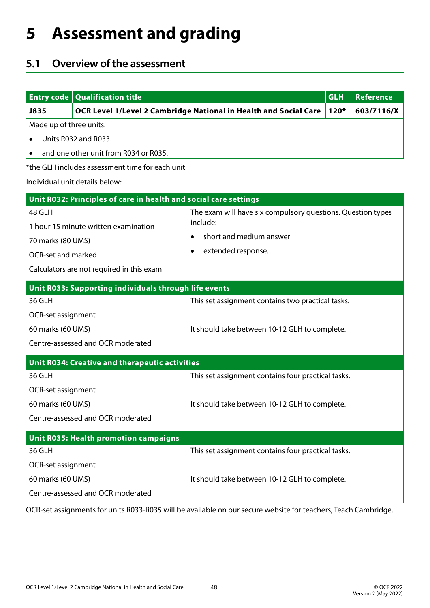# **5 Assessment and grading**

# **5.1 Overview of the assessment**

|                           | <b>Entry code   Qualification title</b>                          |                                                                  | <b>GLH</b> | Reference  |
|---------------------------|------------------------------------------------------------------|------------------------------------------------------------------|------------|------------|
| J835                      |                                                                  | OCR Level 1/Level 2 Cambridge National in Health and Social Care | $120*$     | 603/7116/X |
| Made up of three units:   |                                                                  |                                                                  |            |            |
|                           | Units R032 and R033                                              |                                                                  |            |            |
|                           | and one other unit from R034 or R035.                            |                                                                  |            |            |
|                           | *the GLH includes assessment time for each unit                  |                                                                  |            |            |
|                           | Individual unit details below:                                   |                                                                  |            |            |
|                           | Unit R032: Principles of care in health and social care settings |                                                                  |            |            |
| 48 GLH                    |                                                                  | The exam will have six compulsory questions. Question types      |            |            |
|                           | 1 hour 15 minute written examination                             | include:                                                         |            |            |
| 70 marks (80 UMS)         |                                                                  | short and medium answer                                          |            |            |
| <b>OCR-set and marked</b> |                                                                  | extended response.<br>$\bullet$                                  |            |            |
|                           | Calculators are not required in this exam                        |                                                                  |            |            |
|                           | Unit R033: Supporting individuals through life events            |                                                                  |            |            |
| 36 GLH                    |                                                                  | This set assignment contains two practical tasks.                |            |            |
| <b>OCR-set assignment</b> |                                                                  |                                                                  |            |            |
| 60 marks (60 UMS)         |                                                                  | It should take between 10-12 GLH to complete.                    |            |            |
|                           | Centre-assessed and OCR moderated                                |                                                                  |            |            |
|                           | <b>Unit R034: Creative and therapeutic activities</b>            |                                                                  |            |            |
| 36 GLH                    |                                                                  | This set assignment contains four practical tasks.               |            |            |
| <b>OCR-set assignment</b> |                                                                  |                                                                  |            |            |
| 60 marks (60 UMS)         |                                                                  | It should take between 10-12 GLH to complete.                    |            |            |
|                           | Centre-assessed and OCR moderated                                |                                                                  |            |            |
|                           | <b>Unit R035: Health promotion campaigns</b>                     |                                                                  |            |            |
| 36 GLH                    |                                                                  | This set assignment contains four practical tasks.               |            |            |
| OCR-set assignment        |                                                                  |                                                                  |            |            |
| 60 marks (60 UMS)         |                                                                  | It should take between 10-12 GLH to complete.                    |            |            |
|                           | Centre-assessed and OCR moderated                                |                                                                  |            |            |
|                           |                                                                  |                                                                  |            |            |

OCR-set assignments for units R033-R035 will be available on our secure website for teachers, Teach Cambridge.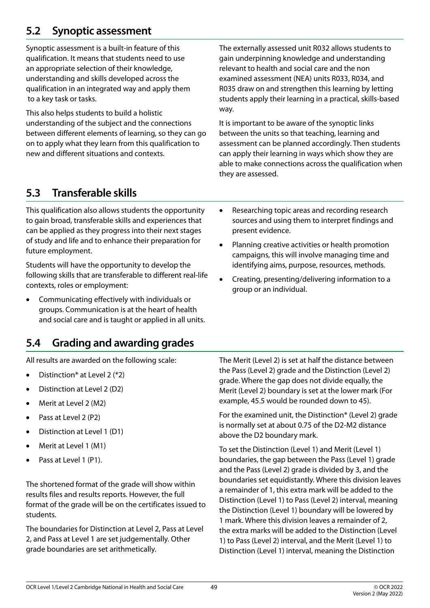# <span id="page-48-0"></span>**5.2 Synoptic assessment**

Synoptic assessment is a built-in feature of this qualification. It means that students need to use an appropriate selection of their knowledge, understanding and skills developed across the qualification in an integrated way and apply them to a key task or tasks.

This also helps students to build a holistic understanding of the subject and the connections between different elements of learning, so they can go on to apply what they learn from this qualification to new and different situations and contexts.

The externally assessed unit R032 allows students to gain underpinning knowledge and understanding relevant to health and social care and the non examined assessment (NEA) units R033, R034, and R035 draw on and strengthen this learning by letting students apply their learning in a practical, skills-based way.

It is important to be aware of the synoptic links between the units so that teaching, learning and assessment can be planned accordingly. Then students can apply their learning in ways which show they are able to make connections across the qualification when they are assessed.

# **5.3 Transferable skills**

This qualification also allows students the opportunity to gain broad, transferable skills and experiences that can be applied as they progress into their next stages of study and life and to enhance their preparation for future employment.

Students will have the opportunity to develop the following skills that are transferable to different real-life contexts, roles or employment:

- Communicating effectively with individuals or groups. Communication is at the heart of health and social care and is taught or applied in all units.
- Researching topic areas and recording research sources and using them to interpret findings and present evidence.
- Planning creative activities or health promotion campaigns, this will involve managing time and identifying aims, purpose, resources, methods.
- Creating, presenting/delivering information to a group or an individual.

# **5.4 Grading and awarding grades**

All results are awarded on the following scale:

- Distinction\* at Level 2  $(*2)$
- Distinction at Level 2 (D2)
- Merit at Level 2 (M2)
- Pass at Level 2 (P2)
- Distinction at Level 1 (D1)
- Merit at Level 1 (M1)
- Pass at Level 1 (P1).

The shortened format of the grade will show within results files and results reports. However, the full format of the grade will be on the certificates issued to students.

The boundaries for Distinction at Level 2, Pass at Level 2, and Pass at Level 1 are set judgementally. Other grade boundaries are set arithmetically.

The Merit (Level 2) is set at half the distance between the Pass (Level 2) grade and the Distinction (Level 2) grade. Where the gap does not divide equally, the Merit (Level 2) boundary is set at the lower mark (For example, 45.5 would be rounded down to 45).

For the examined unit, the Distinction\* (Level 2) grade is normally set at about 0.75 of the D2-M2 distance above the D2 boundary mark.

To set the Distinction (Level 1) and Merit (Level 1) boundaries, the gap between the Pass (Level 1) grade and the Pass (Level 2) grade is divided by 3, and the boundaries set equidistantly. Where this division leaves a remainder of 1, this extra mark will be added to the Distinction (Level 1) to Pass (Level 2) interval, meaning the Distinction (Level 1) boundary will be lowered by 1 mark. Where this division leaves a remainder of 2, the extra marks will be added to the Distinction (Level 1) to Pass (Level 2) interval, and the Merit (Level 1) to Distinction (Level 1) interval, meaning the Distinction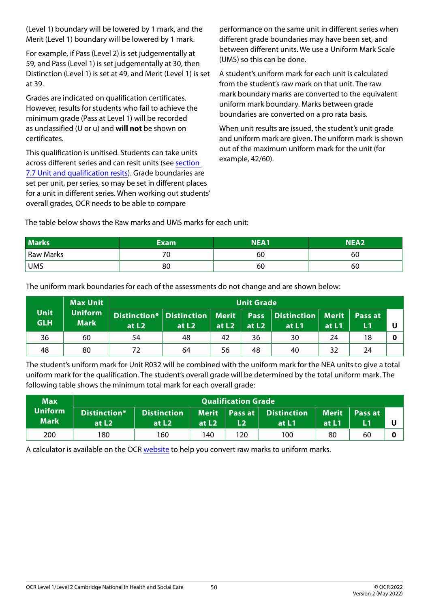(Level 1) boundary will be lowered by 1 mark, and the Merit (Level 1) boundary will be lowered by 1 mark.

For example, if Pass (Level 2) is set judgementally at 59, and Pass (Level 1) is set judgementally at 30, then Distinction (Level 1) is set at 49, and Merit (Level 1) is set at 39.

Grades are indicated on qualification certificates. However, results for students who fail to achieve the minimum grade (Pass at Level 1) will be recorded as unclassified (U or u) and **will not** be shown on certificates.

This qualification is unitised. Students can take units across different series and can resit units (see [section](#page-65-0)  [7.7 Unit and qualification resits\)](#page-65-0). Grade boundaries are set per unit, per series, so may be set in different places for a unit in different series. When working out students' overall grades, OCR needs to be able to compare

performance on the same unit in different series when different grade boundaries may have been set, and between different units. We use a Uniform Mark Scale (UMS) so this can be done.

A student's uniform mark for each unit is calculated from the student's raw mark on that unit. The raw mark boundary marks are converted to the equivalent uniform mark boundary. Marks between grade boundaries are converted on a pro rata basis.

When unit results are issued, the student's unit grade and uniform mark are given. The uniform mark is shown out of the maximum uniform mark for the unit (for example, 42/60).

The table below shows the Raw marks and UMS marks for each unit:

| Marks <sup>1</sup> | <b>Exam</b> | <b>NEA1</b> | NEA2 |
|--------------------|-------------|-------------|------|
| <b>Raw Marks</b>   | ◡           | 60          | 60   |
| <b>UMS</b>         | 80          | 60          | 60   |

The uniform mark boundaries for each of the assessments do not change and are shown below:

|                           | <b>Max Unit</b>               | <b>Unit Grade</b>                                                                            |                   |         |         |       |       |    |  |
|---------------------------|-------------------------------|----------------------------------------------------------------------------------------------|-------------------|---------|---------|-------|-------|----|--|
| <b>Unit</b><br><b>GLH</b> | <b>Uniform</b><br><b>Mark</b> | Distinction* Distinction   Merit   Pass   Distinction   Merit   Pass at<br>at L <sub>2</sub> | at L <sub>2</sub> | at $L2$ | at $L2$ | at L1 | at L1 | L1 |  |
| 36                        | 60                            | 54                                                                                           | 48                | 42      | 36      | 30    | 24    | 18 |  |
| 48                        | 80                            | 72                                                                                           | 64                | 56      | 48      | 40    | 32    | 24 |  |

The student's uniform mark for Unit R032 will be combined with the uniform mark for the NEA units to give a total uniform mark for the qualification. The student's overall grade will be determined by the total uniform mark. The following table shows the minimum total mark for each overall grade:

| <b>Max</b>                    | <b>Qualification Grade</b> |                               |                   |     |                                        |                       |               |   |
|-------------------------------|----------------------------|-------------------------------|-------------------|-----|----------------------------------------|-----------------------|---------------|---|
| <b>Uniform</b><br><b>Mark</b> | Distinction*<br>at $L2$    | <b>Distinction</b><br>at $L2$ | at L <sub>2</sub> |     | Merit   Pass at   Distinction<br>at L1 | <b>Merit</b><br>at L1 | Pass at<br>L1 |   |
| 200                           | 180                        | 160                           | 140               | 120 | 100                                    | 80                    | 60            | 0 |

A calculator is available on the OCR [website](https://www.ocr.org.uk/qualifications/convert-raw-marks-to-ums/) to help you convert raw marks to uniform marks.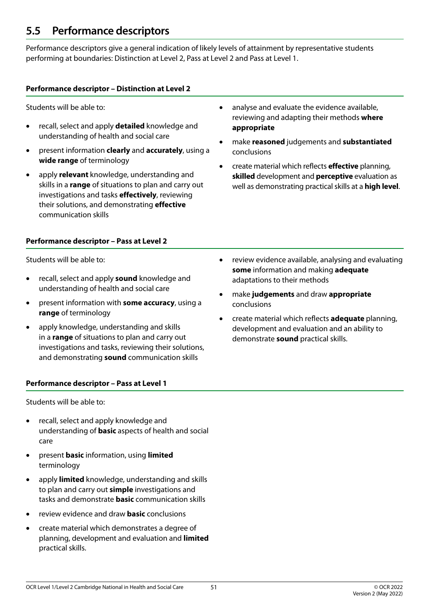## **5.5 Performance descriptors**

Performance descriptors give a general indication of likely levels of attainment by representative students performing at boundaries: Distinction at Level 2, Pass at Level 2 and Pass at Level 1.

### **Performance descriptor – Distinction at Level 2**

Students will be able to:

- recall, select and apply **detailed** knowledge and understanding of health and social care
- present information **clearly** and **accurately**, using a **wide range** of terminology
- • apply **relevant** knowledge, understanding and skills in a **range** of situations to plan and carry out investigations and tasks **effectively**, reviewing their solutions, and demonstrating **effective** communication skills
- **Performance descriptor Pass at Level 2**

Students will be able to:

- recall, select and apply **sound** knowledge and understanding of health and social care
- present information with **some accuracy**, using a **range** of terminology
- apply knowledge, understanding and skills in a **range** of situations to plan and carry out investigations and tasks, reviewing their solutions, and demonstrating **sound** communication skills

### **Performance descriptor – Pass at Level 1**

Students will be able to:

- recall, select and apply knowledge and understanding of **basic** aspects of health and social care
- • present **basic** information, using **limited** terminology
- apply **limited** knowledge, understanding and skills to plan and carry out **simple** investigations and tasks and demonstrate **basic** communication skills
- review evidence and draw **basic** conclusions
- create material which demonstrates a degree of planning, development and evaluation and **limited** practical skills.
- analyse and evaluate the evidence available, reviewing and adapting their methods **where appropriate**
- make **reasoned** judgements and **substantiated** conclusions
- create material which reflects **effective** planning, **skilled** development and **perceptive** evaluation as well as demonstrating practical skills at a **high level**.

- review evidence available, analysing and evaluating **some** information and making **adequate** adaptations to their methods
- • make **judgements** and draw **appropriate** conclusions
- create material which reflects **adequate** planning, development and evaluation and an ability to demonstrate **sound** practical skills.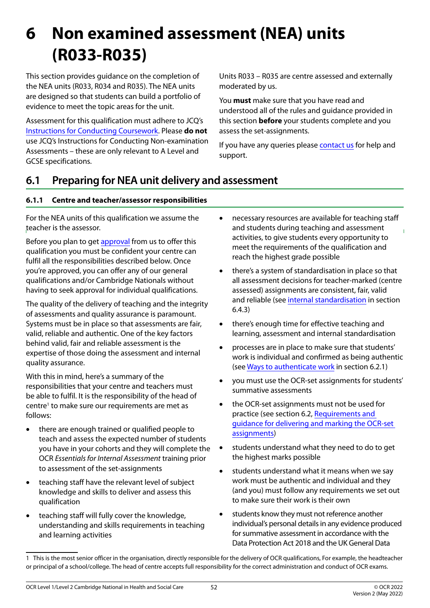# **6 Non examined assessment (NEA) units (R033-R035)**

This section provides guidance on the completion of the NEA units (R033, R034 and R035). The NEA units are designed so that students can build a portfolio of evidence to meet the topic areas for the unit.

Assessment for this qualification must adhere to JCQ's [Instructions for Conducting Coursework.](https://www.jcq.org.uk/exams-office/coursework/) Please **do not** use JCQ's Instructions for Conducting Non-examination Assessments – these are only relevant to A Level and GCSE specifications.

Units R033 – R035 are centre assessed and externally moderated by us.

You **must** make sure that you have read and understood all of the rules and guidance provided in this section **before** your students complete and you assess the set-assignments.

If you have any queries please [contact us](#page-4-0) for help and support.

# **6.1 Preparing for NEA unit delivery and assessment**

### **6.1.1 Centre and teacher/assessor responsibilities**

For the NEA units of this qualification we assume the teacher is the assessor.

Before you plan to get [approval](https://www.ocr.org.uk/administration/cambridge-nationals/preparation/centre-approval/) from us to offer this qualification you must be confident your centre can fulfil all the responsibilities described below. Once you're approved, you can offer any of our general qualifications and/or Cambridge Nationals without having to seek approval for individual qualifications.

The quality of the delivery of teaching and the integrity of assessments and quality assurance is paramount. Systems must be in place so that assessments are fair, valid, reliable and authentic. One of the key factors behind valid, fair and reliable assessment is the expertise of those doing the assessment and internal quality assurance.

With this in mind, here's a summary of the responsibilities that your centre and teachers must be able to fulfil. It is the responsibility of the head of centre<sup>1</sup> to make sure our requirements are met as follows:

- there are enough trained or qualified people to teach and assess the expected number of students you have in your cohorts and they will complete the OCR *Essentials for Internal Assessment* training prior to assessment of the set-assignments
- teaching staff have the relevant level of subject knowledge and skills to deliver and assess this qualification
- teaching staff will fully cover the knowledge, understanding and skills requirements in teaching and learning activities
- necessary resources are available for teaching staff and students during teaching and assessment activities, to give students every opportunity to meet the requirements of the qualification and reach the highest grade possible
- there's a system of standardisation in place so that all assessment decisions for teacher-marked (centre assessed) assignments are consistent, fair, valid and reliable (see [internal standardisation](#page-60-0) in section 6.4.3)
- there's enough time for effective teaching and learning, assessment and internal standardisation
- processes are in place to make sure that students' work is individual and confirmed as being authentic (see [Ways to authenticate work](#page-53-0) in section 6.2.1)
- you must use the OCR-set assignments for students' summative assessments
- the OCR-set assignments must not be used for practice (see section 6.2, [Requirements and](#page-52-0)  [guidance for delivering and marking the OCR-set](#page-52-0)  [assignments](#page-52-0))
- • students understand what they need to do to get the highest marks possible
- students understand what it means when we say work must be authentic and individual and they (and you) must follow any requirements we set out to make sure their work is their own
- students know they must not reference another individual's personal details in any evidence produced for summative assessment in accordance with the Data Protection Act 2018 and the UK General Data

<sup>1</sup> This is the most senior officer in the organisation, directly responsible for the delivery of OCR qualifications, For example, the headteacher or principal of a school/college. The head of centre accepts full responsibility for the correct administration and conduct of OCR exams.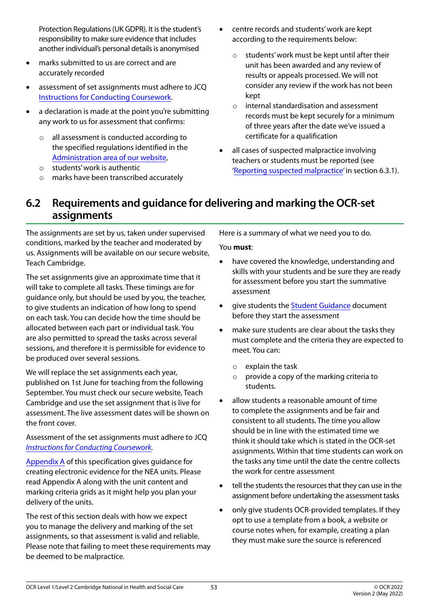Protection Regulations (UK GDPR). It is the student's responsibility to make sure evidence that includes another individual's personal details is anonymised

- marks submitted to us are correct and are accurately recorded
- assessment of set assignments must adhere to JCQ [Instructions for Conducting Coursework.](https://www.jcq.org.uk/exams-office/coursework)
- a declaration is made at the point you're submitting any work to us for assessment that confirms:
	- all assessment is conducted according to the specified regulations identified in the [Administration area of our website](https://www.ocr.org.uk/administration/),
	- o students' work is authentic
	- o marks have been transcribed accurately
- centre records and students' work are kept according to the requirements below:
	- o students' work must be kept until after their unit has been awarded and any review of results or appeals processed. We will not consider any review if the work has not been kept
	- o internal standardisation and assessment records must be kept securely for a minimum of three years after the date we've issued a certificate for a qualification
- all cases of suspected malpractice involving teachers or students must be reported (see '[Reporting suspected malpractice](#page-56-0)' in section 6.3.1).

## <span id="page-52-0"></span>**6.2 Requirements and guidance for delivering and marking the OCR-set assignments**

The assignments are set by us, taken under supervised conditions, marked by the teacher and moderated by us. Assignments will be available on our secure website, Teach Cambridge.

The set assignments give an approximate time that it will take to complete all tasks. These timings are for guidance only, but should be used by you, the teacher, to give students an indication of how long to spend on each task. You can decide how the time should be allocated between each part or individual task. You are also permitted to spread the tasks across several sessions, and therefore it is permissible for evidence to be produced over several sessions.

We will replace the set assignments each year, published on 1st June for teaching from the following September. You must check our secure website, Teach Cambridge and use the set assignment that is live for assessment. The live assessment dates will be shown on the front cover.

Assessment of the set assignments must adhere to JCQ *[Instructions for Conducting Coursework.](https://www.jcq.org.uk/exams-office/coursework)* 

[Appendix A](#page-66-0) of this specification gives guidance for creating electronic evidence for the NEA units. Please read Appendix A along with the unit content and marking criteria grids as it might help you plan your delivery of the units.

The rest of this section deals with how we expect you to manage the delivery and marking of the set assignments, so that assessment is valid and reliable. Please note that failing to meet these requirements may be deemed to be malpractice.

Here is a summary of what we need you to do.

#### You **must**:

- have covered the knowledge, understanding and skills with your students and be sure they are ready for assessment before you start the summative assessment
- give students the [Student Guidance](https://ocr.org.uk/Images/620512-student-guide-to-nea-assignments.pdf) document before they start the assessment
- make sure students are clear about the tasks they must complete and the criteria they are expected to meet. You can:
	- o explain the task
	- $\circ$  provide a copy of the marking criteria to students.
- allow students a reasonable amount of time to complete the assignments and be fair and consistent to all students. The time you allow should be in line with the estimated time we think it should take which is stated in the OCR-set assignments. Within that time students can work on the tasks any time until the date the centre collects the work for centre assessment
- tell the students the resources that they can use in the assignment before undertaking the assessment tasks
- only give students OCR-provided templates. If they opt to use a template from a book, a website or course notes when, for example, creating a plan they must make sure the source is referenced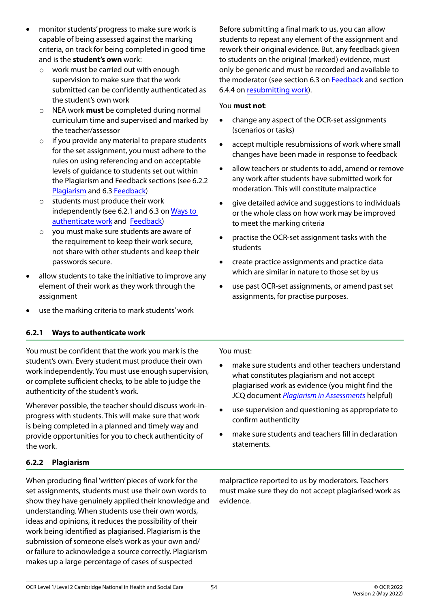- monitor students' progress to make sure work is capable of being assessed against the marking criteria, on track for being completed in good time and is the **student's own** work:
	- o work must be carried out with enough supervision to make sure that the work submitted can be confidently authenticated as the student's own work
	- o NEA work **must** be completed during normal curriculum time and supervised and marked by the teacher/assessor
	- o if you provide any material to prepare students for the set assignment, you must adhere to the rules on using referencing and on acceptable levels of guidance to students set out within the Plagiarism and Feedback sections (see 6.2.2 [Plagiarism](#page-53-1) and 6.3 [Feedback\)](#page-55-0)
	- o students must produce their work independently (see 6.2.1 and 6.3 on [Ways to](#page-53-0)  [authenticate work](#page-53-0) and [Feedback](#page-55-0))
	- o you must make sure students are aware of the requirement to keep their work secure, not share with other students and keep their passwords secure.
- allow students to take the initiative to improve any element of their work as they work through the assignment
- use the marking criteria to mark students' work

Before submitting a final mark to us, you can allow students to repeat any element of the assignment and rework their original evidence. But, any feedback given to students on the original (marked) evidence, must only be generic and must be recorded and available to the moderator (see section 6.3 on [Feedback](#page-55-0) and section 6.4.4 on [resubmitting work\)](#page-60-1).

#### You **must not**:

- change any aspect of the OCR-set assignments (scenarios or tasks)
- accept multiple resubmissions of work where small changes have been made in response to feedback
- allow teachers or students to add, amend or remove any work after students have submitted work for moderation. This will constitute malpractice
- • give detailed advice and suggestions to individuals or the whole class on how work may be improved to meet the marking criteria
- practise the OCR-set assignment tasks with the students
- create practice assignments and practice data which are similar in nature to those set by us
- use past OCR-set assignments, or amend past set assignments, for practise purposes.

### <span id="page-53-0"></span>**6.2.1 Ways to authenticate work**

You must be confident that the work you mark is the student's own. Every student must produce their own work independently. You must use enough supervision, or complete sufficient checks, to be able to judge the authenticity of the student's work.

Wherever possible, the teacher should discuss work-inprogress with students. This will make sure that work is being completed in a planned and timely way and provide opportunities for you to check authenticity of the work.

### <span id="page-53-1"></span>**6.2.2 Plagiarism**

When producing final 'written' pieces of work for the set assignments, students must use their own words to show they have genuinely applied their knowledge and understanding. When students use their own words, ideas and opinions, it reduces the possibility of their work being identified as plagiarised. Plagiarism is the submission of someone else's work as your own and/ or failure to acknowledge a source correctly. Plagiarism makes up a large percentage of cases of suspected

You must:

- make sure students and other teachers understand what constitutes plagiarism and not accept plagiarised work as evidence (you might find the JCQ document *[Plagiarism in Assessments](https://www.jcq.org.uk/exams-office/malpractice/plagiarism-in-assessments---guidance-for-teachersassessors/)* helpful)
- use supervision and questioning as appropriate to confirm authenticity
- make sure students and teachers fill in declaration statements.

malpractice reported to us by moderators. Teachers must make sure they do not accept plagiarised work as evidence.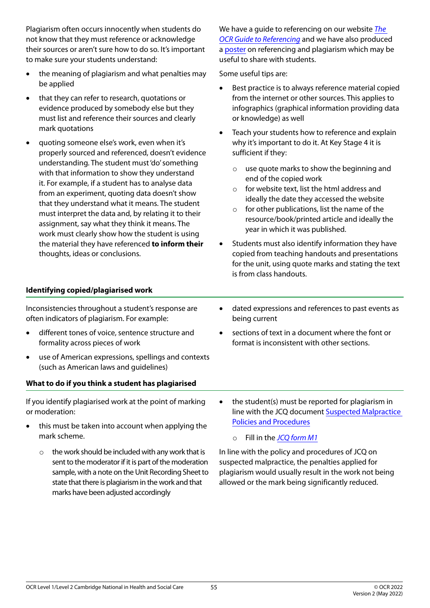Plagiarism often occurs innocently when students do not know that they must reference or acknowledge their sources or aren't sure how to do so. It's important to make sure your students understand:

- the meaning of plagiarism and what penalties may be applied
- that they can refer to research, quotations or evidence produced by somebody else but they must list and reference their sources and clearly mark quotations
- quoting someone else's work, even when it's properly sourced and referenced, doesn't evidence understanding. The student must 'do' something with that information to show they understand it. For example, if a student has to analyse data from an experiment, quoting data doesn't show that they understand what it means. The student must interpret the data and, by relating it to their assignment, say what they think it means. The work must clearly show how the student is using the material they have referenced **to inform their** thoughts, ideas or conclusions.

We have a guide to referencing on our website *[The](https://www.ocr.org.uk/Images/168840-the-ocr-guide-to-referencing.pdf)  [OCR Guide to Referencing](https://www.ocr.org.uk/Images/168840-the-ocr-guide-to-referencing.pdf)* and we have also produced a [poster](https://www.ocr.org.uk/Images/576267-how-to-reference-work-poster.pdf) on referencing and plagiarism which may be useful to share with students.

Some useful tips are:

- Best practice is to always reference material copied from the internet or other sources. This applies to infographics (graphical information providing data or knowledge) as well
- Teach your students how to reference and explain why it's important to do it. At Key Stage 4 it is sufficient if they:
	- o use quote marks to show the beginning and end of the copied work
	- $\circ$  for website text, list the html address and ideally the date they accessed the website
	- $\circ$  for other publications, list the name of the resource/book/printed article and ideally the year in which it was published.
- Students must also identify information they have copied from teaching handouts and presentations for the unit, using quote marks and stating the text is from class handouts.

#### **Identifying copied/plagiarised work**

Inconsistencies throughout a student's response are often indicators of plagiarism. For example:

- different tones of voice, sentence structure and formality across pieces of work
- use of American expressions, spellings and contexts (such as American laws and guidelines)

#### **What to do if you think a student has plagiarised**

If you identify plagiarised work at the point of marking or moderation:

- this must be taken into account when applying the mark scheme.
	- $\circ$  the work should be included with any work that is sent to the moderator if it is part of the moderation sample, with a note on the Unit Recording Sheet to state that there is plagiarism in the work and that marks have been adjusted accordingly
- dated expressions and references to past events as being current
- sections of text in a document where the font or format is inconsistent with other sections.
- the student(s) must be reported for plagiarism in line with the JCQ document [Suspected Malpractice](https://www.jcq.org.uk/exams-office/malpractice/)  [Policies and Procedures](https://www.jcq.org.uk/exams-office/malpractice/)
	- o Fill in the *[JCQ form M1](https://www.jcq.org.uk/exams-office/malpractice)*

In line with the policy and procedures of JCQ on suspected malpractice, the penalties applied for plagiarism would usually result in the work not being allowed or the mark being significantly reduced.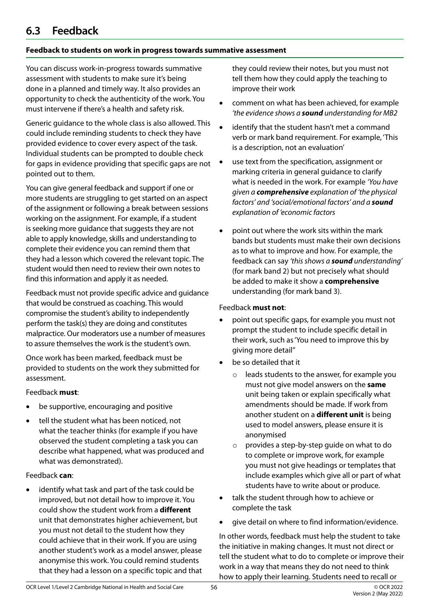# <span id="page-55-0"></span>**6.3 Feedback**

### **Feedback to students on work in progress towards summative assessment**

You can discuss work-in-progress towards summative assessment with students to make sure it's being done in a planned and timely way. It also provides an opportunity to check the authenticity of the work. You must intervene if there's a health and safety risk.

Generic guidance to the whole class is also allowed. This could include reminding students to check they have provided evidence to cover every aspect of the task. Individual students can be prompted to double check for gaps in evidence providing that specific gaps are not pointed out to them.

You can give general feedback and support if one or more students are struggling to get started on an aspect of the assignment or following a break between sessions working on the assignment. For example, if a student is seeking more guidance that suggests they are not able to apply knowledge, skills and understanding to complete their evidence you can remind them that they had a lesson which covered the relevant topic. The student would then need to review their own notes to find this information and apply it as needed.

Feedback must not provide specific advice and guidance that would be construed as coaching. This would compromise the student's ability to independently perform the task(s) they are doing and constitutes malpractice. Our moderators use a number of measures to assure themselves the work is the student's own.

Once work has been marked, feedback must be provided to students on the work they submitted for assessment.

#### Feedback **must**:

- be supportive, encouraging and positive
- tell the student what has been noticed, not what the teacher thinks (for example if you have observed the student completing a task you can describe what happened, what was produced and what was demonstrated).

#### Feedback **can**:

identify what task and part of the task could be improved, but not detail how to improve it. You could show the student work from a **different** unit that demonstrates higher achievement, but you must not detail to the student how they could achieve that in their work. If you are using another student's work as a model answer, please anonymise this work. You could remind students that they had a lesson on a specific topic and that they could review their notes, but you must not tell them how they could apply the teaching to improve their work

- comment on what has been achieved, for example *'the evidence shows a sound understanding for MB2*
- identify that the student hasn't met a command verb or mark band requirement. For example, 'This is a description, not an evaluation'
- use text from the specification, assignment or marking criteria in general guidance to clarify what is needed in the work. For example *'You have given a comprehensive explanation of 'the physical factors' and 'social/emotional factors' and a sound explanation of 'economic factors*
- point out where the work sits within the mark bands but students must make their own decisions as to what to improve and how. For example, the feedback can say *'this shows a sound understanding'* (for mark band 2) but not precisely what should be added to make it show a **comprehensive** understanding (for mark band 3).

#### Feedback **must not**:

- point out specific gaps, for example you must not prompt the student to include specific detail in their work, such as 'You need to improve this by giving more detail''
- be so detailed that it
	- o leads students to the answer, for example you must not give model answers on the **same** unit being taken or explain specifically what amendments should be made. If work from another student on a **different unit** is being used to model answers, please ensure it is anonymised
	- o provides a step-by-step guide on what to do to complete or improve work, for example you must not give headings or templates that include examples which give all or part of what students have to write about or produce.
- talk the student through how to achieve or complete the task
- give detail on where to find information/evidence.

In other words, feedback must help the student to take the initiative in making changes. It must not direct or tell the student what to do to complete or improve their work in a way that means they do not need to think how to apply their learning. Students need to recall or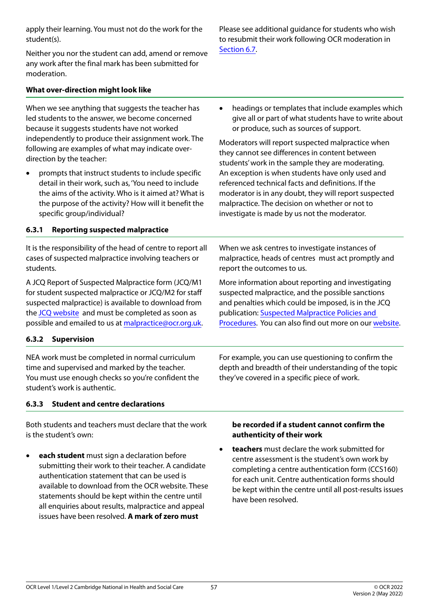OCR Level 1/Level 2 Cambridge National in Health and Social Care

57 © OCR 2022

apply their learning. You must not do the work for the student(s).

Neither you nor the student can add, amend or remove any work after the final mark has been submitted for moderation.

### **What over-direction might look like**

When we see anything that suggests the teacher has led students to the answer, we become concerned because it suggests students have not worked independently to produce their assignment work. The following are examples of what may indicate overdirection by the teacher:

• prompts that instruct students to include specific detail in their work, such as, 'You need to include the aims of the activity. Who is it aimed at? What is the purpose of the activity? How will it benefit the specific group/individual?

### <span id="page-56-0"></span>**6.3.1 Reporting suspected malpractice**

It is the responsibility of the head of centre to report all cases of suspected malpractice involving teachers or students.

A JCQ Report of Suspected Malpractice form (JCQ/M1 for student suspected malpractice or JCQ/M2 for staff suspected malpractice) is available to download from the [JCQ website](http://www.jcq.org.uk/exams-office/malpractice) and must be completed as soon as possible and emailed to us at [malpractice@ocr.org.uk.](mailto:malpractice@ocr.org.uk)

### **6.3.2 Supervision**

NEA work must be completed in normal curriculum time and supervised and marked by the teacher. You must use enough checks so you're confident the student's work is authentic.

### **6.3.3 Student and centre declarations**

Both students and teachers must declare that the work is the student's own:

• **each student** must sign a declaration before submitting their work to their teacher. A candidate authentication statement that can be used is available to download from the OCR website. These statements should be kept within the centre until all enquiries about results, malpractice and appeal issues have been resolved. **A mark of zero must** 

#### **be recorded if a student cannot confirm the authenticity of their work**

**teachers** must declare the work submitted for centre assessment is the student's own work by completing a centre authentication form (CCS160) for each unit. Centre authentication forms should be kept within the centre until all post-results issues have been resolved.

Please see additional guidance for students who wish to resubmit their work following OCR moderation in [Section 6.7.](#page-61-0)

• headings or templates that include examples which give all or part of what students have to write about or produce, such as sources of support.

Moderators will report suspected malpractice when they cannot see differences in content between students' work in the sample they are moderating. An exception is when students have only used and referenced technical facts and definitions. If the moderator is in any doubt, they will report suspected malpractice. The decision on whether or not to investigate is made by us not the moderator.

When we ask centres to investigate instances of malpractice, heads of centres must act promptly and report the outcomes to us.

More information about reporting and investigating suspected malpractice, and the possible sanctions and penalties which could be imposed, is in the JCQ publication: [Suspected Malpractice Policies and](https://www.jcq.org.uk/exams-office/malpractice/)  [Procedures.](https://www.jcq.org.uk/exams-office/malpractice/) You can also find out more on our [website.](https://www.ocr.org.uk/administration/cambridge-nationals/assessment/malpractice/)

For example, you can use questioning to confirm the depth and breadth of their understanding of the topic

they've covered in a specific piece of work.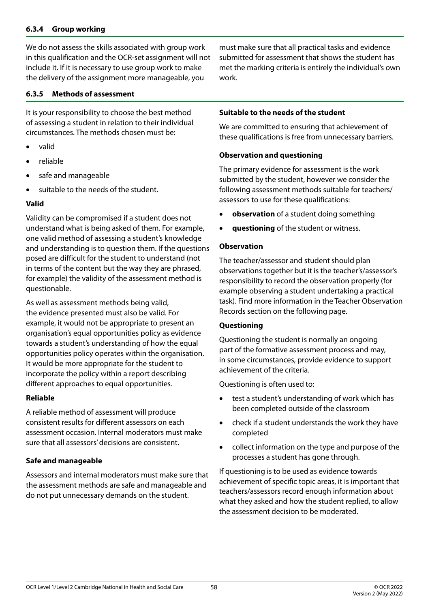#### **6.3.4 Group working**

We do not assess the skills associated with group work in this qualification and the OCR-set assignment will not include it. If it is necessary to use group work to make the delivery of the assignment more manageable, you

#### **6.3.5 Methods of assessment**

It is your responsibility to choose the best method of assessing a student in relation to their individual circumstances. The methods chosen must be:

- • valid
- • reliable
- safe and manageable
- suitable to the needs of the student.

#### **Valid**

Validity can be compromised if a student does not understand what is being asked of them. For example, one valid method of assessing a student's knowledge and understanding is to question them. If the questions posed are difficult for the student to understand (not in terms of the content but the way they are phrased, for example) the validity of the assessment method is questionable.

As well as assessment methods being valid, the evidence presented must also be valid. For example, it would not be appropriate to present an organisation's equal opportunities policy as evidence towards a student's understanding of how the equal opportunities policy operates within the organisation. It would be more appropriate for the student to incorporate the policy within a report describing different approaches to equal opportunities.

#### **Reliable**

A reliable method of assessment will produce consistent results for different assessors on each assessment occasion. Internal moderators must make sure that all assessors' decisions are consistent.

#### **Safe and manageable**

Assessors and internal moderators must make sure that the assessment methods are safe and manageable and do not put unnecessary demands on the student.

must make sure that all practical tasks and evidence submitted for assessment that shows the student has met the marking criteria is entirely the individual's own work.

#### **Suitable to the needs of the student**

We are committed to ensuring that achievement of these qualifications is free from unnecessary barriers.

#### **Observation and questioning**

The primary evidence for assessment is the work submitted by the student, however we consider the following assessment methods suitable for teachers/ assessors to use for these qualifications:

- • **observation** of a student doing something
- **questioning** of the student or witness.

#### **Observation**

The teacher/assessor and student should plan observations together but it is the teacher's/assessor's responsibility to record the observation properly (for example observing a student undertaking a practical task). Find more information in the Teacher Observation Records section on the following page.

#### **Questioning**

Questioning the student is normally an ongoing part of the formative assessment process and may, in some circumstances, provide evidence to support achievement of the criteria.

Questioning is often used to:

- test a student's understanding of work which has been completed outside of the classroom
- check if a student understands the work they have completed
- • collect information on the type and purpose of the processes a student has gone through.

If questioning is to be used as evidence towards achievement of specific topic areas, it is important that teachers/assessors record enough information about what they asked and how the student replied, to allow the assessment decision to be moderated.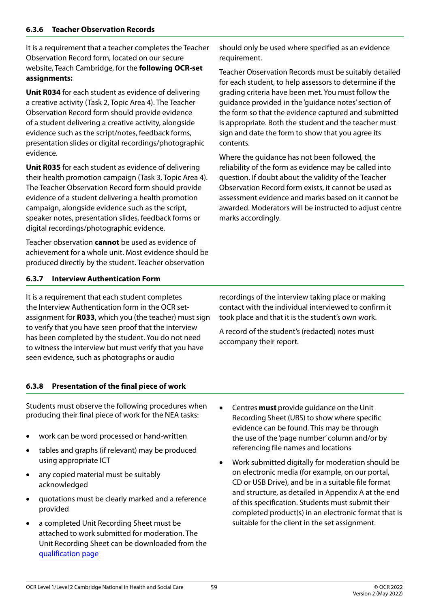It is a requirement that a teacher completes the Teacher Observation Record form, located on our secure website, Teach Cambridge, for the **following OCR-set assignments:**

**Unit R034** for each student as evidence of delivering a creative activity (Task 2, Topic Area 4). The Teacher Observation Record form should provide evidence of a student delivering a creative activity, alongside evidence such as the script/notes, feedback forms, presentation slides or digital recordings/photographic evidence.

**Unit R035** for each student as evidence of delivering their health promotion campaign (Task 3, Topic Area 4). The Teacher Observation Record form should provide evidence of a student delivering a health promotion campaign, alongside evidence such as the script, speaker notes, presentation slides, feedback forms or digital recordings/photographic evidence.

Teacher observation **cannot** be used as evidence of achievement for a whole unit. Most evidence should be produced directly by the student. Teacher observation

should only be used where specified as an evidence requirement.

Teacher Observation Records must be suitably detailed for each student, to help assessors to determine if the grading criteria have been met. You must follow the guidance provided in the 'guidance notes' section of the form so that the evidence captured and submitted is appropriate. Both the student and the teacher must sign and date the form to show that you agree its contents.

Where the guidance has not been followed, the reliability of the form as evidence may be called into question. If doubt about the validity of the Teacher Observation Record form exists, it cannot be used as assessment evidence and marks based on it cannot be awarded. Moderators will be instructed to adjust centre marks accordingly.

### **6.3.7 Interview Authentication Form**

It is a requirement that each student completes the Interview Authentication form in the OCR setassignment for **R033**, which you (the teacher) must sign to verify that you have seen proof that the interview has been completed by the student. You do not need to witness the interview but must verify that you have seen evidence, such as photographs or audio

recordings of the interview taking place or making contact with the individual interviewed to confirm it took place and that it is the student's own work.

A record of the student's (redacted) notes must accompany their report.

### **6.3.8 Presentation of the final piece of work**

Students must observe the following procedures when producing their final piece of work for the NEA tasks:

- work can be word processed or hand-written
- tables and graphs (if relevant) may be produced using appropriate ICT
- any copied material must be suitably acknowledged
- quotations must be clearly marked and a reference provided
- a completed Unit Recording Sheet must be attached to work submitted for moderation. The Unit Recording Sheet can be downloaded from the [qualification page](https://www.ocr.org.uk/qualifications/cambridge-nationals/)
- Centres **must** provide guidance on the Unit Recording Sheet (URS) to show where specific evidence can be found. This may be through the use of the 'page number' column and/or by referencing file names and locations
- Work submitted digitally for moderation should be on electronic media (for example, on our portal, CD or USB Drive), and be in a suitable file format and structure, as detailed in Appendix A at the end of this specification. Students must submit their completed product(s) in an electronic format that is suitable for the client in the set assignment.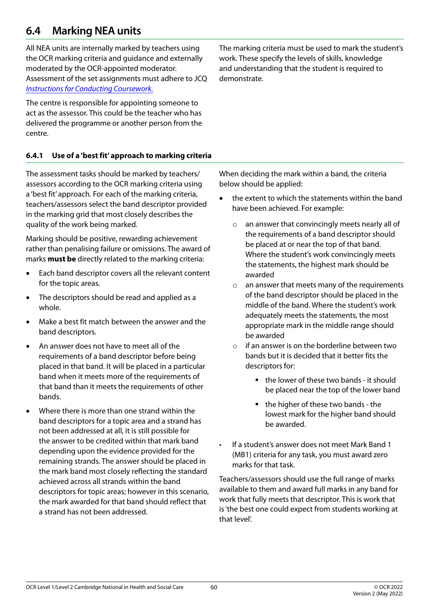# <span id="page-59-0"></span>**6.4 Marking NEA units**

All NEA units are internally marked by teachers using the OCR marking criteria and guidance and externally moderated by the OCR-appointed moderator. Assessment of the set assignments must adhere to JCQ *[Instructions for Conducting Coursework.](https://www.jcq.org.uk/exams-office/coursework)*

The centre is responsible for appointing someone to act as the assessor. This could be the teacher who has delivered the programme or another person from the centre.

**6.4.1 Use of a 'best fit' approach to marking criteria**

The assessment tasks should be marked by teachers/ assessors according to the OCR marking criteria using a 'best fit' approach. For each of the marking criteria, teachers/assessors select the band descriptor provided in the marking grid that most closely describes the quality of the work being marked.

Marking should be positive, rewarding achievement rather than penalising failure or omissions. The award of marks **must be** directly related to the marking criteria:

- Each band descriptor covers all the relevant content for the topic areas.
- The descriptors should be read and applied as a whole.
- Make a best fit match between the answer and the band descriptors.
- An answer does not have to meet all of the requirements of a band descriptor before being placed in that band. It will be placed in a particular band when it meets more of the requirements of that band than it meets the requirements of other bands.
- Where there is more than one strand within the band descriptors for a topic area and a strand has not been addressed at all, it is still possible for the answer to be credited within that mark band depending upon the evidence provided for the remaining strands. The answer should be placed in the mark band most closely reflecting the standard achieved across all strands within the band descriptors for topic areas; however in this scenario, the mark awarded for that band should reflect that a strand has not been addressed.

The marking criteria must be used to mark the student's work. These specify the levels of skills, knowledge and understanding that the student is required to demonstrate.

When deciding the mark within a band, the criteria below should be applied:

- the extent to which the statements within the band have been achieved. For example:
	- o an answer that convincingly meets nearly all of the requirements of a band descriptor should be placed at or near the top of that band. Where the student's work convincingly meets the statements, the highest mark should be awarded
	- o an answer that meets many of the requirements of the band descriptor should be placed in the middle of the band. Where the student's work adequately meets the statements, the most appropriate mark in the middle range should be awarded
	- $\circ$  if an answer is on the borderline between two bands but it is decided that it better fits the descriptors for:
		- the lower of these two bands it should be placed near the top of the lower band
		- the higher of these two bands the lowest mark for the higher band should be awarded.
- If a student's answer does not meet Mark Band 1 (MB1) criteria for any task, you must award zero marks for that task.

Teachers/assessors should use the full range of marks available to them and award full marks in any band for work that fully meets that descriptor. This is work that is 'the best one could expect from students working at that level'.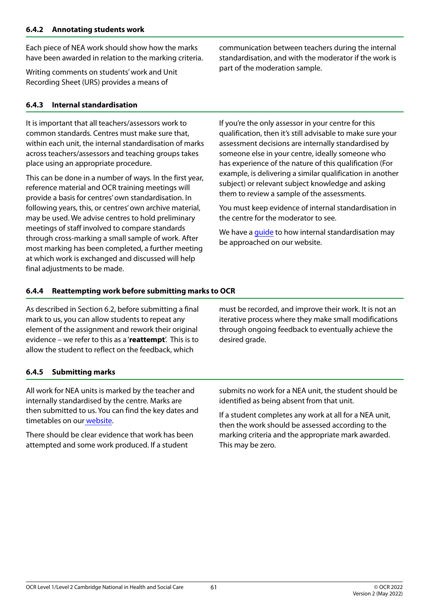Each piece of NEA work should show how the marks have been awarded in relation to the marking criteria.

Writing comments on students' work and Unit Recording Sheet (URS) provides a means of

### <span id="page-60-0"></span>**6.4.3 Internal standardisation**

It is important that all teachers/assessors work to common standards. Centres must make sure that, within each unit, the internal standardisation of marks across teachers/assessors and teaching groups takes place using an appropriate procedure.

This can be done in a number of ways. In the first year, reference material and OCR training meetings will provide a basis for centres' own standardisation. In following years, this, or centres' own archive material, may be used. We advise centres to hold preliminary meetings of staff involved to compare standards through cross-marking a small sample of work. After most marking has been completed, a further meeting at which work is exchanged and discussed will help final adjustments to be made.

communication between teachers during the internal standardisation, and with the moderator if the work is part of the moderation sample.

If you're the only assessor in your centre for this qualification, then it's still advisable to make sure your assessment decisions are internally standardised by someone else in your centre, ideally someone who has experience of the nature of this qualification (For example, is delivering a similar qualification in another subject) or relevant subject knowledge and asking them to review a sample of the assessments.

You must keep evidence of internal standardisation in the centre for the moderator to see.

We have a [guide](https://www.ocr.org.uk/Images/286460-internal-standardisation-generic-guide.pdf) to how internal standardisation may be approached on our website.

### <span id="page-60-1"></span>**6.4.4 Reattempting work before submitting marks to OCR**

As described in Section 6.2, before submitting a final mark to us, you can allow students to repeat any element of the assignment and rework their original evidence – we refer to this as a '**reattempt**'. This is to allow the student to reflect on the feedback, which

must be recorded, and improve their work. It is not an iterative process where they make small modifications through ongoing feedback to eventually achieve the desired grade.

### **6.4.5 Submitting marks**

All work for NEA units is marked by the teacher and internally standardised by the centre. Marks are then submitted to us. You can find the key dates and timetables on ou[r website](https://www.ocr.org.uk/administration/cambridge-nationals/).

There should be clear evidence that work has been attempted and some work produced. If a student

submits no work for a NEA unit, the student should be identified as being absent from that unit.

If a student completes any work at all for a NEA unit, then the work should be assessed according to the marking criteria and the appropriate mark awarded. This may be zero.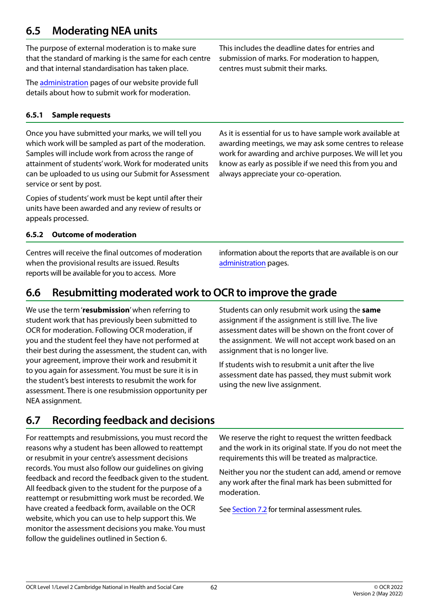# **6.5 Moderating NEA units**

The purpose of external moderation is to make sure that the standard of marking is the same for each centre and that internal standardisation has taken place.

The [administration](https://www.ocr.org.uk/administration/cambridge-nationals/) pages of our website provide full details about how to submit work for moderation.

### **6.5.1 Sample requests**

Once you have submitted your marks, we will tell you which work will be sampled as part of the moderation. Samples will include work from across the range of attainment of students' work. Work for moderated units can be uploaded to us using our Submit for Assessment service or sent by post.

Copies of students' work must be kept until after their units have been awarded and any review of results or appeals processed.

### **6.5.2 Outcome of moderation**

Centres will receive the final outcomes of moderation when the provisional results are issued. Results reports will be available for you to access. More

information about the reports that are available is on our [administration](https://www.ocr.org.uk/administration/cambridge-nationals/) pages.

# **6.6 Resubmitting moderated work to OCR to improve the grade**

We use the term '**resubmission**' when referring to student work that has previously been submitted to OCR for moderation. Following OCR moderation, if you and the student feel they have not performed at their best during the assessment, the student can, with your agreement, improve their work and resubmit it to you again for assessment. You must be sure it is in the student's best interests to resubmit the work for assessment. There is one resubmission opportunity per NEA assignment.

# <span id="page-61-0"></span>**6.7 Recording feedback and decisions**

For reattempts and resubmissions, you must record the reasons why a student has been allowed to reattempt or resubmit in your centre's assessment decisions records. You must also follow our guidelines on giving feedback and record the feedback given to the student. All feedback given to the student for the purpose of a reattempt or resubmitting work must be recorded. We have created a feedback form, available on the OCR website, which you can use to help support this. We monitor the assessment decisions you make. You must follow the guidelines outlined in Section 6.

Students can only resubmit work using the **same** assignment if the assignment is still live. The live assessment dates will be shown on the front cover of the assignment. We will not accept work based on an assignment that is no longer live.

If students wish to resubmit a unit after the live assessment date has passed, they must submit work using the new live assignment.

We reserve the right to request the written feedback and the work in its original state. If you do not meet the requirements this will be treated as malpractice.

Neither you nor the student can add, amend or remove any work after the final mark has been submitted for moderation.

See [Section 7.2](#page-62-0) for terminal assessment rules.

This includes the deadline dates for entries and submission of marks. For moderation to happen, centres must submit their marks.

As it is essential for us to have sample work available at awarding meetings, we may ask some centres to release work for awarding and archive purposes. We will let you know as early as possible if we need this from you and

always appreciate your co-operation.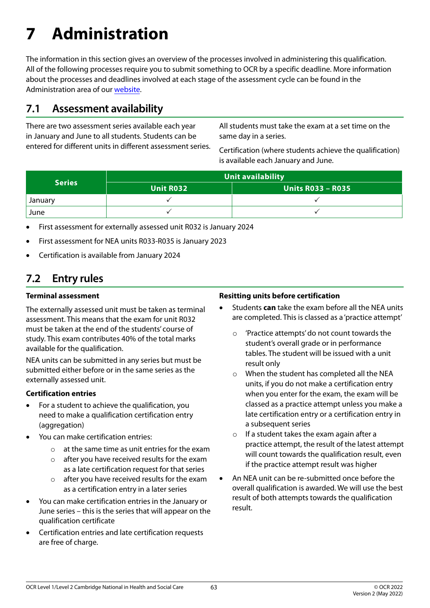# <span id="page-62-0"></span>**7 Administration**

The information in this section gives an overview of the processes involved in administering this qualification. All of the following processes require you to submit something to OCR by a specific deadline. More information about the processes and deadlines involved at each stage of the assessment cycle can be found in the Administration area of our [website.](https://www.ocr.org.uk/administration/cambridge-nationals/)

### **7.1 Assessment availability**

There are two assessment series available each year in January and June to all students. Students can be entered for different units in different assessment series. All students must take the exam at a set time on the same day in a series.

Certification (where students achieve the qualification) is available each January and June.

|               | Unit availability |                          |  |  |
|---------------|-------------------|--------------------------|--|--|
| <b>Series</b> | <b>Unit R032</b>  | <b>Units R033 - R035</b> |  |  |
| January       |                   |                          |  |  |
| June          |                   |                          |  |  |

- First assessment for externally assessed unit R032 is January 2024
- First assessment for NEA units R033-R035 is January 2023
- Certification is available from January 2024

# <span id="page-62-1"></span>**7.2 Entry rules**

#### **Terminal assessment**

The externally assessed unit must be taken as terminal assessment. This means that the exam for unit R032 must be taken at the end of the students' course of study. This exam contributes 40% of the total marks available for the qualification.

NEA units can be submitted in any series but must be submitted either before or in the same series as the externally assessed unit.

### **Certification entries**

- For a student to achieve the qualification, you need to make a qualification certification entry (aggregation)
- You can make certification entries:
	- o at the same time as unit entries for the exam
	- o after you have received results for the exam as a late certification request for that series
	- o after you have received results for the exam as a certification entry in a later series
- You can make certification entries in the January or June series – this is the series that will appear on the qualification certificate
- • Certification entries and late certification requests are free of charge.

#### **Resitting units before certification**

- Students **can** take the exam before all the NEA units are completed. This is classed as a 'practice attempt'
	- o 'Practice attempts' do not count towards the student's overall grade or in performance tables. The student will be issued with a unit result only
	- o When the student has completed all the NEA units, if you do not make a certification entry when you enter for the exam, the exam will be classed as a practice attempt unless you make a late certification entry or a certification entry in a subsequent series
	- $\circ$  If a student takes the exam again after a practice attempt, the result of the latest attempt will count towards the qualification result, even if the practice attempt result was higher
- An NEA unit can be re-submitted once before the overall qualification is awarded. We will use the best result of both attempts towards the qualification result.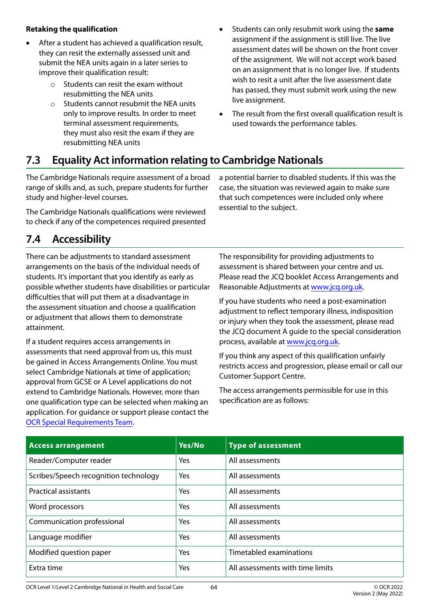### **Retaking the qualification**

- After a student has achieved a qualification result, they can resit the externally assessed unit and submit the NEA units again in a later series to improve their qualification result:
	- $\circ$  Students can resit the exam without resubmitting the NEA units
	- o Students cannot resubmit the NEA units only to improve results. In order to meet terminal assessment requirements, they must also resit the exam if they are resubmitting NEA units
- • Students can only resubmit work using the **same** assignment if the assignment is still live. The live assessment dates will be shown on the front cover of the assignment. We will not accept work based on an assignment that is no longer live. If students wish to resit a unit after the live assessment date has passed, they must submit work using the new live assignment.
- The result from the first overall qualification result is used towards the performance tables.

# **7.3 Equality Act information relating to Cambridge Nationals**

The Cambridge Nationals require assessment of a broad range of skills and, as such, prepare students for further study and higher-level courses.

The Cambridge Nationals qualifications were reviewed to check if any of the competences required presented

a potential barrier to disabled students. If this was the case, the situation was reviewed again to make sure that such competences were included only where essential to the subject.

# **7.4 Accessibility**

There can be adjustments to standard assessment arrangements on the basis of the individual needs of students. It's important that you identify as early as possible whether students have disabilities or particular difficulties that will put them at a disadvantage in the assessment situation and choose a qualification or adjustment that allows them to demonstrate attainment.

If a student requires access arrangements in assessments that need approval from us, this must be gained in Access Arrangements Online. You must select Cambridge Nationals at time of application; approval from GCSE or A Level applications do not extend to Cambridge Nationals. However, more than one qualification type can be selected when making an application. For guidance or support please contact the [OCR Special Requirements Team.](mailto:srteam%40ocr.org.uk?subject=)

The responsibility for providing adjustments to assessment is shared between your centre and us. Please read the JCQ booklet Access Arrangements and Reasonable Adjustments at [www.jcq.org.uk](http://www.jcq.org.uk).

If you have students who need a post-examination adjustment to reflect temporary illness, indisposition or injury when they took the assessment, please read the JCQ document A guide to the special consideration process, available at [www.jcq.org.uk.](http://www.jcq.org.uk)

If you think any aspect of this qualification unfairly restricts access and progression, please email or call our Customer Support Centre.

The access arrangements permissible for use in this specification are as follows:

| <b>Access arrangement</b>             | Yes/No | <b>Type of assessment</b>        |
|---------------------------------------|--------|----------------------------------|
| Reader/Computer reader                | Yes    | All assessments                  |
| Scribes/Speech recognition technology | Yes    | All assessments                  |
| <b>Practical assistants</b>           | Yes    | All assessments                  |
| Word processors                       | Yes    | All assessments                  |
| Communication professional            | Yes    | All assessments                  |
| Language modifier                     | Yes    | All assessments                  |
| Modified question paper               | Yes    | Timetabled examinations          |
| Extra time                            | Yes    | All assessments with time limits |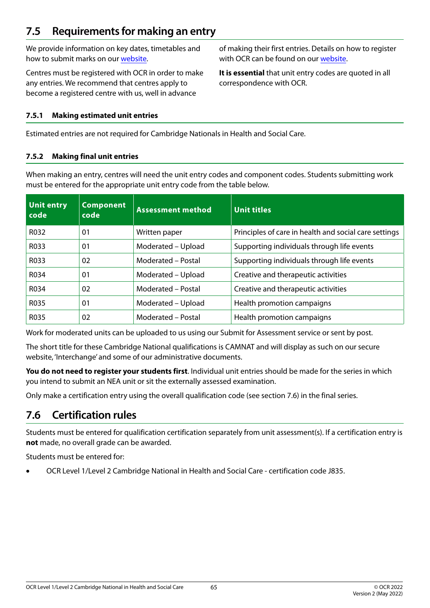# **7.5 Requirements for making an entry**

We provide information on key dates, timetables and how to submit marks on our [website.](https://www.ocr.org.uk/administration/cambridge-nationals/)

Centres must be registered with OCR in order to make any entries. We recommend that centres apply to become a registered centre with us, well in advance

of making their first entries. Details on how to register with OCR can be found on our [website](https://www.ocr.org.uk/administration/cambridge-nationals/).

**It is essential** that unit entry codes are quoted in all correspondence with OCR.

#### **7.5.1 Making estimated unit entries**

Estimated entries are not required for Cambridge Nationals in Health and Social Care.

#### **7.5.2 Making final unit entries**

When making an entry, centres will need the unit entry codes and component codes. Students submitting work must be entered for the appropriate unit entry code from the table below.

| <b>Unit entry</b><br>code | <b>Component</b><br>code | <b>Assessment method</b> | Unit titles                                           |
|---------------------------|--------------------------|--------------------------|-------------------------------------------------------|
| R032                      | 01                       | Written paper            | Principles of care in health and social care settings |
| R033                      | 0 <sub>1</sub>           | Moderated - Upload       | Supporting individuals through life events            |
| R033                      | 02                       | Moderated – Postal       | Supporting individuals through life events            |
| R034                      | 01                       | Moderated - Upload       | Creative and therapeutic activities                   |
| R034                      | 02                       | Moderated - Postal       | Creative and therapeutic activities                   |
| R035                      | 0 <sub>1</sub>           | Moderated - Upload       | Health promotion campaigns                            |
| R035                      | 02                       | Moderated - Postal       | Health promotion campaigns                            |

Work for moderated units can be uploaded to us using our Submit for Assessment service or sent by post.

The short title for these Cambridge National qualifications is CAMNAT and will display as such on our secure website, 'Interchange' and some of our administrative documents.

**You do not need to register your students first**. Individual unit entries should be made for the series in which you intend to submit an NEA unit or sit the externally assessed examination.

Only make a certification entry using the overall qualification code (see section 7.6) in the final series.

### **7.6 Certification rules**

Students must be entered for qualification certification separately from unit assessment(s). If a certification entry is **not** made, no overall grade can be awarded.

Students must be entered for:

OCR Level 1/Level 2 Cambridge National in Health and Social Care - certification code J835.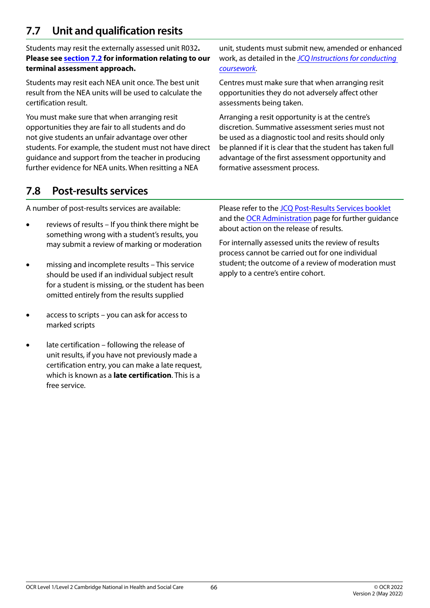# <span id="page-65-0"></span>**7.7 Unit and qualification resits**

Students may resit the externally assessed unit R032**. Please see [section 7.2](#page-62-1) for information relating to our terminal assessment approach.** 

Students may resit each NEA unit once. The best unit result from the NEA units will be used to calculate the certification result.

You must make sure that when arranging resit opportunities they are fair to all students and do not give students an unfair advantage over other students. For example, the student must not have direct guidance and support from the teacher in producing further evidence for NEA units. When resitting a NEA

unit, students must submit new, amended or enhanced work, as detailed in the *[JCQ Instructions for conducting](https://www.jcq.org.uk/exams-office/coursework/)  [coursework](https://www.jcq.org.uk/exams-office/coursework/).*

Centres must make sure that when arranging resit opportunities they do not adversely affect other assessments being taken.

Arranging a resit opportunity is at the centre's discretion. Summative assessment series must not be used as a diagnostic tool and resits should only be planned if it is clear that the student has taken full advantage of the first assessment opportunity and formative assessment process.

# **7.8 Post-results services**

A number of post-results services are available:

- reviews of results If you think there might be something wrong with a student's results, you may submit a review of marking or moderation
- missing and incomplete results This service should be used if an individual subject result for a student is missing, or the student has been omitted entirely from the results supplied
- access to scripts you can ask for access to marked scripts
- late certification following the release of unit results, if you have not previously made a certification entry, you can make a late request, which is known as a **late certification**. This is a free service.

Please refer to the [JCQ Post-Results Services booklet](https://www.jcq.org.uk/exams-office/post-results-services) and the [OCR Administration](https://www.ocr.org.uk/administration/cambridge-nationals/) page for further guidance about action on the release of results.

For internally assessed units the review of results process cannot be carried out for one individual student; the outcome of a review of moderation must apply to a centre's entire cohort.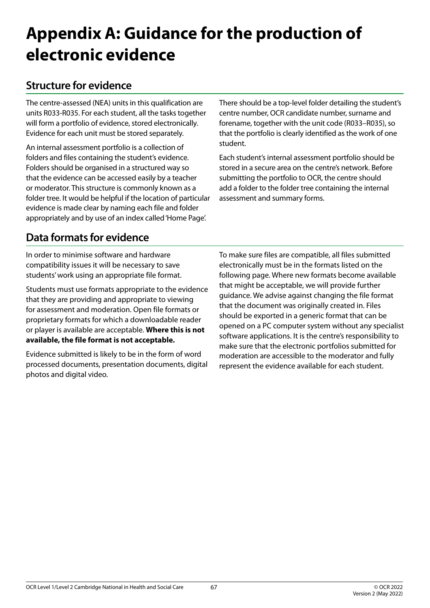# <span id="page-66-0"></span>**Appendix A: Guidance for the production of electronic evidence**

# **Structure for evidence**

The centre-assessed (NEA) units in this qualification are units R033-R035. For each student, all the tasks together will form a portfolio of evidence, stored electronically. Evidence for each unit must be stored separately.

An internal assessment portfolio is a collection of folders and files containing the student's evidence. Folders should be organised in a structured way so that the evidence can be accessed easily by a teacher or moderator. This structure is commonly known as a folder tree. It would be helpful if the location of particular evidence is made clear by naming each file and folder appropriately and by use of an index called 'Home Page'.

There should be a top-level folder detailing the student's centre number, OCR candidate number, surname and forename, together with the unit code (R033–R035), so that the portfolio is clearly identified as the work of one student.

Each student's internal assessment portfolio should be stored in a secure area on the centre's network. Before submitting the portfolio to OCR, the centre should add a folder to the folder tree containing the internal assessment and summary forms.

# **Data formats for evidence**

In order to minimise software and hardware compatibility issues it will be necessary to save students' work using an appropriate file format.

Students must use formats appropriate to the evidence that they are providing and appropriate to viewing for assessment and moderation. Open file formats or proprietary formats for which a downloadable reader or player is available are acceptable. **Where this is not available, the file format is not acceptable.**

Evidence submitted is likely to be in the form of word processed documents, presentation documents, digital photos and digital video.

To make sure files are compatible, all files submitted electronically must be in the formats listed on the following page. Where new formats become available that might be acceptable, we will provide further guidance. We advise against changing the file format that the document was originally created in. Files should be exported in a generic format that can be opened on a PC computer system without any specialist software applications. It is the centre's responsibility to make sure that the electronic portfolios submitted for moderation are accessible to the moderator and fully represent the evidence available for each student.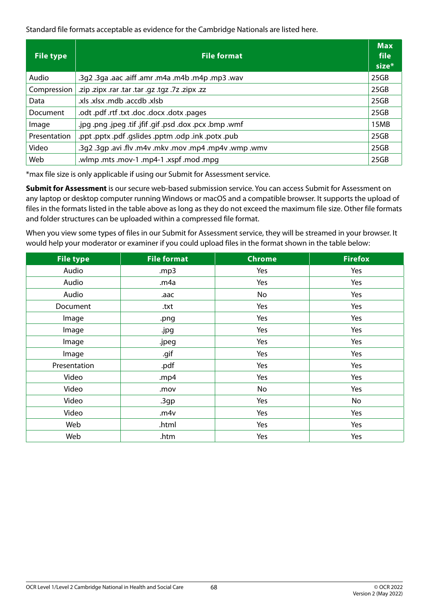Standard file formats acceptable as evidence for the Cambridge Nationals are listed here.

| <b>File type</b> | <b>File format</b>                                       | <b>Max</b><br>file<br>size* |
|------------------|----------------------------------------------------------|-----------------------------|
| Audio            | wav. 3g2 .3ga .aac .aiff .amr .m4a .m4b .m4p .mp3 .wav   | 25GB                        |
| Compression      | zz. xipx .rar .tar .tar .qz .tgz .7z .zipx .zz.          | 25GB                        |
| Data             | .xls. xlsx .mdb .accdb .xlsb                             | 25GB                        |
| Document         | .odt.pdf.rtf.txt.doc.ob.yob.pages                        | 25GB                        |
| Image            | .jpg .png .jpeg .tif .jfif .gif .psd .dox .pcx .bmp .wmf | 15MB                        |
| Presentation     | .ppt .pptx .pdf .gslides .pptm .odp .ink .potx .pub      | 25GB                        |
| Video            | .3q2 .3qp .avi .flv .m4v .mkv .mov .mp4 .mp4v .wmp .wmv  | 25GB                        |
| Web              | .wlmp .mts .mov-1 .mp4-1 .xspf .mod .mpq                 | 25GB                        |

\*max file size is only applicable if using our Submit for Assessment service.

**Submit for Assessment** is our secure web-based submission service. You can access Submit for Assessment on any laptop or desktop computer running Windows or macOS and a compatible browser. It supports the upload of files in the formats listed in the table above as long as they do not exceed the maximum file size. Other file formats and folder structures can be uploaded within a compressed file format.

When you view some types of files in our Submit for Assessment service, they will be streamed in your browser. It would help your moderator or examiner if you could upload files in the format shown in the table below:

| <b>File type</b> | <b>File format</b> | <b>Chrome</b> | <b>Firefox</b> |
|------------------|--------------------|---------------|----------------|
| Audio            | .mp3               | Yes           | Yes            |
| Audio            | .m4a               | Yes           | Yes            |
| Audio            | .aac               | No            | Yes            |
| Document         | .txt               | Yes           | Yes            |
| Image            | .png               | Yes           | Yes            |
| Image            | .jpg               | Yes           | Yes            |
| Image            | .jpeg              | Yes           | Yes            |
| Image            | .gif               | Yes           | Yes            |
| Presentation     | .pdf               | Yes           | Yes            |
| Video            | .mp4               | Yes           | Yes            |
| Video            | .mov               | No            | Yes            |
| Video            | 3gp                | Yes           | No             |
| Video            | .m4v               | Yes           | Yes            |
| Web              | .html              | Yes           | Yes            |
| Web              | .htm               | Yes           | Yes            |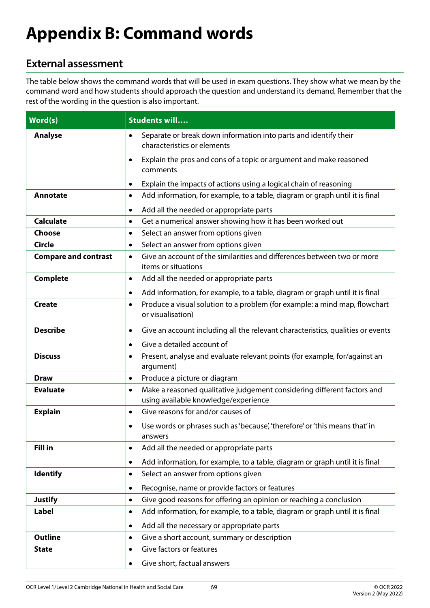# <span id="page-68-0"></span>**Appendix B: Command words**

# **External assessment**

The table below shows the command words that will be used in exam questions. They show what we mean by the command word and how students should approach the question and understand its demand. Remember that the rest of the wording in the question is also important.

| Word(s)                     | <b>Students will</b>                                                                                                         |
|-----------------------------|------------------------------------------------------------------------------------------------------------------------------|
| <b>Analyse</b>              | Separate or break down information into parts and identify their<br>$\bullet$<br>characteristics or elements                 |
|                             | Explain the pros and cons of a topic or argument and make reasoned<br>$\bullet$<br>comments                                  |
|                             | Explain the impacts of actions using a logical chain of reasoning<br>٠                                                       |
| <b>Annotate</b>             | Add information, for example, to a table, diagram or graph until it is final<br>٠                                            |
|                             | Add all the needed or appropriate parts<br>$\bullet$                                                                         |
| <b>Calculate</b>            | Get a numerical answer showing how it has been worked out<br>٠                                                               |
| Choose                      | Select an answer from options given<br>$\bullet$                                                                             |
| Circle                      | Select an answer from options given<br>$\bullet$                                                                             |
| <b>Compare and contrast</b> | Give an account of the similarities and differences between two or more<br>$\bullet$<br>items or situations                  |
| <b>Complete</b>             | Add all the needed or appropriate parts<br>٠                                                                                 |
|                             | Add information, for example, to a table, diagram or graph until it is final<br>٠                                            |
| <b>Create</b>               | Produce a visual solution to a problem (for example: a mind map, flowchart<br>$\bullet$<br>or visualisation)                 |
| <b>Describe</b>             | Give an account including all the relevant characteristics, qualities or events<br>$\bullet$                                 |
|                             | Give a detailed account of<br>$\bullet$                                                                                      |
| <b>Discuss</b>              | Present, analyse and evaluate relevant points (for example, for/against an<br>٠<br>argument)                                 |
| <b>Draw</b>                 | Produce a picture or diagram<br>$\bullet$                                                                                    |
| <b>Evaluate</b>             | Make a reasoned qualitative judgement considering different factors and<br>$\bullet$<br>using available knowledge/experience |
| <b>Explain</b>              | Give reasons for and/or causes of<br>$\bullet$                                                                               |
|                             | Use words or phrases such as 'because', 'therefore' or 'this means that' in<br>٠<br>answers                                  |
| <b>Fill in</b>              | Add all the needed or appropriate parts                                                                                      |
|                             | Add information, for example, to a table, diagram or graph until it is final<br>$\bullet$                                    |
| <b>Identify</b>             | Select an answer from options given<br>٠                                                                                     |
|                             | Recognise, name or provide factors or features<br>٠                                                                          |
| <b>Justify</b>              | Give good reasons for offering an opinion or reaching a conclusion<br>$\bullet$                                              |
| <b>Label</b>                | Add information, for example, to a table, diagram or graph until it is final<br>$\bullet$                                    |
|                             | Add all the necessary or appropriate parts<br>$\bullet$                                                                      |
| <b>Outline</b>              | Give a short account, summary or description<br>$\bullet$                                                                    |
| <b>State</b>                | Give factors or features<br>$\bullet$                                                                                        |
|                             | Give short, factual answers<br>٠                                                                                             |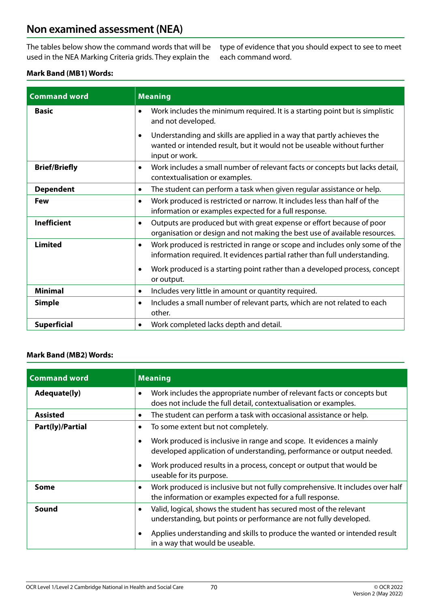## **Non examined assessment (NEA)**

The tables below show the command words that will be used in the NEA Marking Criteria grids. They explain the

type of evidence that you should expect to see to meet each command word.

#### **Mark Band (MB1) Words:**

| <b>Command word</b>  | <b>Meaning</b>                                                                                                                                                                                                                                                                  |
|----------------------|---------------------------------------------------------------------------------------------------------------------------------------------------------------------------------------------------------------------------------------------------------------------------------|
| <b>Basic</b>         | Work includes the minimum required. It is a starting point but is simplistic<br>$\bullet$<br>and not developed.                                                                                                                                                                 |
|                      | Understanding and skills are applied in a way that partly achieves the<br>$\bullet$<br>wanted or intended result, but it would not be useable without further<br>input or work.                                                                                                 |
| <b>Brief/Briefly</b> | Work includes a small number of relevant facts or concepts but lacks detail,<br>$\bullet$<br>contextualisation or examples.                                                                                                                                                     |
| <b>Dependent</b>     | The student can perform a task when given regular assistance or help.<br>$\bullet$                                                                                                                                                                                              |
| <b>Few</b>           | Work produced is restricted or narrow. It includes less than half of the<br>$\bullet$<br>information or examples expected for a full response.                                                                                                                                  |
| <b>Inefficient</b>   | Outputs are produced but with great expense or effort because of poor<br>$\bullet$<br>organisation or design and not making the best use of available resources.                                                                                                                |
| <b>Limited</b>       | Work produced is restricted in range or scope and includes only some of the<br>$\bullet$<br>information required. It evidences partial rather than full understanding.<br>Work produced is a starting point rather than a developed process, concept<br>$\bullet$<br>or output. |
| <b>Minimal</b>       | Includes very little in amount or quantity required.<br>$\bullet$                                                                                                                                                                                                               |
| <b>Simple</b>        | Includes a small number of relevant parts, which are not related to each<br>$\bullet$<br>other.                                                                                                                                                                                 |
| <b>Superficial</b>   | Work completed lacks depth and detail.<br>$\bullet$                                                                                                                                                                                                                             |

#### **Mark Band (MB2) Words:**

| <b>Command word</b> | <b>Meaning</b>                                                                                                                                          |
|---------------------|---------------------------------------------------------------------------------------------------------------------------------------------------------|
| <b>Adequate(ly)</b> | Work includes the appropriate number of relevant facts or concepts but<br>$\bullet$<br>does not include the full detail, contextualisation or examples. |
| <b>Assisted</b>     | The student can perform a task with occasional assistance or help.<br>$\bullet$                                                                         |
| Part(ly)/Partial    | To some extent but not completely.<br>٠                                                                                                                 |
|                     | Work produced is inclusive in range and scope. It evidences a mainly<br>developed application of understanding, performance or output needed.           |
|                     | Work produced results in a process, concept or output that would be<br>useable for its purpose.                                                         |
| <b>Some</b>         | Work produced is inclusive but not fully comprehensive. It includes over half<br>the information or examples expected for a full response.              |
| Sound               | Valid, logical, shows the student has secured most of the relevant<br>٠<br>understanding, but points or performance are not fully developed.            |
|                     | Applies understanding and skills to produce the wanted or intended result<br>in a way that would be useable.                                            |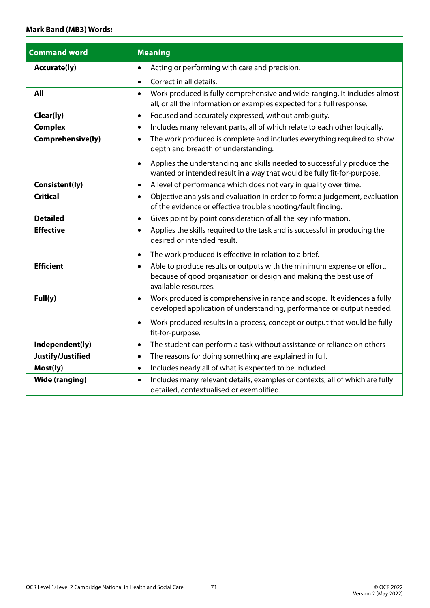# OCR Level 1/Level 2 Cambridge National in Health and Social Care

| 71 | © OCR 2022 |
|----|------------|

Version 2 (May 2022)

| <b>Command word</b>   | <b>Meaning</b>                                                                                                                                                                                |
|-----------------------|-----------------------------------------------------------------------------------------------------------------------------------------------------------------------------------------------|
| <b>Accurate(ly)</b>   | Acting or performing with care and precision.<br>$\bullet$                                                                                                                                    |
|                       | Correct in all details.<br>$\bullet$                                                                                                                                                          |
| All                   | Work produced is fully comprehensive and wide-ranging. It includes almost<br>$\bullet$<br>all, or all the information or examples expected for a full response.                               |
| Clear(ly)             | Focused and accurately expressed, without ambiguity.<br>$\bullet$                                                                                                                             |
| <b>Complex</b>        | Includes many relevant parts, all of which relate to each other logically.<br>$\bullet$                                                                                                       |
| Comprehensive(ly)     | The work produced is complete and includes everything required to show<br>$\bullet$<br>depth and breadth of understanding.                                                                    |
|                       | Applies the understanding and skills needed to successfully produce the<br>$\bullet$<br>wanted or intended result in a way that would be fully fit-for-purpose.                               |
| Consistent(ly)        | A level of performance which does not vary in quality over time.<br>$\bullet$                                                                                                                 |
| <b>Critical</b>       | Objective analysis and evaluation in order to form: a judgement, evaluation<br>$\bullet$<br>of the evidence or effective trouble shooting/fault finding.                                      |
| <b>Detailed</b>       | Gives point by point consideration of all the key information.<br>$\bullet$                                                                                                                   |
| <b>Effective</b>      | Applies the skills required to the task and is successful in producing the<br>$\bullet$<br>desired or intended result.<br>The work produced is effective in relation to a brief.<br>$\bullet$ |
| <b>Efficient</b>      | Able to produce results or outputs with the minimum expense or effort,<br>$\bullet$<br>because of good organisation or design and making the best use of<br>available resources.              |
| Full(y)               | Work produced is comprehensive in range and scope. It evidences a fully<br>$\bullet$<br>developed application of understanding, performance or output needed.                                 |
|                       | Work produced results in a process, concept or output that would be fully<br>$\bullet$<br>fit-for-purpose.                                                                                    |
| Independent(ly)       | The student can perform a task without assistance or reliance on others<br>$\bullet$                                                                                                          |
| Justify/Justified     | The reasons for doing something are explained in full.<br>$\bullet$                                                                                                                           |
| Most(ly)              | Includes nearly all of what is expected to be included.<br>$\bullet$                                                                                                                          |
| <b>Wide (ranging)</b> | Includes many relevant details, examples or contexts; all of which are fully<br>$\bullet$<br>detailed, contextualised or exemplified.                                                         |
|                       |                                                                                                                                                                                               |

#### **Mark Band (MB3) Words:**